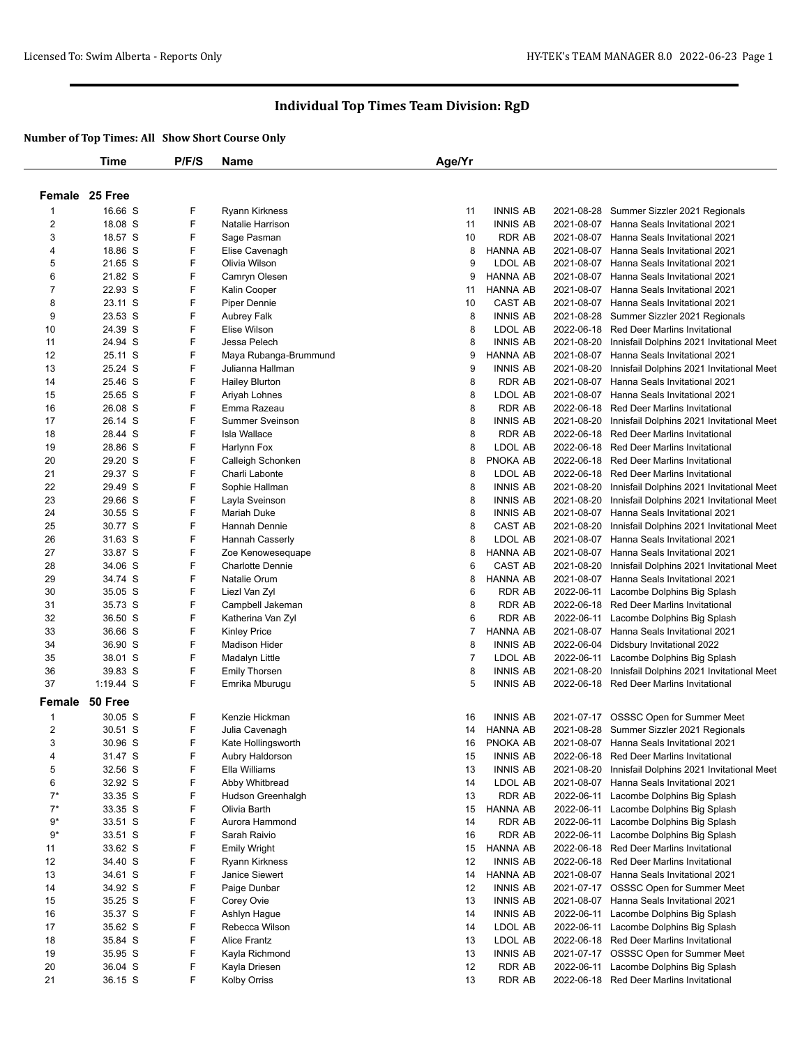|                | Time           | P/F/S  | <b>Name</b>             | Age/Yr |                     |                          |                                                                                       |
|----------------|----------------|--------|-------------------------|--------|---------------------|--------------------------|---------------------------------------------------------------------------------------|
|                |                |        |                         |        |                     |                          |                                                                                       |
|                | Female 25 Free |        |                         |        |                     |                          |                                                                                       |
| 1              | 16.66 S        | F      | <b>Ryann Kirkness</b>   | 11     | <b>INNIS AB</b>     |                          | 2021-08-28 Summer Sizzler 2021 Regionals                                              |
| 2              | 18.08 S        | F      | Natalie Harrison        | 11     | <b>INNIS AB</b>     |                          | 2021-08-07 Hanna Seals Invitational 2021                                              |
| 3              | 18.57 S        | F      | Sage Pasman             | 10     | <b>RDR AB</b>       |                          | 2021-08-07 Hanna Seals Invitational 2021                                              |
| 4              | 18.86 S        | F      | Elise Cavenagh          | 8      | HANNA AB            |                          | 2021-08-07 Hanna Seals Invitational 2021                                              |
| 5              | 21.65 S        | F      | Olivia Wilson           | 9      | LDOL AB             |                          | 2021-08-07 Hanna Seals Invitational 2021                                              |
| 6              | 21.82 S        | F      | Camryn Olesen           | 9      | <b>HANNA AB</b>     |                          | 2021-08-07 Hanna Seals Invitational 2021                                              |
| $\overline{7}$ | 22.93 S        | F      | Kalin Cooper            | 11     | <b>HANNA AB</b>     |                          | 2021-08-07 Hanna Seals Invitational 2021                                              |
| 8              | 23.11 S        | F      | Piper Dennie            | 10     | CAST AB             |                          | 2021-08-07 Hanna Seals Invitational 2021                                              |
| 9              | 23.53 S        | F      | Aubrey Falk             | 8      | <b>INNIS AB</b>     |                          | 2021-08-28 Summer Sizzler 2021 Regionals                                              |
| 10             | 24.39 S        | F      | Elise Wilson            | 8      | LDOL AB             |                          | 2022-06-18 Red Deer Marlins Invitational                                              |
| 11             | 24.94 S        | F      | Jessa Pelech            | 8      | <b>INNIS AB</b>     | 2021-08-20               | Innisfail Dolphins 2021 Invitational Meet                                             |
| 12             | 25.11 S        | F      | Maya Rubanga-Brummund   | 9      | <b>HANNA AB</b>     | 2021-08-07               | Hanna Seals Invitational 2021                                                         |
| 13             | 25.24 S        | F      | Julianna Hallman        | 9      | <b>INNIS AB</b>     | 2021-08-20               | Innisfail Dolphins 2021 Invitational Meet                                             |
| 14             | 25.46 S        | F      | <b>Hailey Blurton</b>   | 8      | <b>RDR AB</b>       | 2021-08-07               | Hanna Seals Invitational 2021                                                         |
| 15             | 25.65 S        | F      | Ariyah Lohnes           | 8      | LDOL AB             |                          | 2021-08-07 Hanna Seals Invitational 2021                                              |
| 16             | 26.08 S        | F      | Emma Razeau             | 8      | <b>RDR AB</b>       |                          | 2022-06-18 Red Deer Marlins Invitational                                              |
| 17             | 26.14 S        | F      | <b>Summer Sveinson</b>  | 8      | <b>INNIS AB</b>     | 2021-08-20               |                                                                                       |
| 18             | 28.44 S        | F      | <b>Isla Wallace</b>     | 8      | <b>RDR AB</b>       |                          | Innisfail Dolphins 2021 Invitational Meet<br>2022-06-18 Red Deer Marlins Invitational |
|                | 28.86 S        | F      |                         |        |                     |                          | 2022-06-18 Red Deer Marlins Invitational                                              |
| 19             |                | F      | Harlynn Fox             | 8      | LDOL AB             |                          | 2022-06-18 Red Deer Marlins Invitational                                              |
| 20             | 29.20 S        |        | Calleigh Schonken       | 8      | PNOKA AB<br>LDOL AB |                          |                                                                                       |
| 21             | 29.37 S        | F<br>F | Charli Labonte          | 8      |                     |                          | 2022-06-18 Red Deer Marlins Invitational                                              |
| 22             | 29.49 S        |        | Sophie Hallman          | 8      | <b>INNIS AB</b>     | 2021-08-20<br>2021-08-20 | Innisfail Dolphins 2021 Invitational Meet                                             |
| 23             | 29.66 S        | F<br>F | Layla Sveinson          | 8      | <b>INNIS AB</b>     |                          | Innisfail Dolphins 2021 Invitational Meet                                             |
| 24             | 30.55 S        |        | <b>Mariah Duke</b>      | 8      | <b>INNIS AB</b>     |                          | 2021-08-07 Hanna Seals Invitational 2021                                              |
| 25             | 30.77 S        | F      | Hannah Dennie           | 8      | CAST AB             | 2021-08-20               | Innisfail Dolphins 2021 Invitational Meet                                             |
| 26             | 31.63 S        | F      | Hannah Casserly         | 8      | LDOL AB             |                          | 2021-08-07 Hanna Seals Invitational 2021                                              |
| 27             | 33.87 S        | F      | Zoe Kenowesequape       | 8      | HANNA AB            |                          | 2021-08-07 Hanna Seals Invitational 2021                                              |
| 28             | 34.06 S        | F      | <b>Charlotte Dennie</b> | 6      | CAST AB             | 2021-08-20               | Innisfail Dolphins 2021 Invitational Meet                                             |
| 29             | 34.74 S        | F      | Natalie Orum            | 8      | <b>HANNA AB</b>     | 2021-08-07               | Hanna Seals Invitational 2021                                                         |
| 30             | 35.05 S        | F      | Liezl Van Zyl           | 6      | RDR AB              | 2022-06-11               | Lacombe Dolphins Big Splash                                                           |
| 31             | 35.73 S        | F      | Campbell Jakeman        | 8      | <b>RDR AB</b>       |                          | 2022-06-18 Red Deer Marlins Invitational                                              |
| 32             | 36.50 S        | F      | Katherina Van Zyl       | 6      | <b>RDR AB</b>       |                          | 2022-06-11 Lacombe Dolphins Big Splash                                                |
| 33             | 36.66 S        | F      | <b>Kinley Price</b>     | 7      | HANNA AB            |                          | 2021-08-07 Hanna Seals Invitational 2021                                              |
| 34             | 36.90 S        | F      | <b>Madison Hider</b>    | 8      | <b>INNIS AB</b>     | 2022-06-04               | Didsbury Invitational 2022                                                            |
| 35             | 38.01 S        | F      | Madalyn Little          | 7      | LDOL AB             | 2022-06-11               | Lacombe Dolphins Big Splash                                                           |
| 36             | 39.83 S        | F      | <b>Emily Thorsen</b>    | 8      | <b>INNIS AB</b>     | 2021-08-20               | Innisfail Dolphins 2021 Invitational Meet                                             |
| 37             | 1:19.44 S      | F      | Emrika Mburugu          | 5      | <b>INNIS AB</b>     |                          | 2022-06-18 Red Deer Marlins Invitational                                              |
| Female         | 50 Free        |        |                         |        |                     |                          |                                                                                       |
| -1             | 30.05 S        | F      | Kenzie Hickman          | 16     | <b>INNIS AB</b>     |                          | 2021-07-17 OSSSC Open for Summer Meet                                                 |
| $\overline{c}$ | 30.51 S        | F      | Julia Cavenagh          | 14     | <b>HANNA AB</b>     |                          | 2021-08-28 Summer Sizzler 2021 Regionals                                              |
| 3              | 30.96 S        | F      | Kate Hollingsworth      | 16     | PNOKA AB            |                          | 2021-08-07 Hanna Seals Invitational 2021                                              |
| 4              | 31.47 S        | F      | Aubry Haldorson         | 15     | <b>INNIS AB</b>     |                          | 2022-06-18 Red Deer Marlins Invitational                                              |
| 5              | 32.56 S        | F      | Ella Williams           | 13     | <b>INNIS AB</b>     | 2021-08-20               | Innisfail Dolphins 2021 Invitational Meet                                             |
| 6              | 32.92 S        | F      | Abby Whitbread          | 14     | LDOL AB             |                          | 2021-08-07 Hanna Seals Invitational 2021                                              |
| $7^*$          | 33.35 S        | F      | Hudson Greenhalgh       | 13     | <b>RDR AB</b>       | 2022-06-11               | Lacombe Dolphins Big Splash                                                           |
| $7^*$          | 33.35 S        | F      | Olivia Barth            | 15     | <b>HANNA AB</b>     | 2022-06-11               | Lacombe Dolphins Big Splash                                                           |
| $9*$           | 33.51 S        | F      | Aurora Hammond          | 14     | RDR AB              | 2022-06-11               | Lacombe Dolphins Big Splash                                                           |
| $9*$           | 33.51 S        | F      | Sarah Raivio            | 16     | <b>RDR AB</b>       | 2022-06-11               | Lacombe Dolphins Big Splash                                                           |
| 11             | 33.62 S        | F      | <b>Emily Wright</b>     | 15     | <b>HANNA AB</b>     |                          | 2022-06-18 Red Deer Marlins Invitational                                              |
| 12             | 34.40 S        | F      | Ryann Kirkness          | 12     | <b>INNIS AB</b>     |                          | 2022-06-18 Red Deer Marlins Invitational                                              |
| 13             | 34.61 S        | F      | Janice Siewert          | 14     | <b>HANNA AB</b>     |                          | 2021-08-07 Hanna Seals Invitational 2021                                              |
| 14             | 34.92 S        | F      | Paige Dunbar            | 12     | <b>INNIS AB</b>     |                          | 2021-07-17 OSSSC Open for Summer Meet                                                 |
| 15             | 35.25 S        | F      | Corey Ovie              | 13     | <b>INNIS AB</b>     | 2021-08-07               | Hanna Seals Invitational 2021                                                         |
| 16             | 35.37 S        | F      | Ashlyn Hague            | 14     | <b>INNIS AB</b>     | 2022-06-11               | Lacombe Dolphins Big Splash                                                           |
| 17             | 35.62 S        | F      | Rebecca Wilson          | 14     | LDOL AB             | 2022-06-11               | Lacombe Dolphins Big Splash                                                           |
| 18             | 35.84 S        | F      | Alice Frantz            | 13     | LDOL AB             |                          | 2022-06-18 Red Deer Marlins Invitational                                              |
| 19             | 35.95 S        | F      | Kayla Richmond          | 13     | <b>INNIS AB</b>     | 2021-07-17               | OSSSC Open for Summer Meet                                                            |
| 20             | 36.04 S        | F      | Kayla Driesen           | 12     | <b>RDR AB</b>       | 2022-06-11               | Lacombe Dolphins Big Splash                                                           |
| 21             | 36.15 S        | F      | <b>Kolby Orriss</b>     | 13     | <b>RDR AB</b>       |                          | 2022-06-18 Red Deer Marlins Invitational                                              |
|                |                |        |                         |        |                     |                          |                                                                                       |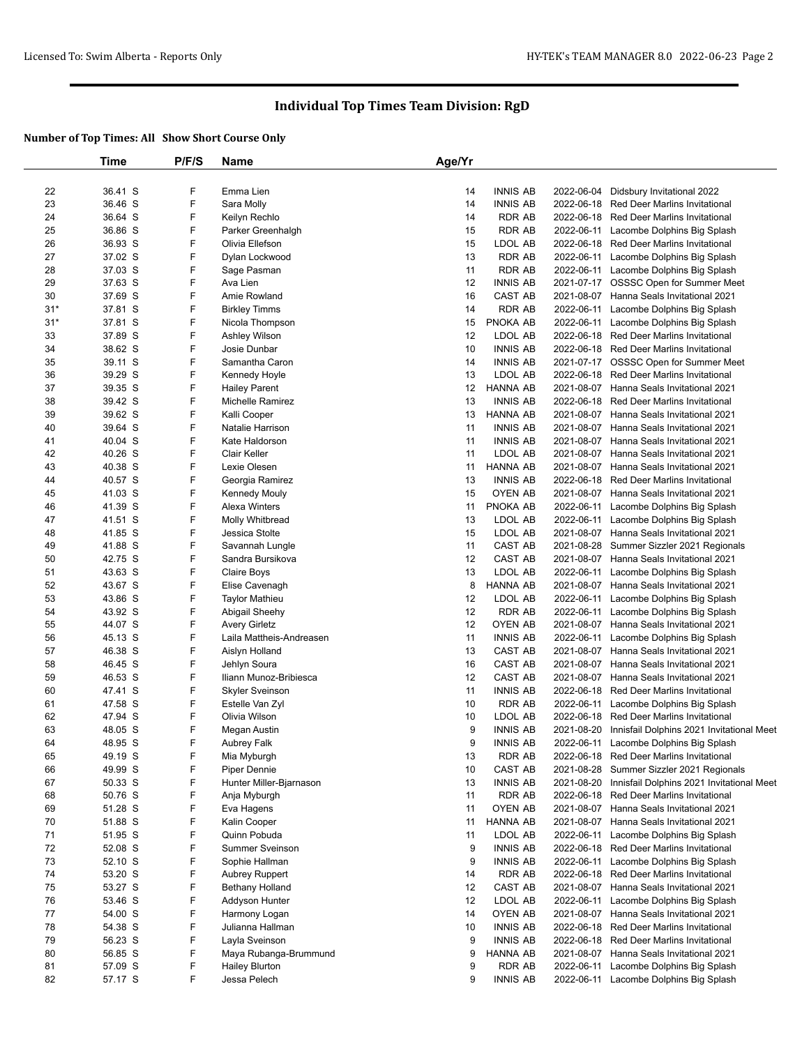|          | Time    | P/F/S  | <b>Name</b>              | Age/Yr |                 |            |                                           |
|----------|---------|--------|--------------------------|--------|-----------------|------------|-------------------------------------------|
|          |         |        |                          |        |                 |            |                                           |
| 22       | 36.41 S | F      | Emma Lien                | 14     | <b>INNIS AB</b> | 2022-06-04 | Didsbury Invitational 2022                |
| 23       | 36.46 S | F      | Sara Molly               | 14     | <b>INNIS AB</b> | 2022-06-18 | Red Deer Marlins Invitational             |
| 24       | 36.64 S | F      | Keilyn Rechlo            | 14     | <b>RDR AB</b>   | 2022-06-18 | Red Deer Marlins Invitational             |
| 25       | 36.86 S | F      | Parker Greenhalgh        | 15     | <b>RDR AB</b>   | 2022-06-11 | Lacombe Dolphins Big Splash               |
| 26       | 36.93 S | F      | Olivia Ellefson          | 15     | LDOL AB         | 2022-06-18 | Red Deer Marlins Invitational             |
| 27       | 37.02 S | F      | Dylan Lockwood           | 13     | <b>RDR AB</b>   | 2022-06-11 | Lacombe Dolphins Big Splash               |
| 28       | 37.03 S | F      | Sage Pasman              | 11     | <b>RDR AB</b>   | 2022-06-11 | Lacombe Dolphins Big Splash               |
| 29       | 37.63 S | F      | Ava Lien                 | 12     | <b>INNIS AB</b> | 2021-07-17 | OSSSC Open for Summer Meet                |
| 30       | 37.69 S | F      | Amie Rowland             | 16     | CAST AB         |            | 2021-08-07 Hanna Seals Invitational 2021  |
| $31*$    | 37.81 S | F      | <b>Birkley Timms</b>     | 14     | <b>RDR AB</b>   | 2022-06-11 | Lacombe Dolphins Big Splash               |
| $31*$    | 37.81 S | F      | Nicola Thompson          | 15     | PNOKA AB        | 2022-06-11 | Lacombe Dolphins Big Splash               |
| 33       | 37.89 S | F      | Ashley Wilson            | 12     | LDOL AB         |            | 2022-06-18 Red Deer Marlins Invitational  |
| 34       | 38.62 S | F      | Josie Dunbar             | 10     | <b>INNIS AB</b> |            | 2022-06-18 Red Deer Marlins Invitational  |
| 35       | 39.11 S | F      | Samantha Caron           | 14     | <b>INNIS AB</b> |            | 2021-07-17 OSSSC Open for Summer Meet     |
| 36       | 39.29 S | F      | Kennedy Hoyle            | 13     | LDOL AB         |            | 2022-06-18 Red Deer Marlins Invitational  |
| 37       | 39.35 S | F      | <b>Hailey Parent</b>     | 12     | <b>HANNA AB</b> |            | 2021-08-07 Hanna Seals Invitational 2021  |
| 38       | 39.42 S | F      | Michelle Ramirez         | 13     | <b>INNIS AB</b> | 2022-06-18 | <b>Red Deer Marlins Invitational</b>      |
| 39       | 39.62 S | F      | Kalli Cooper             | 13     | <b>HANNA AB</b> |            | 2021-08-07 Hanna Seals Invitational 2021  |
| 40       | 39.64 S | F      | Natalie Harrison         | 11     | <b>INNIS AB</b> | 2021-08-07 | Hanna Seals Invitational 2021             |
| 41       | 40.04 S | F      | Kate Haldorson           | 11     | <b>INNIS AB</b> | 2021-08-07 | Hanna Seals Invitational 2021             |
| 42       | 40.26 S | F      | Clair Keller             | 11     | LDOL AB         |            | 2021-08-07 Hanna Seals Invitational 2021  |
| 43       | 40.38 S | F      | Lexie Olesen             | 11     | <b>HANNA AB</b> | 2021-08-07 | Hanna Seals Invitational 2021             |
| 44       | 40.57 S | F      | Georgia Ramirez          | 13     | <b>INNIS AB</b> | 2022-06-18 | <b>Red Deer Marlins Invitational</b>      |
| 45       | 41.03 S | F      | <b>Kennedy Mouly</b>     | 15     | <b>OYEN AB</b>  |            | 2021-08-07 Hanna Seals Invitational 2021  |
| 46       | 41.39 S | F      | Alexa Winters            | 11     | PNOKA AB        | 2022-06-11 | Lacombe Dolphins Big Splash               |
| 47       | 41.51 S | F      | Molly Whitbread          | 13     | LDOL AB         | 2022-06-11 | Lacombe Dolphins Big Splash               |
| 48       | 41.85 S | F      | Jessica Stolte           | 15     | LDOL AB         |            | 2021-08-07 Hanna Seals Invitational 2021  |
| 49       | 41.88 S | F      | Savannah Lungle          | 11     | CAST AB         | 2021-08-28 | Summer Sizzler 2021 Regionals             |
| 50       | 42.75 S | F      | Sandra Bursikova         | 12     | CAST AB         | 2021-08-07 | Hanna Seals Invitational 2021             |
| 51       | 43.63 S | F      | Claire Boys              | 13     | LDOL AB         | 2022-06-11 | Lacombe Dolphins Big Splash               |
| 52       | 43.67 S | F      | Elise Cavenagh           | 8      | <b>HANNA AB</b> | 2021-08-07 | Hanna Seals Invitational 2021             |
| 53       | 43.86 S | F      | <b>Taylor Mathieu</b>    | 12     | LDOL AB         | 2022-06-11 | Lacombe Dolphins Big Splash               |
| 54       | 43.92 S | F      | Abigail Sheehy           | 12     | <b>RDR AB</b>   | 2022-06-11 | Lacombe Dolphins Big Splash               |
| 55       | 44.07 S | F      | <b>Avery Girletz</b>     | 12     | OYEN AB         | 2021-08-07 | Hanna Seals Invitational 2021             |
| 56       | 45.13 S | F      | Laila Mattheis-Andreasen | 11     | <b>INNIS AB</b> | 2022-06-11 | Lacombe Dolphins Big Splash               |
| 57       | 46.38 S | F      | Aislyn Holland           | 13     | CAST AB         |            | 2021-08-07 Hanna Seals Invitational 2021  |
| 58       | 46.45 S | F      | Jehlyn Soura             | 16     | CAST AB         | 2021-08-07 | Hanna Seals Invitational 2021             |
| 59       | 46.53 S | F      | Iliann Munoz-Bribiesca   | 12     | CAST AB         | 2021-08-07 | Hanna Seals Invitational 2021             |
| 60       | 47.41 S | F      |                          | 11     | <b>INNIS AB</b> | 2022-06-18 | Red Deer Marlins Invitational             |
|          |         | F      | <b>Skyler Sveinson</b>   | 10     |                 | 2022-06-11 |                                           |
| 61       | 47.58 S | F      | Estelle Van Zyl          |        | <b>RDR AB</b>   |            | Lacombe Dolphins Big Splash               |
| 62       | 47.94 S |        | Olivia Wilson            | 10     | LDOL AB         | 2022-06-18 | Red Deer Marlins Invitational             |
| 63<br>64 | 48.05 S | F<br>F | Megan Austin             | 9<br>9 | <b>INNIS AB</b> | 2021-08-20 | Innisfail Dolphins 2021 Invitational Meet |
|          | 48.95 S |        | Aubrey Falk              |        | <b>INNIS AB</b> | 2022-06-11 | Lacombe Dolphins Big Splash               |
| 65       | 49.19 S | F      | Mia Myburgh              | 13     | <b>RDR AB</b>   | 2022-06-18 | Red Deer Marlins Invitational             |
| 66       | 49.99 S | F      | Piper Dennie             | 10     | CAST AB         | 2021-08-28 | Summer Sizzler 2021 Regionals             |
| 67       | 50.33 S | F      | Hunter Miller-Bjarnason  | 13     | <b>INNIS AB</b> | 2021-08-20 | Innisfail Dolphins 2021 Invitational Meet |
| 68       | 50.76 S | F      | Anja Myburgh             | 11     | <b>RDR AB</b>   | 2022-06-18 | Red Deer Marlins Invitational             |
| 69       | 51.28 S | F      | Eva Hagens               | 11     | OYEN AB         | 2021-08-07 | Hanna Seals Invitational 2021             |
| 70       | 51.88 S | F      | Kalin Cooper             | 11     | <b>HANNA AB</b> | 2021-08-07 | Hanna Seals Invitational 2021             |
| 71       | 51.95 S | F      | Quinn Pobuda             | 11     | LDOL AB         | 2022-06-11 | Lacombe Dolphins Big Splash               |
| 72       | 52.08 S | F      | Summer Sveinson          | 9      | <b>INNIS AB</b> | 2022-06-18 | Red Deer Marlins Invitational             |
| 73       | 52.10 S | F      | Sophie Hallman           | 9      | <b>INNIS AB</b> | 2022-06-11 | Lacombe Dolphins Big Splash               |
| 74       | 53.20 S | F      | <b>Aubrey Ruppert</b>    | 14     | <b>RDR AB</b>   | 2022-06-18 | <b>Red Deer Marlins Invitational</b>      |
| 75       | 53.27 S | F      | Bethany Holland          | 12     | CAST AB         | 2021-08-07 | Hanna Seals Invitational 2021             |
| 76       | 53.46 S | F      | Addyson Hunter           | 12     | LDOL AB         | 2022-06-11 | Lacombe Dolphins Big Splash               |
| 77       | 54.00 S | F      | Harmony Logan            | 14     | OYEN AB         |            | 2021-08-07 Hanna Seals Invitational 2021  |
| 78       | 54.38 S | F      | Julianna Hallman         | 10     | <b>INNIS AB</b> | 2022-06-18 | <b>Red Deer Marlins Invitational</b>      |
| 79       | 56.23 S | F      | Layla Sveinson           | 9      | <b>INNIS AB</b> | 2022-06-18 | Red Deer Marlins Invitational             |
| 80       | 56.85 S | F      | Maya Rubanga-Brummund    | 9      | <b>HANNA AB</b> | 2021-08-07 | Hanna Seals Invitational 2021             |
| 81       | 57.09 S | F      | <b>Hailey Blurton</b>    | 9      | <b>RDR AB</b>   | 2022-06-11 | Lacombe Dolphins Big Splash               |
| 82       | 57.17 S | F      | Jessa Pelech             | 9      | <b>INNIS AB</b> | 2022-06-11 | Lacombe Dolphins Big Splash               |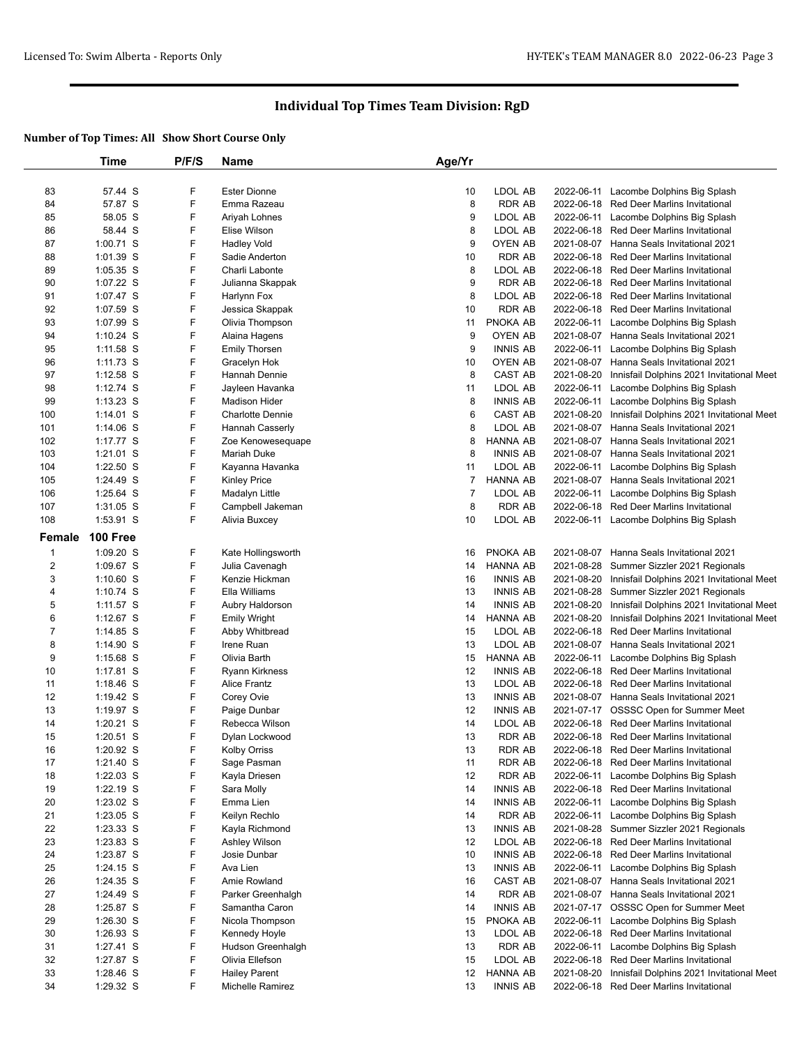|                | Time            | P/F/S | <b>Name</b>             | Age/Yr         |                 |            |                                           |
|----------------|-----------------|-------|-------------------------|----------------|-----------------|------------|-------------------------------------------|
|                |                 |       |                         |                |                 |            |                                           |
| 83             | 57.44 S         | F     | <b>Ester Dionne</b>     | 10             | LDOL AB         |            | 2022-06-11 Lacombe Dolphins Big Splash    |
| 84             | 57.87 S         | F     | Emma Razeau             | 8              | <b>RDR AB</b>   |            | 2022-06-18 Red Deer Marlins Invitational  |
| 85             | 58.05 S         | F     | Ariyah Lohnes           | 9              | LDOL AB         | 2022-06-11 | Lacombe Dolphins Big Splash               |
| 86             | 58.44 S         | F     | Elise Wilson            | 8              | LDOL AB         | 2022-06-18 | <b>Red Deer Marlins Invitational</b>      |
| 87             | 1:00.71 S       | F     | <b>Hadley Vold</b>      | 9              | OYEN AB         | 2021-08-07 | Hanna Seals Invitational 2021             |
| 88             | 1:01.39 S       | F     | Sadie Anderton          | 10             | <b>RDR AB</b>   | 2022-06-18 | <b>Red Deer Marlins Invitational</b>      |
| 89             | $1:05.35$ S     | F     | Charli Labonte          | 8              | LDOL AB         | 2022-06-18 | <b>Red Deer Marlins Invitational</b>      |
| 90             | 1:07.22 S       | F     | Julianna Skappak        | 9              | <b>RDR AB</b>   | 2022-06-18 | <b>Red Deer Marlins Invitational</b>      |
| 91             | 1:07.47 S       | F     | Harlynn Fox             | 8              | LDOL AB         | 2022-06-18 | Red Deer Marlins Invitational             |
| 92             | 1:07.59 S       | F     | Jessica Skappak         | 10             | <b>RDR AB</b>   | 2022-06-18 | Red Deer Marlins Invitational             |
| 93             | 1:07.99 S       | F     | Olivia Thompson         | 11             | PNOKA AB        | 2022-06-11 | Lacombe Dolphins Big Splash               |
| 94             | $1:10.24$ S     | F     | Alaina Hagens           | 9              | <b>OYEN AB</b>  |            | 2021-08-07 Hanna Seals Invitational 2021  |
| 95             | $1:11.58$ S     | F     | <b>Emily Thorsen</b>    | 9              | <b>INNIS AB</b> | 2022-06-11 | Lacombe Dolphins Big Splash               |
| 96             | $1:11.73$ S     | F     | Gracelyn Hok            | 10             | <b>OYEN AB</b>  | 2021-08-07 | Hanna Seals Invitational 2021             |
| 97             | $1:12.58$ S     | F     | Hannah Dennie           | 8              | CAST AB         | 2021-08-20 | Innisfail Dolphins 2021 Invitational Meet |
| 98             | $1:12.74$ S     | F     | Jayleen Havanka         | 11             | LDOL AB         | 2022-06-11 | Lacombe Dolphins Big Splash               |
| 99             | $1:13.23$ S     | F     | <b>Madison Hider</b>    | 8              | <b>INNIS AB</b> | 2022-06-11 | Lacombe Dolphins Big Splash               |
| 100            | $1:14.01$ S     | F     | <b>Charlotte Dennie</b> | 6              | CAST AB         | 2021-08-20 | Innisfail Dolphins 2021 Invitational Meet |
| 101            | $1:14.06$ S     | F     | Hannah Casserly         | 8              | LDOL AB         | 2021-08-07 | Hanna Seals Invitational 2021             |
| 102            | 1:17.77 S       | F     | Zoe Kenowesequape       | 8              | <b>HANNA AB</b> | 2021-08-07 | Hanna Seals Invitational 2021             |
| 103            | $1:21.01$ S     | F     | <b>Mariah Duke</b>      | 8              | <b>INNIS AB</b> |            | 2021-08-07 Hanna Seals Invitational 2021  |
| 104            | $1:22.50$ S     | F     | Kayanna Havanka         | 11             | LDOL AB         | 2022-06-11 | Lacombe Dolphins Big Splash               |
| 105            | 1:24.49 S       | F     | <b>Kinley Price</b>     | $\overline{7}$ | <b>HANNA AB</b> |            | 2021-08-07 Hanna Seals Invitational 2021  |
| 106            | $1:25.64$ S     | F     | Madalyn Little          | $\overline{7}$ | LDOL AB         |            | 2022-06-11 Lacombe Dolphins Big Splash    |
| 107            | $1:31.05$ S     | F     | Campbell Jakeman        | 8              | <b>RDR AB</b>   | 2022-06-18 | <b>Red Deer Marlins Invitational</b>      |
| 108            | 1:53.91 S       | F     | Alivia Buxcey           | 10             | LDOL AB         |            | 2022-06-11 Lacombe Dolphins Big Splash    |
|                |                 |       |                         |                |                 |            |                                           |
| Female         | <b>100 Free</b> |       |                         |                |                 |            |                                           |
| $\mathbf{1}$   | 1:09.20 S       | F     | Kate Hollingsworth      | 16             | PNOKA AB        | 2021-08-07 | Hanna Seals Invitational 2021             |
| $\overline{c}$ | 1:09.67 S       | F     | Julia Cavenagh          | 14             | <b>HANNA AB</b> | 2021-08-28 | Summer Sizzler 2021 Regionals             |
| 3              | $1:10.60$ S     | F     | Kenzie Hickman          | 16             | <b>INNIS AB</b> | 2021-08-20 | Innisfail Dolphins 2021 Invitational Meet |
| 4              | $1:10.74$ S     | F     | Ella Williams           | 13             | <b>INNIS AB</b> | 2021-08-28 | Summer Sizzler 2021 Regionals             |
| 5              | $1:11.57$ S     | F     | Aubry Haldorson         | 14             | <b>INNIS AB</b> | 2021-08-20 | Innisfail Dolphins 2021 Invitational Meet |
| 6              | $1:12.67$ S     | F     | <b>Emily Wright</b>     | 14             | HANNA AB        | 2021-08-20 | Innisfail Dolphins 2021 Invitational Meet |
| $\overline{7}$ | $1:14.85$ S     | F     | Abby Whitbread          | 15             | LDOL AB         | 2022-06-18 | <b>Red Deer Marlins Invitational</b>      |
| 8              | $1:14.90$ S     | F     | Irene Ruan              | 13             | LDOL AB         | 2021-08-07 | Hanna Seals Invitational 2021             |
| 9              | $1:15.68$ S     | F     | Olivia Barth            | 15             | HANNA AB        | 2022-06-11 | Lacombe Dolphins Big Splash               |
| 10             | $1:17.81$ S     | F     | <b>Ryann Kirkness</b>   | 12             | <b>INNIS AB</b> | 2022-06-18 | Red Deer Marlins Invitational             |
| 11             | $1:18.46$ S     | F     | <b>Alice Frantz</b>     | 13             | LDOL AB         | 2022-06-18 | <b>Red Deer Marlins Invitational</b>      |
| 12             | 1:19.42 $S$     | F     | Corey Ovie              | 13             | <b>INNIS AB</b> |            | 2021-08-07 Hanna Seals Invitational 2021  |
| 13             | $1:19.97$ S     | F     | Paige Dunbar            | 12             | <b>INNIS AB</b> |            | 2021-07-17 OSSSC Open for Summer Meet     |
| 14             | $1:20.21$ S     | F     | Rebecca Wilson          | 14             | LDOL AB         | 2022-06-18 | <b>Red Deer Marlins Invitational</b>      |
| 15             | $1:20.51$ S     | F     | Dylan Lockwood          | 13             | <b>RDR AB</b>   |            | 2022-06-18 Red Deer Marlins Invitational  |
| 16             | 1:20.92 S       | F     | <b>Kolby Orriss</b>     | 13             | <b>RDR AB</b>   |            | 2022-06-18 Red Deer Marlins Invitational  |
| 17             | 1:21.40 S       | F     | Sage Pasman             | 11             | RDR AB          |            | 2022-06-18 Red Deer Marlins Invitational  |
| 18             | 1:22.03 S       | F     | Kayla Driesen           | 12             | RDR AB          | 2022-06-11 | Lacombe Dolphins Big Splash               |
| 19             | $1:22.19$ S     | F     | Sara Molly              | 14             | <b>INNIS AB</b> | 2022-06-18 | Red Deer Marlins Invitational             |
| 20             | $1:23.02$ S     | F     | Emma Lien               | 14             | <b>INNIS AB</b> |            | 2022-06-11 Lacombe Dolphins Big Splash    |
| 21             | 1:23.05 S       | F     | Keilyn Rechlo           | 14             | RDR AB          | 2022-06-11 | Lacombe Dolphins Big Splash               |
| 22             | $1:23.33$ S     | F     | Kayla Richmond          | 13             | <b>INNIS AB</b> | 2021-08-28 | Summer Sizzler 2021 Regionals             |
| 23             | $1:23.83$ S     | F     | Ashley Wilson           | 12             | LDOL AB         | 2022-06-18 | Red Deer Marlins Invitational             |
| 24             | 1:23.87 S       | F     | Josie Dunbar            | 10             | <b>INNIS AB</b> | 2022-06-18 | Red Deer Marlins Invitational             |
| 25             | $1:24.15$ S     | F     | Ava Lien                | 13             | <b>INNIS AB</b> | 2022-06-11 | Lacombe Dolphins Big Splash               |
| 26             | 1:24.35 S       | F     | Amie Rowland            | 16             | CAST AB         |            | 2021-08-07 Hanna Seals Invitational 2021  |
| 27             | 1:24.49 S       | F     | Parker Greenhalgh       | 14             | RDR AB          |            | 2021-08-07 Hanna Seals Invitational 2021  |
| 28             | 1:25.87 S       | F     | Samantha Caron          | 14             | <b>INNIS AB</b> |            | 2021-07-17 OSSSC Open for Summer Meet     |
| 29             | $1:26.30$ S     | F     | Nicola Thompson         | 15             | PNOKA AB        |            | 2022-06-11 Lacombe Dolphins Big Splash    |
| 30             | $1:26.93$ S     | F     | Kennedy Hoyle           | 13             | LDOL AB         | 2022-06-18 | Red Deer Marlins Invitational             |
| 31             | $1:27.41$ S     | F     | Hudson Greenhalgh       | 13             | <b>RDR AB</b>   | 2022-06-11 | Lacombe Dolphins Big Splash               |
| 32             | 1:27.87 S       | F     | Olivia Ellefson         | 15             | LDOL AB         | 2022-06-18 | Red Deer Marlins Invitational             |
| 33             | 1:28.46 S       | F     | <b>Hailey Parent</b>    | 12             | HANNA AB        | 2021-08-20 | Innisfail Dolphins 2021 Invitational Meet |
| 34             | 1:29.32 S       | F     | Michelle Ramirez        | 13             | <b>INNIS AB</b> |            | 2022-06-18 Red Deer Marlins Invitational  |
|                |                 |       |                         |                |                 |            |                                           |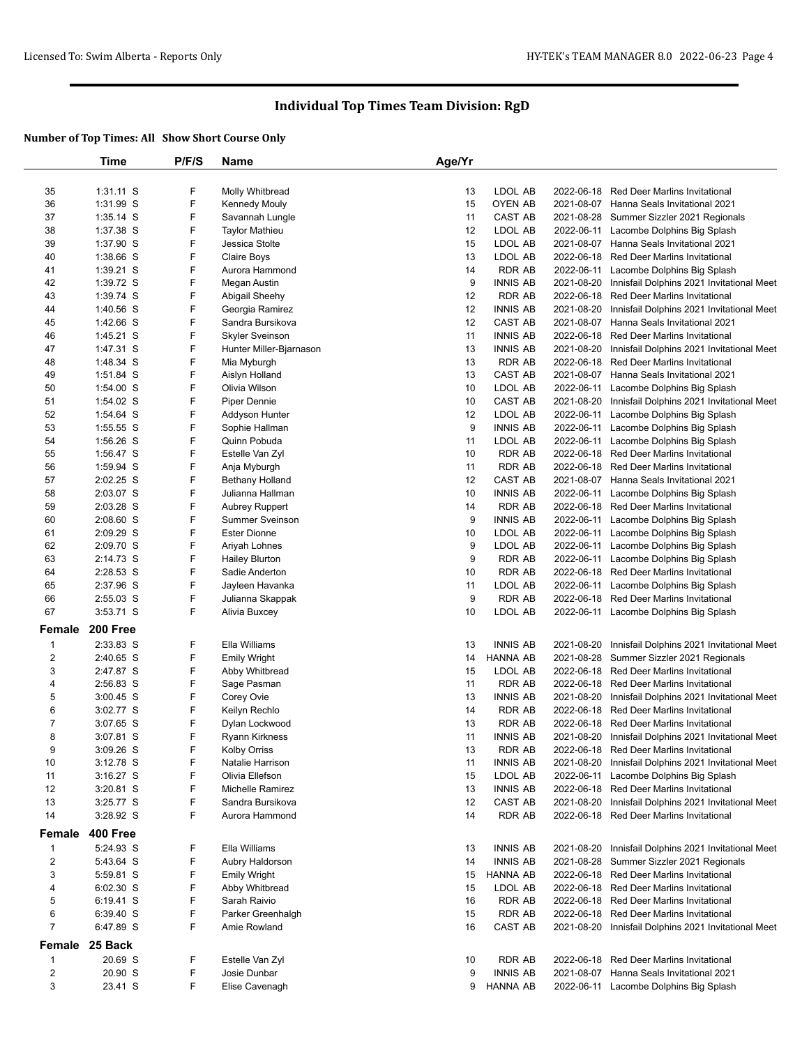|                | Time            | P/F/S | Name                    | Age/Yr |                 |            |                                                      |
|----------------|-----------------|-------|-------------------------|--------|-----------------|------------|------------------------------------------------------|
|                |                 |       |                         |        |                 |            |                                                      |
| 35             | $1:31.11$ S     | F     | Molly Whitbread         | 13     | LDOL AB         |            | 2022-06-18 Red Deer Marlins Invitational             |
| 36             | 1:31.99 S       | F     | Kennedy Mouly           | 15     | OYEN AB         |            | 2021-08-07 Hanna Seals Invitational 2021             |
| 37             | $1:35.14$ S     | F     | Savannah Lungle         | 11     | CAST AB         |            | 2021-08-28 Summer Sizzler 2021 Regionals             |
| 38             | 1:37.38 S       | F     | <b>Taylor Mathieu</b>   | 12     | LDOL AB         |            | 2022-06-11 Lacombe Dolphins Big Splash               |
| 39             | 1:37.90 S       | F     | Jessica Stolte          | 15     | LDOL AB         | 2021-08-07 | Hanna Seals Invitational 2021                        |
| 40             | 1:38.66 S       | F     | Claire Boys             | 13     | LDOL AB         |            | 2022-06-18 Red Deer Marlins Invitational             |
| 41             | $1:39.21$ S     | F     | Aurora Hammond          | 14     | RDR AB          | 2022-06-11 | Lacombe Dolphins Big Splash                          |
| 42             | 1:39.72 S       | F     | Megan Austin            | 9      | <b>INNIS AB</b> | 2021-08-20 | Innisfail Dolphins 2021 Invitational Meet            |
| 43             | 1:39.74 S       | F     | Abigail Sheehy          | 12     | <b>RDR AB</b>   |            | 2022-06-18 Red Deer Marlins Invitational             |
| 44             | $1:40.56$ S     | F     | Georgia Ramirez         | 12     | <b>INNIS AB</b> | 2021-08-20 | Innisfail Dolphins 2021 Invitational Meet            |
| 45             | 1:42.66 S       | F     | Sandra Bursikova        | 12     | CAST AB         | 2021-08-07 | Hanna Seals Invitational 2021                        |
| 46             | 1:45.21 S       | F     | <b>Skyler Sveinson</b>  | 11     | <b>INNIS AB</b> |            | 2022-06-18 Red Deer Marlins Invitational             |
| 47             | 1:47.31 S       | F     | Hunter Miller-Bjarnason | 13     | <b>INNIS AB</b> | 2021-08-20 | Innisfail Dolphins 2021 Invitational Meet            |
| 48             | 1:48.34 S       | F     | Mia Myburgh             | 13     | <b>RDR AB</b>   | 2022-06-18 | <b>Red Deer Marlins Invitational</b>                 |
| 49             | 1:51.84 S       | F     | Aislyn Holland          | 13     | CAST AB         |            | 2021-08-07 Hanna Seals Invitational 2021             |
| 50             | $1:54.00$ S     | F     | Olivia Wilson           | 10     | LDOL AB         | 2022-06-11 | Lacombe Dolphins Big Splash                          |
| 51             | 1:54.02 S       | F     | Piper Dennie            | 10     | CAST AB         | 2021-08-20 | Innisfail Dolphins 2021 Invitational Meet            |
| 52             | 1:54.64 S       | F     | Addyson Hunter          | 12     | LDOL AB         | 2022-06-11 | Lacombe Dolphins Big Splash                          |
| 53             | $1:55.55$ S     | F     | Sophie Hallman          | 9      | <b>INNIS AB</b> | 2022-06-11 | Lacombe Dolphins Big Splash                          |
| 54             | 1:56.26 S       | F     | Quinn Pobuda            | 11     | LDOL AB         | 2022-06-11 |                                                      |
|                | 1:56.47 S       | F     |                         | 10     |                 |            | Lacombe Dolphins Big Splash                          |
| 55             |                 |       | Estelle Van Zyl         |        | <b>RDR AB</b>   |            | 2022-06-18 Red Deer Marlins Invitational             |
| 56             | 1:59.94 S       | F     | Anja Myburgh            | 11     | <b>RDR AB</b>   |            | 2022-06-18 Red Deer Marlins Invitational             |
| 57             | 2:02.25 S       | F     | <b>Bethany Holland</b>  | 12     | CAST AB         |            | 2021-08-07 Hanna Seals Invitational 2021             |
| 58             | 2:03.07 S       | F     | Julianna Hallman        | 10     | <b>INNIS AB</b> |            | 2022-06-11 Lacombe Dolphins Big Splash               |
| 59             | 2:03.28 S       | F     | Aubrey Ruppert          | 14     | <b>RDR AB</b>   |            | 2022-06-18 Red Deer Marlins Invitational             |
| 60             | $2:08.60$ S     | F     | <b>Summer Sveinson</b>  | 9      | <b>INNIS AB</b> | 2022-06-11 | Lacombe Dolphins Big Splash                          |
| 61             | 2:09.29 S       | F     | <b>Ester Dionne</b>     | 10     | LDOL AB         | 2022-06-11 | Lacombe Dolphins Big Splash                          |
| 62             | 2:09.70 S       | F     | Ariyah Lohnes           | 9      | LDOL AB         | 2022-06-11 | Lacombe Dolphins Big Splash                          |
| 63             | 2:14.73 S       | F     | <b>Hailey Blurton</b>   | 9      | <b>RDR AB</b>   | 2022-06-11 | Lacombe Dolphins Big Splash                          |
| 64             | 2:28.53 S       | F     | Sadie Anderton          | 10     | <b>RDR AB</b>   |            | 2022-06-18 Red Deer Marlins Invitational             |
| 65             | 2:37.96 S       | F     | Jayleen Havanka         | 11     | LDOL AB         | 2022-06-11 | Lacombe Dolphins Big Splash                          |
| 66             | 2:55.03 S       | F     | Julianna Skappak        | 9      | <b>RDR AB</b>   |            | 2022-06-18 Red Deer Marlins Invitational             |
| 67             | 3:53.71 S       | F     | Alivia Buxcey           | 10     | LDOL AB         |            | 2022-06-11 Lacombe Dolphins Big Splash               |
| Female         | <b>200 Free</b> |       |                         |        |                 |            |                                                      |
| $\mathbf 1$    | 2:33.83 S       | F     | Ella Williams           | 13     | <b>INNIS AB</b> |            | 2021-08-20 Innisfail Dolphins 2021 Invitational Meet |
| $\sqrt{2}$     | 2:40.65 S       | F     | <b>Emily Wright</b>     | 14     | HANNA AB        |            | 2021-08-28 Summer Sizzler 2021 Regionals             |
| 3              | 2:47.87 S       | F     | Abby Whitbread          | 15     | LDOL AB         |            | 2022-06-18 Red Deer Marlins Invitational             |
| 4              | 2:56.83 S       | F     | Sage Pasman             | 11     | <b>RDR AB</b>   |            | 2022-06-18 Red Deer Marlins Invitational             |
| 5              | $3:00.45$ S     | F     | Corey Ovie              | 13     | <b>INNIS AB</b> | 2021-08-20 | Innisfail Dolphins 2021 Invitational Meet            |
| 6              | 3:02.77 S       | F     | Keilyn Rechlo           | 14     | <b>RDR AB</b>   |            | 2022-06-18 Red Deer Marlins Invitational             |
| $\overline{7}$ | $3:07.65$ S     | F     | Dylan Lockwood          | 13     | <b>RDR AB</b>   |            | 2022-06-18 Red Deer Marlins Invitational             |
| 8              | $3:07.81$ S     | F     | <b>Ryann Kirkness</b>   | 11     | <b>INNIS AB</b> |            | 2021-08-20 Innisfail Dolphins 2021 Invitational Meet |
| 9              | 3:09.26 S       | F     | Kolby Orriss            | 13     | RDR AB          |            | 2022-06-18 Red Deer Marlins Invitational             |
| 10             | $3:12.78$ S     | F     | Natalie Harrison        | 11     | <b>INNIS AB</b> |            | 2021-08-20 Innisfail Dolphins 2021 Invitational Meet |
| 11             | $3:16.27$ S     | F     | Olivia Ellefson         | 15     | LDOL AB         |            | 2022-06-11 Lacombe Dolphins Big Splash               |
| 12             | $3:20.81$ S     | F     | Michelle Ramirez        | 13     | <b>INNIS AB</b> |            | 2022-06-18 Red Deer Marlins Invitational             |
| 13             | 3:25.77 S       | F     | Sandra Bursikova        | 12     | CAST AB         |            | 2021-08-20 Innisfail Dolphins 2021 Invitational Meet |
| 14             | 3:28.92 S       | F     | Aurora Hammond          | 14     | <b>RDR AB</b>   |            | 2022-06-18 Red Deer Marlins Invitational             |
|                |                 |       |                         |        |                 |            |                                                      |
| Female         | <b>400 Free</b> |       |                         |        |                 |            |                                                      |
| 1              | 5:24.93 S       | F     | Ella Williams           | 13     | <b>INNIS AB</b> |            | 2021-08-20 Innisfail Dolphins 2021 Invitational Meet |
| $\overline{2}$ | 5:43.64 S       | F     | Aubry Haldorson         | 14     | <b>INNIS AB</b> |            | 2021-08-28 Summer Sizzler 2021 Regionals             |
| 3              | 5:59.81 S       | F     | Emily Wright            | 15     | HANNA AB        |            | 2022-06-18 Red Deer Marlins Invitational             |
| 4              | $6:02.30$ S     | F     | Abby Whitbread          | 15     | LDOL AB         |            | 2022-06-18 Red Deer Marlins Invitational             |
| 5              | $6:19.41$ S     | F     | Sarah Raivio            | 16     | <b>RDR AB</b>   |            | 2022-06-18 Red Deer Marlins Invitational             |
| 6              | 6:39.40 S       | F     | Parker Greenhalgh       | 15     | <b>RDR AB</b>   |            | 2022-06-18 Red Deer Marlins Invitational             |
| $\overline{7}$ | 6:47.89 S       | F     | Amie Rowland            | 16     | CAST AB         |            | 2021-08-20 Innisfail Dolphins 2021 Invitational Meet |
|                | Female 25 Back  |       |                         |        |                 |            |                                                      |
| 1              | 20.69 S         | F     | Estelle Van Zyl         | 10     | RDR AB          |            | 2022-06-18 Red Deer Marlins Invitational             |
| $\overline{2}$ | 20.90 S         | F     | Josie Dunbar            | 9      | <b>INNIS AB</b> |            | 2021-08-07 Hanna Seals Invitational 2021             |
| 3              | 23.41 S         | F     | Elise Cavenagh          | 9      |                 |            | 2022-06-11 Lacombe Dolphins Big Splash               |
|                |                 |       |                         |        | HANNA AB        |            |                                                      |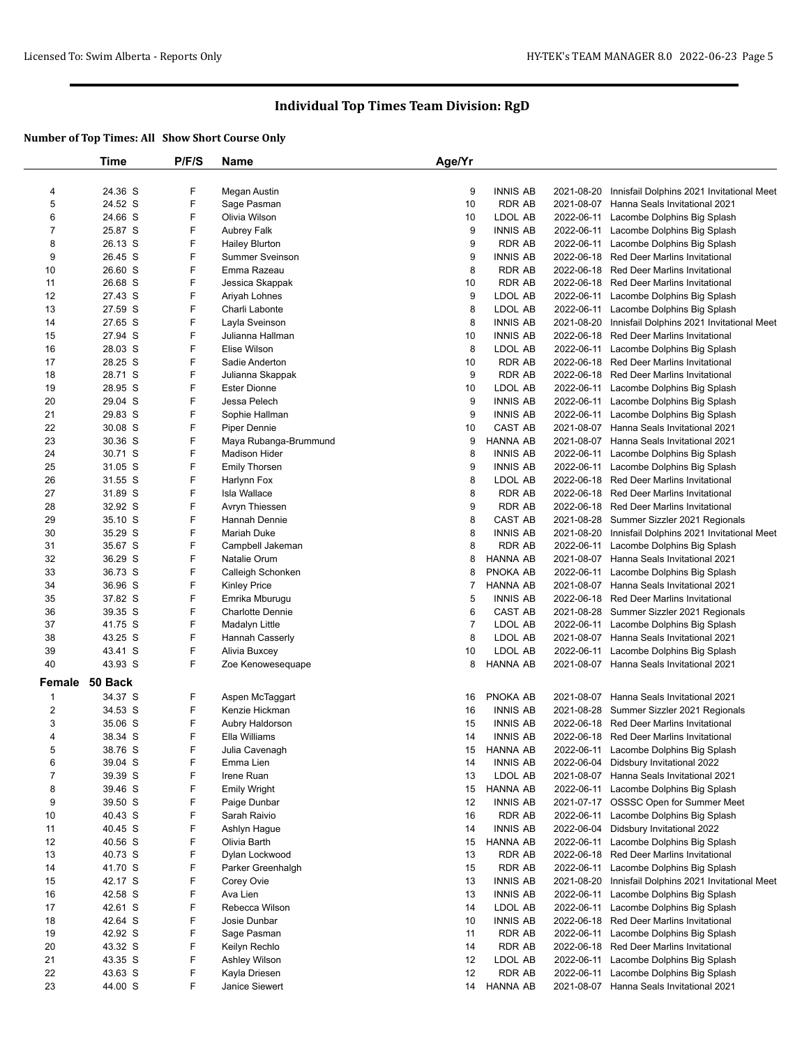|                         | Time           | P/F/S | <b>Name</b>             | Age/Yr         |                 |            |                                                      |
|-------------------------|----------------|-------|-------------------------|----------------|-----------------|------------|------------------------------------------------------|
|                         |                |       |                         |                |                 |            |                                                      |
| 4                       | 24.36 S        | F     | Megan Austin            | 9              | <b>INNIS AB</b> |            | 2021-08-20 Innisfail Dolphins 2021 Invitational Meet |
| 5                       | 24.52 S        | F     | Sage Pasman             | 10             | <b>RDR AB</b>   |            | 2021-08-07 Hanna Seals Invitational 2021             |
| 6                       | 24.66 S        | F     | Olivia Wilson           | 10             | LDOL AB         |            | 2022-06-11 Lacombe Dolphins Big Splash               |
| $\overline{7}$          | 25.87 S        | F     | Aubrey Falk             | 9              | <b>INNIS AB</b> |            | 2022-06-11 Lacombe Dolphins Big Splash               |
| 8                       | 26.13 S        | F     | <b>Hailey Blurton</b>   | 9              | <b>RDR AB</b>   |            | 2022-06-11 Lacombe Dolphins Big Splash               |
| 9                       | 26.45 S        | F     | <b>Summer Sveinson</b>  | 9              | <b>INNIS AB</b> |            | 2022-06-18 Red Deer Marlins Invitational             |
| 10                      | 26.60 S        | F     | Emma Razeau             | 8              | RDR AB          |            | 2022-06-18 Red Deer Marlins Invitational             |
| 11                      | 26.68 S        | F     | Jessica Skappak         | 10             | <b>RDR AB</b>   |            | 2022-06-18 Red Deer Marlins Invitational             |
| 12                      | 27.43 S        | F     | Ariyah Lohnes           | 9              | LDOL AB         |            | 2022-06-11 Lacombe Dolphins Big Splash               |
| 13                      | 27.59 S        | F     | Charli Labonte          | 8              | LDOL AB         |            | 2022-06-11 Lacombe Dolphins Big Splash               |
| 14                      | 27.65 S        | F     | Layla Sveinson          | 8              | <b>INNIS AB</b> | 2021-08-20 | Innisfail Dolphins 2021 Invitational Meet            |
| 15                      | 27.94 S        | F     | Julianna Hallman        | 10             | <b>INNIS AB</b> |            | 2022-06-18 Red Deer Marlins Invitational             |
| 16                      | 28.03 S        | F     | Elise Wilson            | 8              | LDOL AB         |            | 2022-06-11 Lacombe Dolphins Big Splash               |
| 17                      | 28.25 S        | F     | Sadie Anderton          | 10             | <b>RDR AB</b>   | 2022-06-18 | Red Deer Marlins Invitational                        |
| 18                      | 28.71 S        | F     | Julianna Skappak        | 9              | <b>RDR AB</b>   |            | 2022-06-18 Red Deer Marlins Invitational             |
| 19                      | 28.95 S        | F     | <b>Ester Dionne</b>     | 10             | LDOL AB         |            | 2022-06-11 Lacombe Dolphins Big Splash               |
| 20                      | 29.04 S        | F     | Jessa Pelech            | 9              | <b>INNIS AB</b> |            | 2022-06-11 Lacombe Dolphins Big Splash               |
| 21                      | 29.83 S        | F     | Sophie Hallman          | 9              | <b>INNIS AB</b> |            | 2022-06-11 Lacombe Dolphins Big Splash               |
| 22                      | 30.08 S        | F     | Piper Dennie            | 10             | CAST AB         |            | 2021-08-07 Hanna Seals Invitational 2021             |
| 23                      | 30.36 S        | F     | Maya Rubanga-Brummund   | 9              | HANNA AB        |            | 2021-08-07 Hanna Seals Invitational 2021             |
| 24                      | 30.71 S        | F     | <b>Madison Hider</b>    | 8              | <b>INNIS AB</b> |            | 2022-06-11 Lacombe Dolphins Big Splash               |
| 25                      | 31.05 S        | F     | <b>Emily Thorsen</b>    | 9              | <b>INNIS AB</b> |            | 2022-06-11 Lacombe Dolphins Big Splash               |
| 26                      | 31.55 S        | F     | Harlynn Fox             | 8              | LDOL AB         |            | 2022-06-18 Red Deer Marlins Invitational             |
| 27                      | 31.89 S        | F     | Isla Wallace            | 8              | <b>RDR AB</b>   |            | 2022-06-18 Red Deer Marlins Invitational             |
| 28                      | 32.92 S        | F     | Avryn Thiessen          | 9              | <b>RDR AB</b>   |            | 2022-06-18 Red Deer Marlins Invitational             |
| 29                      | 35.10 S        | F     | Hannah Dennie           | 8              | CAST AB         |            | 2021-08-28 Summer Sizzler 2021 Regionals             |
| 30                      | 35.29 S        | F     | <b>Mariah Duke</b>      | 8              | <b>INNIS AB</b> | 2021-08-20 | Innisfail Dolphins 2021 Invitational Meet            |
| 31                      | 35.67 S        | F     | Campbell Jakeman        | 8              | <b>RDR AB</b>   | 2022-06-11 | Lacombe Dolphins Big Splash                          |
| 32                      | 36.29 S        | F     | Natalie Orum            | 8              | <b>HANNA AB</b> |            | 2021-08-07 Hanna Seals Invitational 2021             |
| 33                      | 36.73 S        | F     | Calleigh Schonken       | 8              | PNOKA AB        |            | 2022-06-11 Lacombe Dolphins Big Splash               |
| 34                      | 36.96 S        | F     | <b>Kinley Price</b>     | $\overline{7}$ | <b>HANNA AB</b> |            | 2021-08-07 Hanna Seals Invitational 2021             |
| 35                      | 37.82 S        | F     | Emrika Mburugu          | 5              | <b>INNIS AB</b> |            | 2022-06-18 Red Deer Marlins Invitational             |
| 36                      | 39.35 S        | F     | <b>Charlotte Dennie</b> | 6              | CAST AB         | 2021-08-28 | Summer Sizzler 2021 Regionals                        |
| 37                      | 41.75 S        | F     | Madalyn Little          | $\overline{7}$ | LDOL AB         |            | 2022-06-11 Lacombe Dolphins Big Splash               |
| 38                      | 43.25 S        | F     | Hannah Casserly         | 8              | LDOL AB         |            | 2021-08-07 Hanna Seals Invitational 2021             |
| 39                      | 43.41 S        | F     | Alivia Buxcey           | 10             | LDOL AB         |            | 2022-06-11 Lacombe Dolphins Big Splash               |
| 40                      | 43.93 S        | F     | Zoe Kenowesequape       | 8              | <b>HANNA AB</b> |            | 2021-08-07 Hanna Seals Invitational 2021             |
|                         | Female 50 Back |       |                         |                |                 |            |                                                      |
|                         |                |       |                         |                |                 |            |                                                      |
| 1                       | 34.37 S        | F     | Aspen McTaggart         | 16             | PNOKA AB        | 2021-08-07 | Hanna Seals Invitational 2021                        |
| $\overline{\mathbf{c}}$ | 34.53 S        | F     | Kenzie Hickman          | 16             | <b>INNIS AB</b> |            | 2021-08-28 Summer Sizzler 2021 Regionals             |
| 3                       | 35.06 S        | F     | Aubry Haldorson         | 15             | <b>INNIS AB</b> |            | 2022-06-18 Red Deer Marlins Invitational             |
| 4                       | 38.34 S        | F     | Ella Williams           | 14             | <b>INNIS AB</b> |            | 2022-06-18 Red Deer Marlins Invitational             |
| 5                       | 38.76 S        | F     | Julia Cavenagh          | 15             | HANNA AB        |            | 2022-06-11 Lacombe Dolphins Big Splash               |
| 6                       | 39.04 S        | F     | Emma Lien               | 14             | <b>INNIS AB</b> |            | 2022-06-04 Didsbury Invitational 2022                |
| 7                       | 39.39 S        | F     | Irene Ruan              | 13             | LDOL AB         |            | 2021-08-07 Hanna Seals Invitational 2021             |
| 8                       | 39.46 S        | F     | <b>Emily Wright</b>     | 15             | HANNA AB        |            | 2022-06-11 Lacombe Dolphins Big Splash               |
| 9                       | 39.50 S        | F     | Paige Dunbar            | 12             | <b>INNIS AB</b> |            | 2021-07-17 OSSSC Open for Summer Meet                |
| 10                      | 40.43 S        | F     | Sarah Raivio            | 16             | RDR AB          |            | 2022-06-11 Lacombe Dolphins Big Splash               |
| 11                      | 40.45 S        | F     | Ashlyn Hague            | 14             | <b>INNIS AB</b> |            | 2022-06-04 Didsbury Invitational 2022                |
| 12                      | 40.56 S        | F     | Olivia Barth            | 15             | HANNA AB        |            | 2022-06-11 Lacombe Dolphins Big Splash               |
| 13                      | 40.73 S        | F     | Dylan Lockwood          | 13             | RDR AB          | 2022-06-18 | Red Deer Marlins Invitational                        |
| 14                      | 41.70 S        | F     | Parker Greenhalgh       | 15             | RDR AB          | 2022-06-11 | Lacombe Dolphins Big Splash                          |
| 15                      | 42.17 S        | F     | Corey Ovie              | 13             | <b>INNIS AB</b> | 2021-08-20 | Innisfail Dolphins 2021 Invitational Meet            |
| 16                      | 42.58 S        | F     | Ava Lien                | 13             | <b>INNIS AB</b> | 2022-06-11 | Lacombe Dolphins Big Splash                          |
| 17                      | 42.61 S        | F     | Rebecca Wilson          | 14             | LDOL AB         | 2022-06-11 | Lacombe Dolphins Big Splash                          |
| 18                      | 42.64 S        | F     | Josie Dunbar            | 10             | <b>INNIS AB</b> | 2022-06-18 | Red Deer Marlins Invitational                        |
| 19                      | 42.92 S        | F     | Sage Pasman             | 11             | RDR AB          | 2022-06-11 | Lacombe Dolphins Big Splash                          |
| 20                      | 43.32 S        | F     | Keilyn Rechlo           | 14             | <b>RDR AB</b>   |            | 2022-06-18 Red Deer Marlins Invitational             |
| 21                      | 43.35 S        | F     | Ashley Wilson           | 12             | LDOL AB         |            | 2022-06-11 Lacombe Dolphins Big Splash               |
| 22                      | 43.63 S        | F     | Kayla Driesen           | 12             | RDR AB          | 2022-06-11 | Lacombe Dolphins Big Splash                          |
| 23                      | 44.00 S        | F     | Janice Siewert          | 14             | HANNA AB        |            | 2021-08-07 Hanna Seals Invitational 2021             |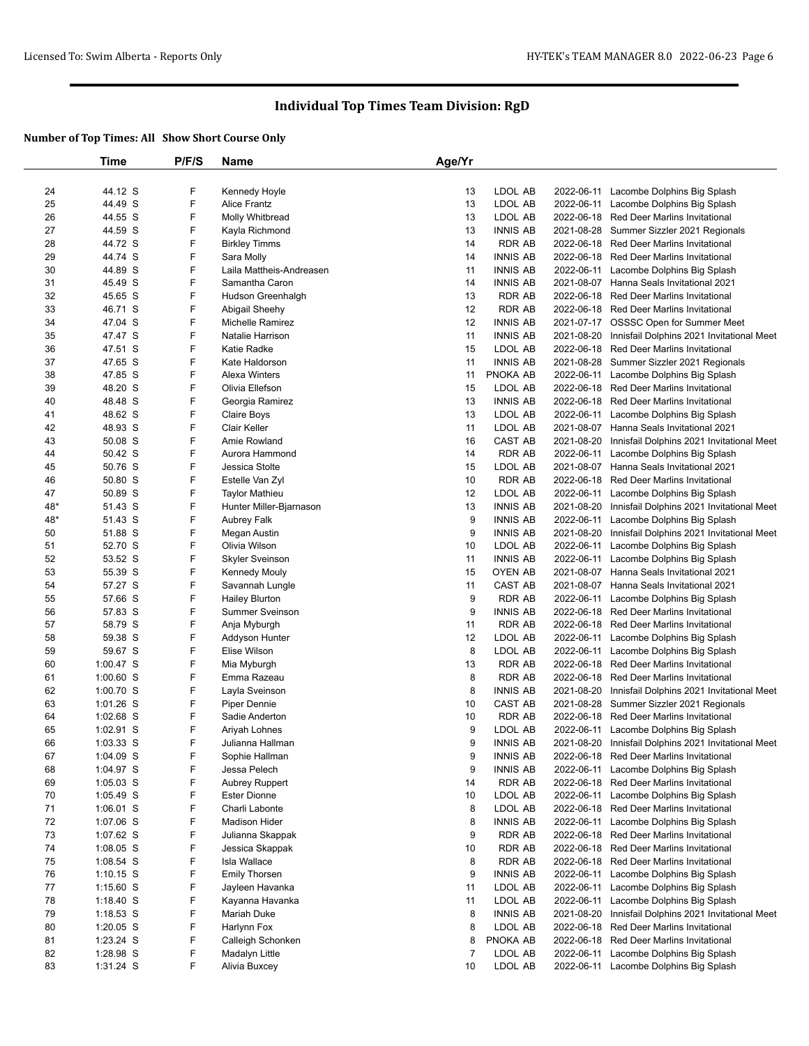|     | Time        | P/F/S | <b>Name</b>              | Age/Yr         |                 |            |                                                      |
|-----|-------------|-------|--------------------------|----------------|-----------------|------------|------------------------------------------------------|
|     |             |       |                          |                |                 |            |                                                      |
| 24  | 44.12 S     | F     | Kennedy Hoyle            | 13             | LDOL AB         |            | 2022-06-11 Lacombe Dolphins Big Splash               |
| 25  | 44.49 S     | F     | <b>Alice Frantz</b>      | 13             | LDOL AB         | 2022-06-11 | Lacombe Dolphins Big Splash                          |
| 26  | 44.55 S     | F     | Molly Whitbread          | 13             | LDOL AB         |            | 2022-06-18 Red Deer Marlins Invitational             |
| 27  | 44.59 S     | F     | Kayla Richmond           | 13             | <b>INNIS AB</b> | 2021-08-28 | Summer Sizzler 2021 Regionals                        |
| 28  | 44.72 S     | F     | <b>Birkley Timms</b>     | 14             | <b>RDR AB</b>   | 2022-06-18 | Red Deer Marlins Invitational                        |
|     | 44.74 S     | F     |                          | 14             | <b>INNIS AB</b> | 2022-06-18 | <b>Red Deer Marlins Invitational</b>                 |
| 29  |             |       | Sara Molly               |                |                 |            |                                                      |
| 30  | 44.89 S     | F     | Laila Mattheis-Andreasen | 11             | <b>INNIS AB</b> | 2022-06-11 | Lacombe Dolphins Big Splash                          |
| 31  | 45.49 S     | F     | Samantha Caron           | 14             | <b>INNIS AB</b> | 2021-08-07 | Hanna Seals Invitational 2021                        |
| 32  | 45.65 S     | F     | Hudson Greenhalgh        | 13             | <b>RDR AB</b>   | 2022-06-18 | Red Deer Marlins Invitational                        |
| 33  | 46.71 S     | F     | Abigail Sheehy           | 12             | <b>RDR AB</b>   |            | 2022-06-18 Red Deer Marlins Invitational             |
| 34  | 47.04 S     | F     | Michelle Ramirez         | 12             | <b>INNIS AB</b> |            | 2021-07-17 OSSSC Open for Summer Meet                |
| 35  | 47.47 S     | F     | Natalie Harrison         | 11             | <b>INNIS AB</b> | 2021-08-20 | Innisfail Dolphins 2021 Invitational Meet            |
| 36  | 47.51 S     | F     | Katie Radke              | 15             | LDOL AB         | 2022-06-18 | <b>Red Deer Marlins Invitational</b>                 |
| 37  | 47.65 S     | F     | Kate Haldorson           | 11             | <b>INNIS AB</b> | 2021-08-28 | Summer Sizzler 2021 Regionals                        |
| 38  | 47.85 S     | F     | <b>Alexa Winters</b>     | 11             | PNOKA AB        | 2022-06-11 | Lacombe Dolphins Big Splash                          |
| 39  | 48.20 S     | F     | Olivia Ellefson          | 15             | LDOL AB         | 2022-06-18 | Red Deer Marlins Invitational                        |
| 40  | 48.48 S     | F     | Georgia Ramirez          | 13             | <b>INNIS AB</b> | 2022-06-18 | Red Deer Marlins Invitational                        |
| 41  | 48.62 S     | F     | Claire Boys              | 13             | LDOL AB         | 2022-06-11 | Lacombe Dolphins Big Splash                          |
| 42  | 48.93 S     | F     | Clair Keller             | 11             | LDOL AB         | 2021-08-07 | Hanna Seals Invitational 2021                        |
| 43  | 50.08 S     | F     | Amie Rowland             | 16             | CAST AB         | 2021-08-20 | Innisfail Dolphins 2021 Invitational Meet            |
| 44  | 50.42 S     | F     | Aurora Hammond           | 14             | <b>RDR AB</b>   | 2022-06-11 | Lacombe Dolphins Big Splash                          |
| 45  | 50.76 S     | F     | Jessica Stolte           | 15             | LDOL AB         | 2021-08-07 | Hanna Seals Invitational 2021                        |
| 46  | 50.80 S     | F     | Estelle Van Zyl          | 10             | <b>RDR AB</b>   | 2022-06-18 | Red Deer Marlins Invitational                        |
|     |             | F     |                          | 12             |                 |            |                                                      |
| 47  | 50.89 S     |       | <b>Taylor Mathieu</b>    |                | LDOL AB         | 2022-06-11 | Lacombe Dolphins Big Splash                          |
| 48* | 51.43 S     | F     | Hunter Miller-Bjarnason  | 13             | <b>INNIS AB</b> | 2021-08-20 | Innisfail Dolphins 2021 Invitational Meet            |
| 48* | 51.43 S     | F     | Aubrey Falk              | 9              | <b>INNIS AB</b> | 2022-06-11 | Lacombe Dolphins Big Splash                          |
| 50  | 51.88 S     | F     | Megan Austin             | 9              | <b>INNIS AB</b> | 2021-08-20 | Innisfail Dolphins 2021 Invitational Meet            |
| 51  | 52.70 S     | F     | Olivia Wilson            | 10             | LDOL AB         | 2022-06-11 | Lacombe Dolphins Big Splash                          |
| 52  | 53.52 S     | F     | <b>Skyler Sveinson</b>   | 11             | <b>INNIS AB</b> | 2022-06-11 | Lacombe Dolphins Big Splash                          |
| 53  | 55.39 S     | F     | <b>Kennedy Mouly</b>     | 15             | <b>OYEN AB</b>  |            | 2021-08-07 Hanna Seals Invitational 2021             |
| 54  | 57.27 S     | F     | Savannah Lungle          | 11             | <b>CAST AB</b>  | 2021-08-07 | Hanna Seals Invitational 2021                        |
| 55  | 57.66 S     | F     | <b>Hailey Blurton</b>    | 9              | <b>RDR AB</b>   | 2022-06-11 | Lacombe Dolphins Big Splash                          |
| 56  | 57.83 S     | F     | <b>Summer Sveinson</b>   | 9              | <b>INNIS AB</b> | 2022-06-18 | Red Deer Marlins Invitational                        |
| 57  | 58.79 S     | F     | Anja Myburgh             | 11             | <b>RDR AB</b>   | 2022-06-18 | Red Deer Marlins Invitational                        |
| 58  | 59.38 S     | F     | Addyson Hunter           | 12             | LDOL AB         |            | 2022-06-11 Lacombe Dolphins Big Splash               |
| 59  | 59.67 S     | F     | Elise Wilson             | 8              | LDOL AB         |            | 2022-06-11 Lacombe Dolphins Big Splash               |
| 60  | $1:00.47$ S | F     | Mia Myburgh              | 13             | <b>RDR AB</b>   |            | 2022-06-18 Red Deer Marlins Invitational             |
| 61  | $1:00.60$ S | F     | Emma Razeau              | 8              | <b>RDR AB</b>   | 2022-06-18 | <b>Red Deer Marlins Invitational</b>                 |
| 62  | $1:00.70$ S | F     | Layla Sveinson           | 8              | <b>INNIS AB</b> | 2021-08-20 | Innisfail Dolphins 2021 Invitational Meet            |
| 63  | $1:01.26$ S | F     | Piper Dennie             | 10             | CAST AB         | 2021-08-28 | Summer Sizzler 2021 Regionals                        |
| 64  | $1:02.68$ S | F     | Sadie Anderton           | 10             | <b>RDR AB</b>   | 2022-06-18 | Red Deer Marlins Invitational                        |
| 65  | 1:02.91 S   | F     | Ariyah Lohnes            | 9              | LDOL AB         | 2022-06-11 | Lacombe Dolphins Big Splash                          |
| 66  | $1:03.33$ S | F     | Julianna Hallman         | 9              | <b>INNIS AB</b> |            | 2021-08-20 Innisfail Dolphins 2021 Invitational Meet |
|     |             |       |                          |                |                 |            |                                                      |
| 67  | $1:04.09$ S | F     | Sophie Hallman           | 9              | <b>INNIS AB</b> |            | 2022-06-18 Red Deer Marlins Invitational             |
| 68  | 1:04.97 S   | F     | Jessa Pelech             | 9              | <b>INNIS AB</b> | 2022-06-11 | Lacombe Dolphins Big Splash                          |
| 69  | $1:05.03$ S | F     | <b>Aubrey Ruppert</b>    | 14             | <b>RDR AB</b>   | 2022-06-18 | Red Deer Marlins Invitational                        |
| 70  | $1:05.49$ S | F     | <b>Ester Dionne</b>      | 10             | LDOL AB         | 2022-06-11 | Lacombe Dolphins Big Splash                          |
| 71  | $1:06.01$ S | F     | Charli Labonte           | 8              | LDOL AB         | 2022-06-18 | Red Deer Marlins Invitational                        |
| 72  | 1:07.06 S   | F     | <b>Madison Hider</b>     | 8              | <b>INNIS AB</b> | 2022-06-11 | Lacombe Dolphins Big Splash                          |
| 73  | 1:07.62 S   | F     | Julianna Skappak         | 9              | <b>RDR AB</b>   |            | 2022-06-18 Red Deer Marlins Invitational             |
| 74  | $1:08.05$ S | F     | Jessica Skappak          | 10             | <b>RDR AB</b>   | 2022-06-18 | Red Deer Marlins Invitational                        |
| 75  | $1:08.54$ S | F     | Isla Wallace             | 8              | <b>RDR AB</b>   | 2022-06-18 | Red Deer Marlins Invitational                        |
| 76  | $1:10.15$ S | F     | <b>Emily Thorsen</b>     | 9              | <b>INNIS AB</b> | 2022-06-11 | Lacombe Dolphins Big Splash                          |
| 77  | $1:15.60$ S | F     | Jayleen Havanka          | 11             | LDOL AB         | 2022-06-11 | Lacombe Dolphins Big Splash                          |
| 78  | 1:18.40 S   | F     | Kayanna Havanka          | 11             | LDOL AB         | 2022-06-11 | Lacombe Dolphins Big Splash                          |
| 79  | $1:18.53$ S | F     | Mariah Duke              | 8              | <b>INNIS AB</b> | 2021-08-20 | Innisfail Dolphins 2021 Invitational Meet            |
| 80  | $1:20.05$ S | F     | Harlynn Fox              | 8              | LDOL AB         | 2022-06-18 | Red Deer Marlins Invitational                        |
| 81  | 1:23.24 S   | F     | Calleigh Schonken        | 8              | PNOKA AB        | 2022-06-18 | Red Deer Marlins Invitational                        |
| 82  | 1:28.98 S   | F     | Madalyn Little           | $\overline{7}$ | LDOL AB         | 2022-06-11 | Lacombe Dolphins Big Splash                          |
| 83  | $1:31.24$ S | F     | Alivia Buxcey            | 10             | LDOL AB         |            | 2022-06-11 Lacombe Dolphins Big Splash               |
|     |             |       |                          |                |                 |            |                                                      |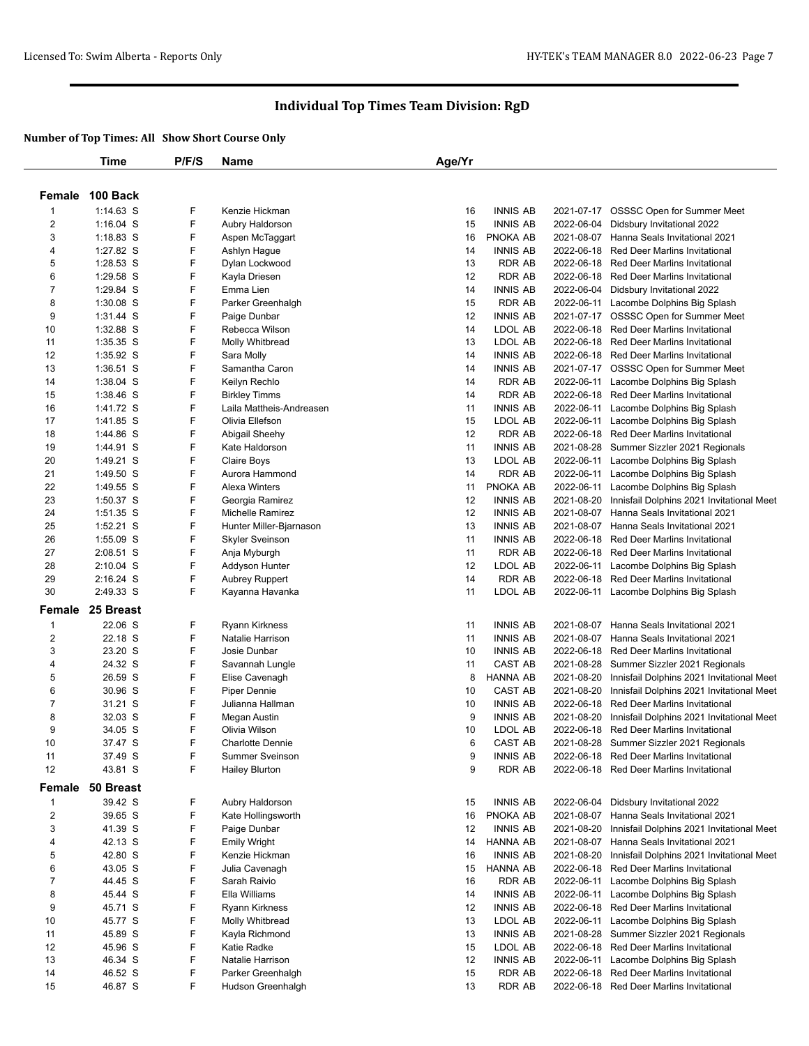|                         | Time             | P/F/S | Name                     | Age/Yr |                 |            |                                           |
|-------------------------|------------------|-------|--------------------------|--------|-----------------|------------|-------------------------------------------|
|                         |                  |       |                          |        |                 |            |                                           |
| Female                  | 100 Back         |       |                          |        |                 |            |                                           |
| $\mathbf 1$             | 1:14.63 S        | F     | Kenzie Hickman           | 16     | <b>INNIS AB</b> |            | 2021-07-17 OSSSC Open for Summer Meet     |
| $\overline{c}$          | $1:16.04$ S      | F     | Aubry Haldorson          | 15     | <b>INNIS AB</b> |            | 2022-06-04 Didsbury Invitational 2022     |
| 3                       | 1:18.83 S        | F     | Aspen McTaggart          | 16     | PNOKA AB        |            | 2021-08-07 Hanna Seals Invitational 2021  |
| 4                       | 1:27.82 S        | F     | Ashlyn Hague             | 14     | <b>INNIS AB</b> |            | 2022-06-18 Red Deer Marlins Invitational  |
| 5                       | 1:28.53 S        | F     | Dylan Lockwood           | 13     | <b>RDR AB</b>   | 2022-06-18 | Red Deer Marlins Invitational             |
| 6                       | 1:29.58 S        | F     | Kayla Driesen            | 12     | <b>RDR AB</b>   |            | 2022-06-18 Red Deer Marlins Invitational  |
| $\overline{7}$          | 1:29.84 S        | F     | Emma Lien                | 14     | <b>INNIS AB</b> |            | 2022-06-04 Didsbury Invitational 2022     |
| 8                       | 1:30.08 S        | F     | Parker Greenhalgh        | 15     | <b>RDR AB</b>   |            | 2022-06-11 Lacombe Dolphins Big Splash    |
| 9                       | 1:31.44 S        | F     | Paige Dunbar             | 12     | <b>INNIS AB</b> |            | 2021-07-17 OSSSC Open for Summer Meet     |
| 10                      | 1:32.88 S        | F     | Rebecca Wilson           | 14     | LDOL AB         |            | 2022-06-18 Red Deer Marlins Invitational  |
| 11                      | 1:35.35 S        | F     | Molly Whitbread          | 13     | LDOL AB         |            | 2022-06-18 Red Deer Marlins Invitational  |
| 12                      | 1:35.92 S        | F     | Sara Molly               | 14     | <b>INNIS AB</b> |            | 2022-06-18 Red Deer Marlins Invitational  |
| 13                      | 1:36.51 S        | F     | Samantha Caron           | 14     | <b>INNIS AB</b> |            | 2021-07-17 OSSSC Open for Summer Meet     |
| 14                      | 1:38.04 S        | F     | Keilyn Rechlo            | 14     | <b>RDR AB</b>   |            | 2022-06-11 Lacombe Dolphins Big Splash    |
| 15                      | 1:38.46 S        | F     | <b>Birkley Timms</b>     | 14     | RDR AB          |            | 2022-06-18 Red Deer Marlins Invitational  |
| 16                      | 1:41.72 S        | F     | Laila Mattheis-Andreasen | 11     | <b>INNIS AB</b> | 2022-06-11 | Lacombe Dolphins Big Splash               |
| 17                      | 1:41.85 S        | F     | Olivia Ellefson          | 15     | LDOL AB         | 2022-06-11 | Lacombe Dolphins Big Splash               |
| 18                      | 1:44.86 S        | F     | Abigail Sheehy           | 12     | RDR AB          | 2022-06-18 | <b>Red Deer Marlins Invitational</b>      |
| 19                      | 1:44.91 S        | F     | Kate Haldorson           | 11     | <b>INNIS AB</b> | 2021-08-28 | Summer Sizzler 2021 Regionals             |
| 20                      | 1:49.21 S        | F     | Claire Boys              | 13     | LDOL AB         | 2022-06-11 | Lacombe Dolphins Big Splash               |
| 21                      | 1:49.50 S        | F     | Aurora Hammond           | 14     | <b>RDR AB</b>   | 2022-06-11 | Lacombe Dolphins Big Splash               |
| 22                      | 1:49.55 S        | F     | Alexa Winters            | 11     | PNOKA AB        | 2022-06-11 | Lacombe Dolphins Big Splash               |
| 23                      | 1:50.37 S        | F     | Georgia Ramirez          | 12     | <b>INNIS AB</b> | 2021-08-20 | Innisfail Dolphins 2021 Invitational Meet |
| 24                      | $1:51.35$ S      | F     | Michelle Ramirez         | 12     | <b>INNIS AB</b> | 2021-08-07 | Hanna Seals Invitational 2021             |
| 25                      | 1:52.21 S        | F     | Hunter Miller-Bjarnason  | 13     | <b>INNIS AB</b> | 2021-08-07 | Hanna Seals Invitational 2021             |
| 26                      | 1:55.09 S        | F     | <b>Skyler Sveinson</b>   | 11     | <b>INNIS AB</b> |            | 2022-06-18 Red Deer Marlins Invitational  |
| 27                      | 2:08.51 S        | F     | Anja Myburgh             | 11     | <b>RDR AB</b>   | 2022-06-18 | Red Deer Marlins Invitational             |
| 28                      | 2:10.04 S        | F     | Addyson Hunter           | 12     | LDOL AB         | 2022-06-11 | Lacombe Dolphins Big Splash               |
| 29                      | 2:16.24 S        | F     | <b>Aubrey Ruppert</b>    | 14     | <b>RDR AB</b>   |            | 2022-06-18 Red Deer Marlins Invitational  |
| 30                      | 2:49.33 S        | F     | Kayanna Havanka          | 11     | LDOL AB         |            | 2022-06-11 Lacombe Dolphins Big Splash    |
| Female                  | 25 Breast        |       |                          |        |                 |            |                                           |
| 1                       | 22.06 S          | F     | Ryann Kirkness           | 11     | <b>INNIS AB</b> |            | 2021-08-07 Hanna Seals Invitational 2021  |
| $\overline{\mathbf{c}}$ | 22.18 S          | F     | Natalie Harrison         | 11     | <b>INNIS AB</b> | 2021-08-07 | Hanna Seals Invitational 2021             |
| 3                       | 23.20 S          | F     | Josie Dunbar             | 10     | <b>INNIS AB</b> |            | 2022-06-18 Red Deer Marlins Invitational  |
| 4                       | 24.32 S          | F     | Savannah Lungle          | 11     | CAST AB         | 2021-08-28 | Summer Sizzler 2021 Regionals             |
| 5                       | 26.59 S          | F     | Elise Cavenagh           | 8      | HANNA AB        | 2021-08-20 | Innisfail Dolphins 2021 Invitational Meet |
| 6                       | 30.96 S          | F     | Piper Dennie             | 10     | CAST AB         | 2021-08-20 | Innisfail Dolphins 2021 Invitational Meet |
| $\overline{7}$          | 31.21 S          | F     | Julianna Hallman         | 10     | <b>INNIS AB</b> | 2022-06-18 | Red Deer Marlins Invitational             |
| 8                       | 32.03 S          | F     | Megan Austin             | 9      | <b>INNIS AB</b> | 2021-08-20 | Innisfail Dolphins 2021 Invitational Meet |
| 9                       | 34.05 S          | F     | Olivia Wilson            | 10     | LDOL AB         |            | 2022-06-18 Red Deer Marlins Invitational  |
| 10                      | 37.47 S          | F     | <b>Charlotte Dennie</b>  | 6      | CAST AB         |            | 2021-08-28 Summer Sizzler 2021 Regionals  |
| 11                      | 37.49 S          | F     | <b>Summer Sveinson</b>   | 9      | <b>INNIS AB</b> |            | 2022-06-18 Red Deer Marlins Invitational  |
| 12                      | 43.81 S          | F     | <b>Hailey Blurton</b>    | 9      | <b>RDR AB</b>   |            | 2022-06-18 Red Deer Marlins Invitational  |
|                         | Female 50 Breast |       |                          |        |                 |            |                                           |
| 1                       | 39.42 S          | F     | Aubry Haldorson          | 15     | <b>INNIS AB</b> | 2022-06-04 | Didsbury Invitational 2022                |
| 2                       | 39.65 S          | F     | Kate Hollingsworth       | 16     | PNOKA AB        | 2021-08-07 | Hanna Seals Invitational 2021             |
| 3                       | 41.39 S          | F     | Paige Dunbar             | 12     | <b>INNIS AB</b> | 2021-08-20 | Innisfail Dolphins 2021 Invitational Meet |
| 4                       | 42.13 S          | F     | <b>Emily Wright</b>      | 14     | HANNA AB        | 2021-08-07 | Hanna Seals Invitational 2021             |
| 5                       | 42.80 S          | F     | Kenzie Hickman           | 16     | <b>INNIS AB</b> | 2021-08-20 | Innisfail Dolphins 2021 Invitational Meet |
| 6                       | 43.05 S          | F     | Julia Cavenagh           | 15     | HANNA AB        | 2022-06-18 | Red Deer Marlins Invitational             |
| 7                       | 44.45 S          | F     | Sarah Raivio             | 16     | <b>RDR AB</b>   | 2022-06-11 | Lacombe Dolphins Big Splash               |
| 8                       | 45.44 S          | F     | Ella Williams            | 14     | <b>INNIS AB</b> | 2022-06-11 | Lacombe Dolphins Big Splash               |
| 9                       | 45.71 S          | F     | Ryann Kirkness           | 12     | <b>INNIS AB</b> |            | 2022-06-18 Red Deer Marlins Invitational  |
| 10                      | 45.77 S          | F     | Molly Whitbread          | 13     | LDOL AB         | 2022-06-11 | Lacombe Dolphins Big Splash               |
| 11                      | 45.89 S          | F     | Kayla Richmond           | 13     | <b>INNIS AB</b> | 2021-08-28 | Summer Sizzler 2021 Regionals             |
| 12                      | 45.96 S          | F     | Katie Radke              | 15     | LDOL AB         | 2022-06-18 | Red Deer Marlins Invitational             |
| 13                      | 46.34 S          | F     | Natalie Harrison         | 12     | <b>INNIS AB</b> | 2022-06-11 | Lacombe Dolphins Big Splash               |
| 14                      | 46.52 S          | F     | Parker Greenhalgh        | 15     | RDR AB          |            | 2022-06-18 Red Deer Marlins Invitational  |
| 15                      | 46.87 S          | F     | Hudson Greenhalgh        | 13     | <b>RDR AB</b>   |            | 2022-06-18 Red Deer Marlins Invitational  |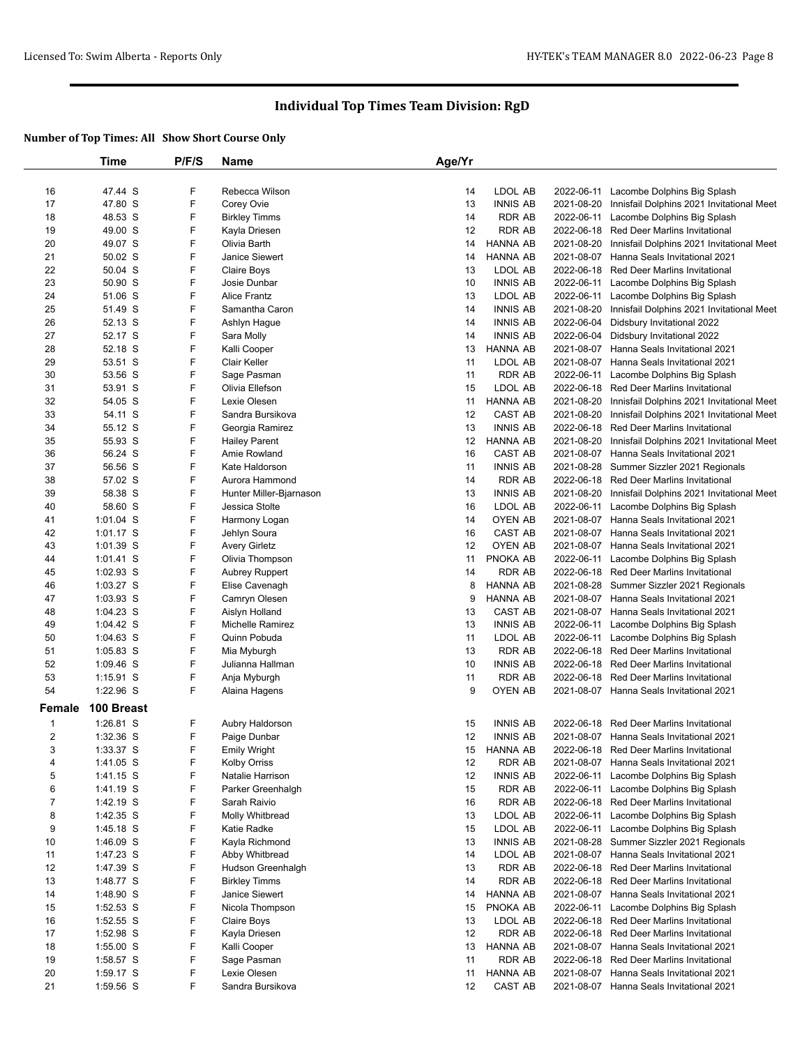|                | Time        | P/F/S | <b>Name</b>             | Age/Yr |                 |            |                                           |
|----------------|-------------|-------|-------------------------|--------|-----------------|------------|-------------------------------------------|
|                |             |       |                         |        |                 |            |                                           |
| 16             | 47.44 S     | F     | Rebecca Wilson          | 14     | LDOL AB         |            | 2022-06-11 Lacombe Dolphins Big Splash    |
| 17             | 47.80 S     | F     | Corey Ovie              | 13     | <b>INNIS AB</b> | 2021-08-20 | Innisfail Dolphins 2021 Invitational Meet |
| 18             | 48.53 S     | F     | <b>Birkley Timms</b>    | 14     | <b>RDR AB</b>   |            | 2022-06-11 Lacombe Dolphins Big Splash    |
| 19             | 49.00 S     | F     | Kayla Driesen           | 12     | <b>RDR AB</b>   | 2022-06-18 | Red Deer Marlins Invitational             |
| 20             | 49.07 S     | F     | Olivia Barth            | 14     | <b>HANNA AB</b> | 2021-08-20 | Innisfail Dolphins 2021 Invitational Meet |
| 21             | 50.02 S     | F     | Janice Siewert          | 14     | <b>HANNA AB</b> |            | 2021-08-07 Hanna Seals Invitational 2021  |
| 22             | 50.04 S     | F     | Claire Boys             | 13     | LDOL AB         | 2022-06-18 | <b>Red Deer Marlins Invitational</b>      |
| 23             | 50.90 S     | F     | Josie Dunbar            | 10     | <b>INNIS AB</b> |            | 2022-06-11 Lacombe Dolphins Big Splash    |
| 24             | 51.06 S     | F     | <b>Alice Frantz</b>     | 13     | LDOL AB         |            | 2022-06-11 Lacombe Dolphins Big Splash    |
| 25             | 51.49 S     | F     | Samantha Caron          | 14     | <b>INNIS AB</b> | 2021-08-20 | Innisfail Dolphins 2021 Invitational Meet |
| 26             | 52.13 S     | F     | Ashlyn Hague            | 14     | <b>INNIS AB</b> | 2022-06-04 | Didsbury Invitational 2022                |
| 27             | 52.17 S     | F     | Sara Molly              | 14     | <b>INNIS AB</b> |            | 2022-06-04 Didsbury Invitational 2022     |
| 28             | 52.18 S     | F     | Kalli Cooper            | 13     | <b>HANNA AB</b> |            | 2021-08-07 Hanna Seals Invitational 2021  |
| 29             | 53.51 S     | F     | Clair Keller            | 11     | LDOL AB         |            | 2021-08-07 Hanna Seals Invitational 2021  |
| 30             | 53.56 S     | F     | Sage Pasman             | 11     | <b>RDR AB</b>   |            | 2022-06-11 Lacombe Dolphins Big Splash    |
| 31             | 53.91 S     | F     | Olivia Ellefson         | 15     | LDOL AB         |            | 2022-06-18 Red Deer Marlins Invitational  |
| 32             | 54.05 S     | F     | Lexie Olesen            | 11     | <b>HANNA AB</b> | 2021-08-20 | Innisfail Dolphins 2021 Invitational Meet |
| 33             | 54.11 S     | F     | Sandra Bursikova        | 12     | <b>CAST AB</b>  | 2021-08-20 | Innisfail Dolphins 2021 Invitational Meet |
| 34             | 55.12 S     | F     | Georgia Ramirez         | 13     | <b>INNIS AB</b> | 2022-06-18 | <b>Red Deer Marlins Invitational</b>      |
| 35             | 55.93 S     | F     | <b>Hailey Parent</b>    | 12     | <b>HANNA AB</b> | 2021-08-20 | Innisfail Dolphins 2021 Invitational Meet |
| 36             | 56.24 S     | F     | Amie Rowland            | 16     | <b>CAST AB</b>  |            | 2021-08-07 Hanna Seals Invitational 2021  |
| 37             | 56.56 S     | F     | Kate Haldorson          | 11     | <b>INNIS AB</b> | 2021-08-28 | Summer Sizzler 2021 Regionals             |
| 38             | 57.02 S     | F     | Aurora Hammond          | 14     | <b>RDR AB</b>   | 2022-06-18 | Red Deer Marlins Invitational             |
| 39             | 58.38 S     | F     | Hunter Miller-Bjarnason | 13     | <b>INNIS AB</b> | 2021-08-20 | Innisfail Dolphins 2021 Invitational Meet |
| 40             | 58.60 S     | F     | Jessica Stolte          | 16     | LDOL AB         | 2022-06-11 | Lacombe Dolphins Big Splash               |
| 41             | 1:01.04 S   | F     | Harmony Logan           | 14     | OYEN AB         |            | 2021-08-07 Hanna Seals Invitational 2021  |
| 42             | $1:01.17$ S | F     | Jehlyn Soura            | 16     | CAST AB         |            | 2021-08-07 Hanna Seals Invitational 2021  |
| 43             | 1:01.39 S   | F     | <b>Avery Girletz</b>    | 12     | OYEN AB         | 2021-08-07 | Hanna Seals Invitational 2021             |
| 44             | $1:01.41$ S | F     | Olivia Thompson         | 11     | PNOKA AB        | 2022-06-11 | Lacombe Dolphins Big Splash               |
| 45             | 1:02.93 S   | F     | <b>Aubrey Ruppert</b>   | 14     | <b>RDR AB</b>   |            | 2022-06-18 Red Deer Marlins Invitational  |
| 46             | $1:03.27$ S | F     | Elise Cavenagh          | 8      | <b>HANNA AB</b> |            | 2021-08-28 Summer Sizzler 2021 Regionals  |
| 47             | $1:03.93$ S | F     | Camryn Olesen           | 9      | <b>HANNA AB</b> |            | 2021-08-07 Hanna Seals Invitational 2021  |
| 48             | 1:04.23 S   | F     | Aislyn Holland          | 13     | <b>CAST AB</b>  |            | 2021-08-07 Hanna Seals Invitational 2021  |
| 49             | 1:04.42 S   | F     | Michelle Ramirez        | 13     | <b>INNIS AB</b> | 2022-06-11 | Lacombe Dolphins Big Splash               |
| 50             | $1:04.63$ S | F     | Quinn Pobuda            | 11     | LDOL AB         |            | 2022-06-11 Lacombe Dolphins Big Splash    |
| 51             | 1:05.83 S   | F     | Mia Myburgh             | 13     | <b>RDR AB</b>   |            | 2022-06-18 Red Deer Marlins Invitational  |
| 52             | $1:09.46$ S | F     | Julianna Hallman        | 10     | <b>INNIS AB</b> |            | 2022-06-18 Red Deer Marlins Invitational  |
| 53             | 1:15.91 S   | F     | Anja Myburgh            | 11     | <b>RDR AB</b>   | 2022-06-18 | <b>Red Deer Marlins Invitational</b>      |
| 54             | 1:22.96 S   | F     | Alaina Hagens           | 9      | OYEN AB         |            | 2021-08-07 Hanna Seals Invitational 2021  |
| Female         | 100 Breast  |       |                         |        |                 |            |                                           |
| 1              | 1:26.81 S   | F     | Aubry Haldorson         | 15     | <b>INNIS AB</b> |            | 2022-06-18 Red Deer Marlins Invitational  |
| $\overline{c}$ | 1:32.36 S   | F     | Paige Dunbar            | 12     | <b>INNIS AB</b> |            | 2021-08-07 Hanna Seals Invitational 2021  |
| 3              | 1:33.37 S   | F     | Emily Wright            |        | 15 HANNA AB     |            | 2022-06-18 Red Deer Marlins Invitational  |
| 4              | 1:41.05 S   | F     | <b>Kolby Orriss</b>     | 12     | RDR AB          |            | 2021-08-07 Hanna Seals Invitational 2021  |
| 5              | 1:41.15 S   | F     | Natalie Harrison        | 12     | <b>INNIS AB</b> |            | 2022-06-11 Lacombe Dolphins Big Splash    |
| 6              | 1:41.19 S   | F     | Parker Greenhalgh       | 15     | RDR AB          |            | 2022-06-11 Lacombe Dolphins Big Splash    |
| 7              | 1:42.19 S   | F     | Sarah Raivio            | 16     | <b>RDR AB</b>   |            | 2022-06-18 Red Deer Marlins Invitational  |
| 8              | 1:42.35 S   | F     | Molly Whitbread         | 13     | LDOL AB         |            | 2022-06-11 Lacombe Dolphins Big Splash    |
| 9              | 1:45.18 S   | F     | Katie Radke             | 15     | LDOL AB         |            | 2022-06-11 Lacombe Dolphins Big Splash    |
| 10             | 1:46.09 S   | F     | Kayla Richmond          | 13     | <b>INNIS AB</b> |            | 2021-08-28 Summer Sizzler 2021 Regionals  |
| 11             | 1:47.23 S   | F     | Abby Whitbread          | 14     | LDOL AB         |            | 2021-08-07 Hanna Seals Invitational 2021  |
| 12             | 1:47.39 S   | F     | Hudson Greenhalgh       | 13     | RDR AB          | 2022-06-18 | Red Deer Marlins Invitational             |
| 13             | 1:48.77 S   | F     | <b>Birkley Timms</b>    | 14     | <b>RDR AB</b>   |            | 2022-06-18 Red Deer Marlins Invitational  |
| 14             | 1:48.90 S   | F     | Janice Siewert          | 14     | <b>HANNA AB</b> |            | 2021-08-07 Hanna Seals Invitational 2021  |
| 15             | $1:52.53$ S | F     | Nicola Thompson         | 15     | PNOKA AB        |            | 2022-06-11 Lacombe Dolphins Big Splash    |
| 16             | 1:52.55 S   | F     | Claire Boys             | 13     | LDOL AB         |            | 2022-06-18 Red Deer Marlins Invitational  |
| 17             | 1:52.98 S   | F     | Kayla Driesen           | 12     | RDR AB          |            | 2022-06-18 Red Deer Marlins Invitational  |
| 18             | $1:55.00$ S | F     | Kalli Cooper            | 13     | <b>HANNA AB</b> |            | 2021-08-07 Hanna Seals Invitational 2021  |
| 19             | 1:58.57 S   | F     | Sage Pasman             | 11     | <b>RDR AB</b>   |            | 2022-06-18 Red Deer Marlins Invitational  |
| 20             | 1:59.17 S   | F     | Lexie Olesen            | 11     | HANNA AB        |            | 2021-08-07 Hanna Seals Invitational 2021  |
| 21             | 1:59.56 S   | F     | Sandra Bursikova        | 12     | CAST AB         |            | 2021-08-07 Hanna Seals Invitational 2021  |
|                |             |       |                         |        |                 |            |                                           |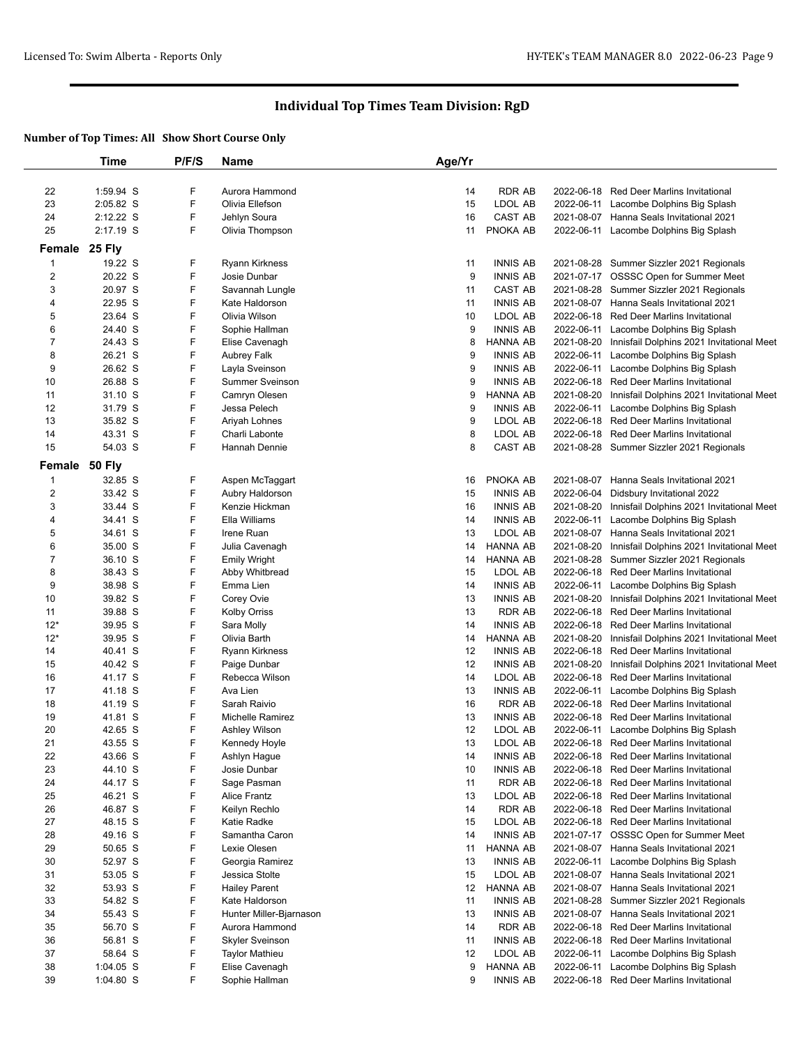|                         | Time               | P/F/S | Name                           | Age/Yr   |                                  |                          |                                                                                   |
|-------------------------|--------------------|-------|--------------------------------|----------|----------------------------------|--------------------------|-----------------------------------------------------------------------------------|
|                         |                    |       |                                |          |                                  |                          |                                                                                   |
| 22                      | 1:59.94 S          | F     | Aurora Hammond                 | 14       | <b>RDR AB</b>                    |                          | 2022-06-18 Red Deer Marlins Invitational                                          |
| 23                      | 2:05.82 S          | F     | Olivia Ellefson                | 15       | LDOL AB                          |                          | 2022-06-11 Lacombe Dolphins Big Splash                                            |
| 24                      | 2:12.22 S          | F     | Jehlyn Soura                   | 16       | <b>CAST AB</b>                   |                          | 2021-08-07 Hanna Seals Invitational 2021                                          |
| 25                      | 2:17.19 S          | F     | Olivia Thompson                | 11       | PNOKA AB                         |                          | 2022-06-11 Lacombe Dolphins Big Splash                                            |
| Female 25 Fly           |                    |       |                                |          |                                  |                          |                                                                                   |
|                         |                    |       |                                |          |                                  |                          |                                                                                   |
| -1                      | 19.22 S            | F     | <b>Ryann Kirkness</b>          | 11       | <b>INNIS AB</b>                  |                          | 2021-08-28 Summer Sizzler 2021 Regionals                                          |
| $\overline{\mathbf{c}}$ | 20.22 S            | F     | Josie Dunbar                   | 9        | <b>INNIS AB</b>                  |                          | 2021-07-17 OSSSC Open for Summer Meet                                             |
| 3                       | 20.97 S            | F     | Savannah Lungle                | 11       | CAST AB                          | 2021-08-28               | Summer Sizzler 2021 Regionals                                                     |
| 4                       | 22.95 S            | F     | Kate Haldorson                 | 11       | <b>INNIS AB</b>                  |                          | 2021-08-07 Hanna Seals Invitational 2021                                          |
| 5                       | 23.64 S            | F     | Olivia Wilson                  | 10       | LDOL AB                          |                          | 2022-06-18 Red Deer Marlins Invitational                                          |
| 6                       | 24.40 S            | F     | Sophie Hallman                 | 9        | <b>INNIS AB</b>                  | 2022-06-11               | Lacombe Dolphins Big Splash                                                       |
| 7                       | 24.43 S            | F     | Elise Cavenagh                 | 8        | <b>HANNA AB</b>                  | 2021-08-20               | Innisfail Dolphins 2021 Invitational Meet                                         |
| 8                       | 26.21 S            | F     | Aubrey Falk                    | 9        | <b>INNIS AB</b>                  | 2022-06-11               | Lacombe Dolphins Big Splash                                                       |
| 9                       | 26.62 S            | F     | Layla Sveinson                 | 9        | <b>INNIS AB</b>                  |                          | 2022-06-11 Lacombe Dolphins Big Splash                                            |
| 10                      | 26.88 S            | F     | Summer Sveinson                | 9        | <b>INNIS AB</b>                  | 2022-06-18               | <b>Red Deer Marlins Invitational</b>                                              |
| 11                      | 31.10 S            | F     | Camryn Olesen                  | 9        | <b>HANNA AB</b>                  | 2021-08-20               | Innisfail Dolphins 2021 Invitational Meet                                         |
| 12                      | 31.79 S            | F     | Jessa Pelech                   | 9        | <b>INNIS AB</b>                  | 2022-06-11               | Lacombe Dolphins Big Splash                                                       |
| 13                      | 35.82 S            | F     | Ariyah Lohnes                  | 9        | LDOL AB                          | 2022-06-18               | Red Deer Marlins Invitational                                                     |
| 14                      | 43.31 S            | F     | Charli Labonte                 | 8        | LDOL AB                          |                          | 2022-06-18 Red Deer Marlins Invitational                                          |
| 15                      | 54.03 S            | F     | Hannah Dennie                  | 8        | CAST AB                          |                          | 2021-08-28 Summer Sizzler 2021 Regionals                                          |
| Female 50 Fly           |                    |       |                                |          |                                  |                          |                                                                                   |
| 1                       | 32.85 S            | F     | Aspen McTaggart                | 16       | PNOKA AB                         | 2021-08-07               | Hanna Seals Invitational 2021                                                     |
| 2                       | 33.42 S            | F     | Aubry Haldorson                | 15       | <b>INNIS AB</b>                  | 2022-06-04               | Didsbury Invitational 2022                                                        |
| 3                       | 33.44 S            | F     | Kenzie Hickman                 | 16       | <b>INNIS AB</b>                  | 2021-08-20               | Innisfail Dolphins 2021 Invitational Meet                                         |
| 4                       | 34.41 S            | F     | Ella Williams                  | 14       | <b>INNIS AB</b>                  | 2022-06-11               | Lacombe Dolphins Big Splash                                                       |
| 5                       | 34.61 S            | F     | Irene Ruan                     | 13       | LDOL AB                          |                          | 2021-08-07 Hanna Seals Invitational 2021                                          |
| 6                       | 35.00 S            | F     | Julia Cavenagh                 | 14       | <b>HANNA AB</b>                  | 2021-08-20               | Innisfail Dolphins 2021 Invitational Meet                                         |
| $\overline{7}$          | 36.10 S            | F     | <b>Emily Wright</b>            | 14       | <b>HANNA AB</b>                  | 2021-08-28               | Summer Sizzler 2021 Regionals                                                     |
| 8                       | 38.43 S            | F     | Abby Whitbread                 | 15       | LDOL AB                          |                          | 2022-06-18 Red Deer Marlins Invitational                                          |
| 9                       | 38.98 S            | F     | Emma Lien                      | 14       | <b>INNIS AB</b>                  | 2022-06-11               |                                                                                   |
|                         |                    | F     |                                |          |                                  |                          | Lacombe Dolphins Big Splash                                                       |
| 10<br>11                | 39.82 S<br>39.88 S | F     | Corey Ovie                     | 13<br>13 | <b>INNIS AB</b><br><b>RDR AB</b> | 2021-08-20<br>2022-06-18 | Innisfail Dolphins 2021 Invitational Meet<br><b>Red Deer Marlins Invitational</b> |
| $12*$                   |                    | F     | <b>Kolby Orriss</b>            | 14       | <b>INNIS AB</b>                  | 2022-06-18               |                                                                                   |
| $12*$                   | 39.95 S            | F     | Sara Molly                     |          | <b>HANNA AB</b>                  |                          | Red Deer Marlins Invitational                                                     |
|                         | 39.95 S            |       | Olivia Barth                   | 14       |                                  | 2021-08-20               | Innisfail Dolphins 2021 Invitational Meet                                         |
| 14                      | 40.41 S            | F     | Ryann Kirkness                 | 12       | <b>INNIS AB</b>                  | 2022-06-18               | <b>Red Deer Marlins Invitational</b>                                              |
| 15                      | 40.42 S            | F     | Paige Dunbar<br>Rebecca Wilson | 12       | <b>INNIS AB</b>                  | 2021-08-20               | Innisfail Dolphins 2021 Invitational Meet                                         |
| 16                      | 41.17 S            | F     |                                | 14       | LDOL AB                          | 2022-06-18               | <b>Red Deer Marlins Invitational</b>                                              |
| 17                      | 41.18 S            | F     | Ava Lien                       | 13       | <b>INNIS AB</b>                  |                          | 2022-06-11 Lacombe Dolphins Big Splash                                            |
| 18                      | 41.19 S            | F     | Sarah Raivio                   | 16       | <b>RDR AB</b>                    |                          | 2022-06-18 Red Deer Marlins Invitational                                          |
| 19                      | 41.81 S            | F     | Michelle Ramirez               | 13       | <b>INNIS AB</b>                  | 2022-06-18               | Red Deer Marlins Invitational                                                     |
| 20                      | 42.65 S            | F     | Ashley Wilson                  | 12       | LDOL AB                          | 2022-06-11               | Lacombe Dolphins Big Splash                                                       |
| 21                      | 43.55 S            | F     | Kennedy Hoyle                  | 13       | LDOL AB                          |                          | 2022-06-18 Red Deer Marlins Invitational                                          |
| 22                      | 43.66 S            | F     | Ashlyn Hague                   | 14       | <b>INNIS AB</b>                  | 2022-06-18               | Red Deer Marlins Invitational                                                     |
| 23                      | 44.10 S            | F     | Josie Dunbar                   | 10       | <b>INNIS AB</b>                  | 2022-06-18               | <b>Red Deer Marlins Invitational</b>                                              |
| 24                      | 44.17 S            | F     | Sage Pasman                    | 11       | <b>RDR AB</b>                    | 2022-06-18               | Red Deer Marlins Invitational                                                     |
| 25                      | 46.21 S            | F     | <b>Alice Frantz</b>            | 13       | LDOL AB                          | 2022-06-18               | <b>Red Deer Marlins Invitational</b>                                              |
| 26                      | 46.87 S            | F     | Keilyn Rechlo                  | 14       | <b>RDR AB</b>                    | 2022-06-18               | Red Deer Marlins Invitational                                                     |
| 27                      | 48.15 S            | F     | Katie Radke                    | 15       | LDOL AB                          | 2022-06-18               | Red Deer Marlins Invitational                                                     |
| 28                      | 49.16 S            | F     | Samantha Caron                 | 14       | <b>INNIS AB</b>                  |                          | 2021-07-17 OSSSC Open for Summer Meet                                             |
| 29                      | 50.65 S            | F     | Lexie Olesen                   | 11       | <b>HANNA AB</b>                  |                          | 2021-08-07 Hanna Seals Invitational 2021                                          |
| 30                      | 52.97 S            | F     | Georgia Ramirez                | 13       | <b>INNIS AB</b>                  | 2022-06-11               | Lacombe Dolphins Big Splash                                                       |
| 31                      | 53.05 S            | F     | Jessica Stolte                 | 15       | LDOL AB                          |                          | 2021-08-07 Hanna Seals Invitational 2021                                          |
| 32                      | 53.93 S            | F     | <b>Hailey Parent</b>           | 12       | <b>HANNA AB</b>                  |                          | 2021-08-07 Hanna Seals Invitational 2021                                          |
| 33                      | 54.82 S            | F     | Kate Haldorson                 | 11       | <b>INNIS AB</b>                  | 2021-08-28               | Summer Sizzler 2021 Regionals                                                     |
| 34                      | 55.43 S            | F     | Hunter Miller-Bjarnason        | 13       | <b>INNIS AB</b>                  |                          | 2021-08-07 Hanna Seals Invitational 2021                                          |
| 35                      | 56.70 S            | F     | Aurora Hammond                 | 14       | RDR AB                           | 2022-06-18               | <b>Red Deer Marlins Invitational</b>                                              |
| 36                      | 56.81 S            | F     | <b>Skyler Sveinson</b>         | 11       | <b>INNIS AB</b>                  | 2022-06-18               | <b>Red Deer Marlins Invitational</b>                                              |
|                         |                    | F     | <b>Taylor Mathieu</b>          | 12       | LDOL AB                          |                          | 2022-06-11 Lacombe Dolphins Big Splash                                            |
| 37                      | 58.64 S            |       |                                |          |                                  |                          |                                                                                   |
| 38                      | 1:04.05 S          | F     | Elise Cavenagh                 | 9        | <b>HANNA AB</b>                  | 2022-06-11               | Lacombe Dolphins Big Splash                                                       |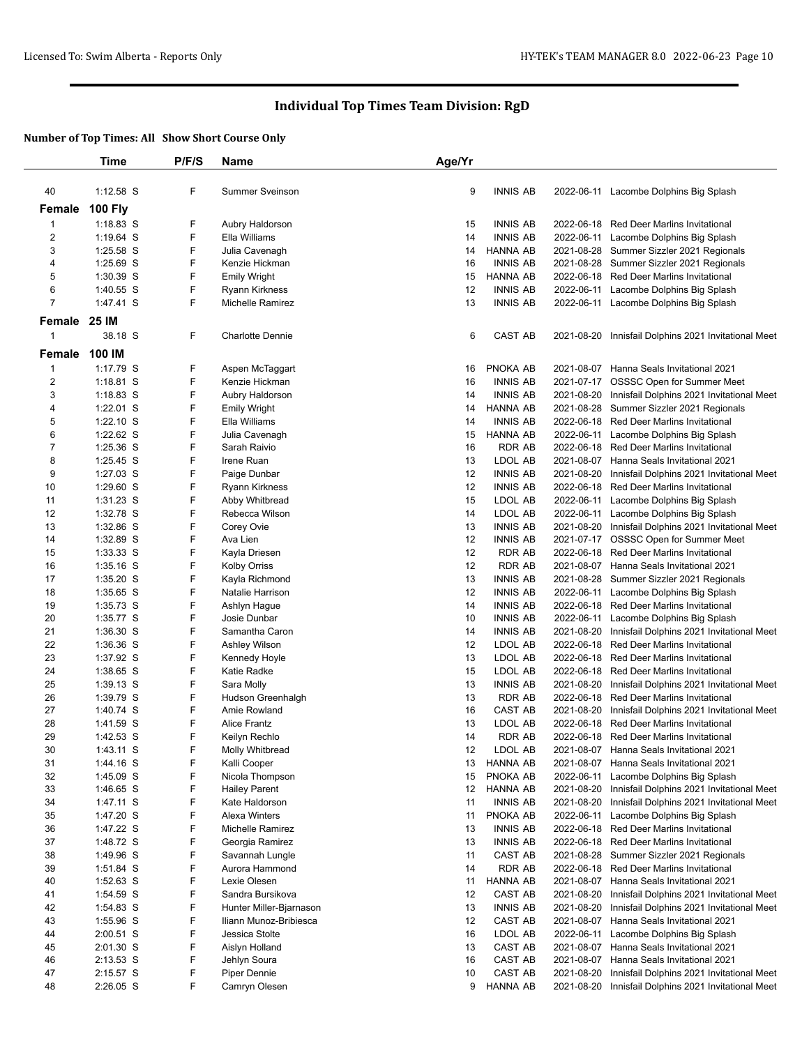|                | Time                     | P/F/S  | Name                            | Age/Yr   |                           |                          |                                                                                   |
|----------------|--------------------------|--------|---------------------------------|----------|---------------------------|--------------------------|-----------------------------------------------------------------------------------|
|                |                          |        |                                 |          |                           |                          |                                                                                   |
| 40             | 1:12.58 S                | F      | <b>Summer Sveinson</b>          | 9        | <b>INNIS AB</b>           |                          | 2022-06-11 Lacombe Dolphins Big Splash                                            |
| Female         | <b>100 Fly</b>           |        |                                 |          |                           |                          |                                                                                   |
| $\mathbf{1}$   | $1:18.83$ S              | F      | Aubry Haldorson                 | 15       | INNIS AB                  |                          | 2022-06-18 Red Deer Marlins Invitational                                          |
| $\overline{c}$ | 1:19.64 S                | F      | Ella Williams                   | 14       | <b>INNIS AB</b>           | 2022-06-11               | Lacombe Dolphins Big Splash                                                       |
| 3              | 1:25.58 S                | F      | Julia Cavenagh                  | 14       | HANNA AB                  | 2021-08-28               | Summer Sizzler 2021 Regionals                                                     |
| 4              | 1:25.69 S                | F      | Kenzie Hickman                  | 16       | <b>INNIS AB</b>           | 2021-08-28               | Summer Sizzler 2021 Regionals                                                     |
| 5              | $1:30.39$ S              | F      | <b>Emily Wright</b>             | 15       | HANNA AB                  | 2022-06-18               | Red Deer Marlins Invitational                                                     |
| 6              | $1:40.55$ S              | F      | Ryann Kirkness                  | 12       | <b>INNIS AB</b>           | 2022-06-11               | Lacombe Dolphins Big Splash                                                       |
| $\overline{7}$ | 1:47.41 S                | F      | <b>Michelle Ramirez</b>         | 13       | <b>INNIS AB</b>           |                          | 2022-06-11 Lacombe Dolphins Big Splash                                            |
|                |                          |        |                                 |          |                           |                          |                                                                                   |
| Female         | <b>25 IM</b>             |        |                                 |          |                           |                          |                                                                                   |
| 1              | 38.18 S                  | F      | <b>Charlotte Dennie</b>         | 6        | CAST AB                   | 2021-08-20               | Innisfail Dolphins 2021 Invitational Meet                                         |
| Female         | 100 IM                   |        |                                 |          |                           |                          |                                                                                   |
| 1              | 1:17.79 S                | F      | Aspen McTaggart                 | 16       | PNOKA AB                  |                          | 2021-08-07 Hanna Seals Invitational 2021                                          |
| $\overline{c}$ | $1:18.81$ S              | F      | Kenzie Hickman                  | 16       | <b>INNIS AB</b>           |                          | 2021-07-17 OSSSC Open for Summer Meet                                             |
| 3              | $1:18.83$ S              | F      | Aubry Haldorson                 | 14       | <b>INNIS AB</b>           | 2021-08-20               | Innisfail Dolphins 2021 Invitational Meet                                         |
| 4              | $1:22.01$ S              | F      | <b>Emily Wright</b>             | 14       | HANNA AB                  | 2021-08-28               | Summer Sizzler 2021 Regionals                                                     |
| 5              | $1:22.10$ S              | F      | Ella Williams                   | 14       | <b>INNIS AB</b>           | 2022-06-18               | Red Deer Marlins Invitational                                                     |
| 6              | 1:22.62 S                | F      | Julia Cavenagh                  | 15       | HANNA AB                  | 2022-06-11               | Lacombe Dolphins Big Splash                                                       |
| 7              | 1:25.36 S                | F      | Sarah Raivio                    | 16       | RDR AB                    | 2022-06-18               | Red Deer Marlins Invitational                                                     |
| 8              | $1:25.45$ S              | F      | Irene Ruan                      | 13       | LDOL AB                   | 2021-08-07               | Hanna Seals Invitational 2021                                                     |
| 9              | $1:27.03$ S              | F      | Paige Dunbar                    | 12       | <b>INNIS AB</b>           | 2021-08-20               | Innisfail Dolphins 2021 Invitational Meet                                         |
| 10             | 1:29.60 S                | F      | <b>Ryann Kirkness</b>           | 12       | INNIS AB                  | 2022-06-18               | <b>Red Deer Marlins Invitational</b>                                              |
| 11             | $1:31.23$ S              | F      | Abby Whitbread                  | 15       | LDOL AB                   | 2022-06-11               | Lacombe Dolphins Big Splash                                                       |
| 12             | 1:32.78 S                | F      | Rebecca Wilson                  | 14       | LDOL AB                   | 2022-06-11               | Lacombe Dolphins Big Splash                                                       |
| 13             | 1:32.86 S                | F      | Corey Ovie                      | 13       | <b>INNIS AB</b>           | 2021-08-20               | Innisfail Dolphins 2021 Invitational Meet                                         |
| 14             | 1:32.89 S                | F      | Ava Lien                        | 12       | <b>INNIS AB</b>           |                          | 2021-07-17 OSSSC Open for Summer Meet                                             |
| 15             | $1:33.33$ S              | F      | Kayla Driesen                   | 12       | RDR AB                    | 2022-06-18               | Red Deer Marlins Invitational                                                     |
| 16             | $1:35.16$ S              | F      | <b>Kolby Orriss</b>             | 12       | RDR AB                    | 2021-08-07               | Hanna Seals Invitational 2021                                                     |
| 17             | $1:35.20$ S              | F      | Kayla Richmond                  | 13       | INNIS AB                  | 2021-08-28               | Summer Sizzler 2021 Regionals                                                     |
| 18             | 1:35.65 S                | F      | Natalie Harrison                | 12       | INNIS AB                  | 2022-06-11               | Lacombe Dolphins Big Splash                                                       |
| 19             | $1:35.73$ S              | F      | Ashlyn Hague                    | 14       | <b>INNIS AB</b>           | 2022-06-18               | Red Deer Marlins Invitational                                                     |
| 20             | 1:35.77 S                | F      | Josie Dunbar                    | 10       | <b>INNIS AB</b>           | 2022-06-11               | Lacombe Dolphins Big Splash                                                       |
| 21             | $1:36.30$ S              | F      | Samantha Caron                  | 14       | INNIS AB                  | 2021-08-20               | Innisfail Dolphins 2021 Invitational Meet                                         |
| 22             | 1:36.36 S                | F      | Ashley Wilson                   | 12       | LDOL AB                   | 2022-06-18               | <b>Red Deer Marlins Invitational</b>                                              |
| 23             | 1:37.92 S                | F      | Kennedy Hoyle                   | 13       | LDOL AB                   | 2022-06-18               | <b>Red Deer Marlins Invitational</b>                                              |
| 24             | 1:38.65 S                | F<br>F | Katie Radke                     | 15       | LDOL AB                   | 2022-06-18               | Red Deer Marlins Invitational                                                     |
| 25<br>26       | $1:39.13$ S<br>1:39.79 S | F      | Sara Molly<br>Hudson Greenhalgh | 13<br>13 | <b>INNIS AB</b><br>RDR AB | 2021-08-20               | Innisfail Dolphins 2021 Invitational Meet<br><b>Red Deer Marlins Invitational</b> |
| 27             | 1:40.74 S                | F      | Amie Rowland                    | 16       | CAST AB                   | 2022-06-18<br>2021-08-20 | Innisfail Dolphins 2021 Invitational Meet                                         |
| 28             | 1:41.59 S                | F      | <b>Alice Frantz</b>             | 13       | LDOL AB                   | 2022-06-18               | <b>Red Deer Marlins Invitational</b>                                              |
| 29             | 1:42.53 S                | F      | Keilyn Rechlo                   | 14       | <b>RDR AB</b>             |                          | 2022-06-18 Red Deer Marlins Invitational                                          |
| 30             | 1:43.11 S                | F      | Molly Whitbread                 | 12       | LDOL AB                   |                          | 2021-08-07 Hanna Seals Invitational 2021                                          |
| 31             | 1:44.16 S                | F      | Kalli Cooper                    | 13       | <b>HANNA AB</b>           |                          | 2021-08-07 Hanna Seals Invitational 2021                                          |
| 32             | 1:45.09 S                | F      | Nicola Thompson                 | 15       | PNOKA AB                  | 2022-06-11               | Lacombe Dolphins Big Splash                                                       |
| 33             | 1:46.65 S                | F      | <b>Hailey Parent</b>            | 12       | <b>HANNA AB</b>           | 2021-08-20               | Innisfail Dolphins 2021 Invitational Meet                                         |
| 34             | 1:47.11 S                | F      | Kate Haldorson                  | 11       | <b>INNIS AB</b>           | 2021-08-20               | Innisfail Dolphins 2021 Invitational Meet                                         |
| 35             | 1:47.20 S                | F      | <b>Alexa Winters</b>            | 11       | PNOKA AB                  | 2022-06-11               | Lacombe Dolphins Big Splash                                                       |
| 36             | 1:47.22 S                | F      | Michelle Ramirez                | 13       | <b>INNIS AB</b>           | 2022-06-18               | <b>Red Deer Marlins Invitational</b>                                              |
| 37             | 1:48.72 S                | F      | Georgia Ramirez                 | 13       | INNIS AB                  | 2022-06-18               | <b>Red Deer Marlins Invitational</b>                                              |
| 38             | 1:49.96 S                | F      | Savannah Lungle                 | 11       | CAST AB                   | 2021-08-28               | Summer Sizzler 2021 Regionals                                                     |
| 39             | 1:51.84 S                | F      | Aurora Hammond                  | 14       | <b>RDR AB</b>             | 2022-06-18               | <b>Red Deer Marlins Invitational</b>                                              |
| 40             | $1:52.63$ S              | F      | Lexie Olesen                    | 11       | <b>HANNA AB</b>           | 2021-08-07               | Hanna Seals Invitational 2021                                                     |
| 41             | 1:54.59 S                | F      | Sandra Bursikova                | 12       | CAST AB                   | 2021-08-20               | Innisfail Dolphins 2021 Invitational Meet                                         |
| 42             | 1:54.83 S                | F      | Hunter Miller-Bjarnason         | 13       | <b>INNIS AB</b>           | 2021-08-20               | Innisfail Dolphins 2021 Invitational Meet                                         |
| 43             | 1:55.96 S                | F      | Iliann Munoz-Bribiesca          | 12       | CAST AB                   | 2021-08-07               | Hanna Seals Invitational 2021                                                     |
| 44             | 2:00.51 S                | F      | Jessica Stolte                  | 16       | LDOL AB                   | 2022-06-11               | Lacombe Dolphins Big Splash                                                       |
| 45             | 2:01.30 S                | F      | Aislyn Holland                  | 13       | CAST AB                   |                          | 2021-08-07 Hanna Seals Invitational 2021                                          |
| 46             | 2:13.53 S                | F      | Jehlyn Soura                    | 16       | CAST AB                   | 2021-08-07               | Hanna Seals Invitational 2021                                                     |
| 47             | 2:15.57 S                | F      | Piper Dennie                    | 10       | CAST AB                   | 2021-08-20               | Innisfail Dolphins 2021 Invitational Meet                                         |
| 48             | 2:26.05 S                | F      | Camryn Olesen                   | 9        | HANNA AB                  | 2021-08-20               | Innisfail Dolphins 2021 Invitational Meet                                         |
|                |                          |        |                                 |          |                           |                          |                                                                                   |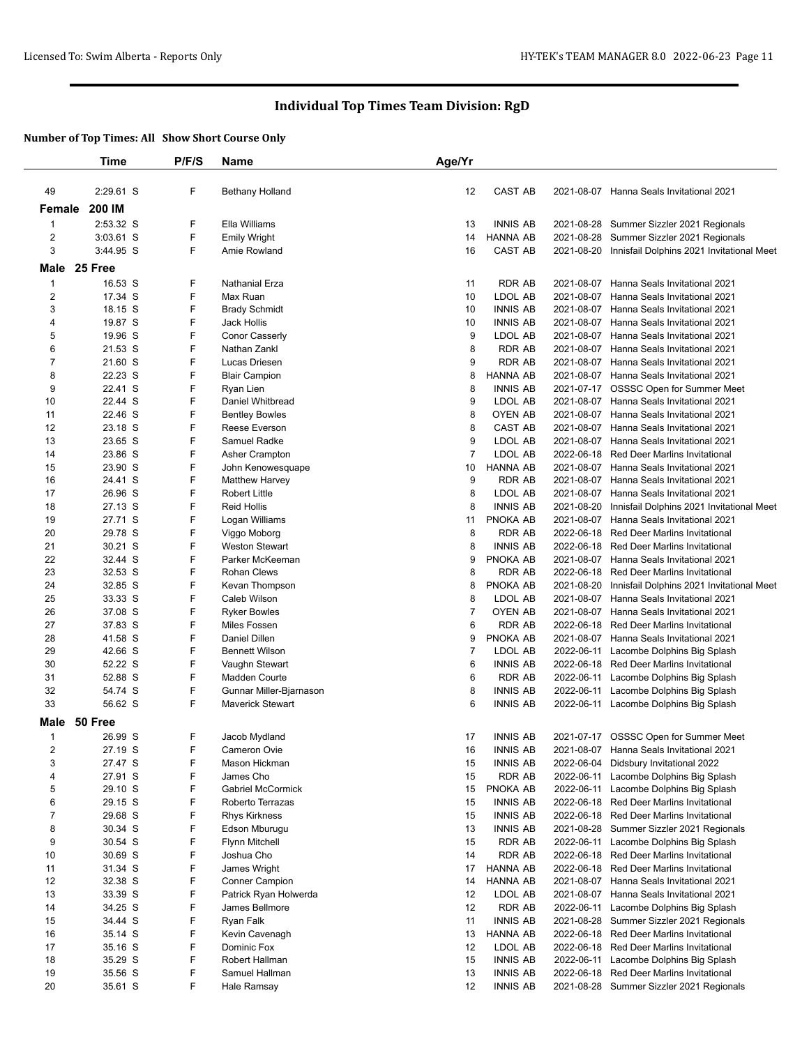|                         | Time               | P/F/S  | <b>Name</b>                    | Age/Yr         |                                    |                          |                                                                                   |
|-------------------------|--------------------|--------|--------------------------------|----------------|------------------------------------|--------------------------|-----------------------------------------------------------------------------------|
|                         |                    |        |                                |                |                                    |                          |                                                                                   |
| 49                      | 2:29.61 S          | F      | <b>Bethany Holland</b>         | 12             | <b>CAST AB</b>                     |                          | 2021-08-07 Hanna Seals Invitational 2021                                          |
| Female                  | 200 IM             |        |                                |                |                                    |                          |                                                                                   |
| $\mathbf 1$             | 2:53.32 S          | F      | Ella Williams                  | 13             | <b>INNIS AB</b>                    |                          | 2021-08-28 Summer Sizzler 2021 Regionals                                          |
| $\overline{\mathbf{c}}$ | 3:03.61 S          | F      | <b>Emily Wright</b>            | 14             | <b>HANNA AB</b>                    | 2021-08-28               | Summer Sizzler 2021 Regionals                                                     |
| 3                       | 3:44.95 S          | F      | Amie Rowland                   | 16             | <b>CAST AB</b>                     |                          | 2021-08-20 Innisfail Dolphins 2021 Invitational Meet                              |
| Male                    | 25 Free            |        |                                |                |                                    |                          |                                                                                   |
| $\mathbf{1}$            | 16.53 S            | F      | Nathanial Erza                 | 11             | <b>RDR AB</b>                      | 2021-08-07               | Hanna Seals Invitational 2021                                                     |
| $\overline{\mathbf{c}}$ | 17.34 S            | F      | Max Ruan                       | 10             | LDOL AB                            | 2021-08-07               | Hanna Seals Invitational 2021                                                     |
| 3                       | 18.15 S            | F      | <b>Brady Schmidt</b>           | 10             | <b>INNIS AB</b>                    |                          | 2021-08-07 Hanna Seals Invitational 2021                                          |
| 4                       | 19.87 S            | F      | Jack Hollis                    | 10             | <b>INNIS AB</b>                    | 2021-08-07               | Hanna Seals Invitational 2021                                                     |
| 5                       | 19.96 S            | F      | Conor Casserly                 | 9              | LDOL AB                            |                          | 2021-08-07 Hanna Seals Invitational 2021                                          |
| 6                       | 21.53 S            | F      | Nathan Zankl                   | 8              | <b>RDR AB</b>                      |                          | 2021-08-07 Hanna Seals Invitational 2021                                          |
| $\overline{7}$          | 21.60 S            | F      | Lucas Driesen                  | 9              | <b>RDR AB</b>                      |                          | 2021-08-07 Hanna Seals Invitational 2021                                          |
| 8                       | 22.23 S            | F      | <b>Blair Campion</b>           | 8              | <b>HANNA AB</b>                    |                          | 2021-08-07 Hanna Seals Invitational 2021                                          |
| 9                       | 22.41 S            | F      | Ryan Lien                      | 8              | <b>INNIS AB</b>                    |                          | 2021-07-17 OSSSC Open for Summer Meet                                             |
| 10                      | 22.44 S            | F      | Daniel Whitbread               | 9              | LDOL AB                            | 2021-08-07               | Hanna Seals Invitational 2021                                                     |
| 11                      | 22.46 S            | F      | <b>Bentley Bowles</b>          | 8              | <b>OYEN AB</b>                     |                          | 2021-08-07 Hanna Seals Invitational 2021                                          |
| 12                      | 23.18 S            | F      | Reese Everson                  | 8              | <b>CAST AB</b>                     |                          | 2021-08-07 Hanna Seals Invitational 2021                                          |
| 13                      | 23.65 S            | F      | Samuel Radke                   | 9              | LDOL AB                            | 2021-08-07               | <b>Hanna Seals Invitational 2021</b>                                              |
| 14                      | 23.86 S            | F      | Asher Crampton                 | $\overline{7}$ | LDOL AB                            |                          | 2022-06-18 Red Deer Marlins Invitational                                          |
| 15                      | 23.90 S            | F      | John Kenowesquape              | 10             | <b>HANNA AB</b>                    |                          | 2021-08-07 Hanna Seals Invitational 2021                                          |
| 16                      | 24.41 S            | F      | <b>Matthew Harvey</b>          | 9              | <b>RDR AB</b>                      | 2021-08-07               | Hanna Seals Invitational 2021                                                     |
| 17                      | 26.96 S            | F      | <b>Robert Little</b>           | 8              | LDOL AB                            |                          | 2021-08-07 Hanna Seals Invitational 2021                                          |
| 18                      | 27.13 S            | F      | <b>Reid Hollis</b>             | 8              | <b>INNIS AB</b>                    | 2021-08-20               | Innisfail Dolphins 2021 Invitational Meet                                         |
| 19                      | 27.71 S            | F      | Logan Williams                 | 11             | PNOKA AB                           | 2021-08-07               | Hanna Seals Invitational 2021                                                     |
| 20                      | 29.78 S            | F      | Viggo Moborg                   | 8              | <b>RDR AB</b>                      |                          | 2022-06-18 Red Deer Marlins Invitational                                          |
| 21                      | 30.21 S            | F      | <b>Weston Stewart</b>          | 8              | <b>INNIS AB</b>                    | 2022-06-18               | <b>Red Deer Marlins Invitational</b>                                              |
| 22                      | 32.44 S            | F      | Parker McKeeman                | 9              | PNOKA AB                           | 2021-08-07               | Hanna Seals Invitational 2021                                                     |
| 23<br>24                | 32.53 S<br>32.85 S | F<br>F | Rohan Clews                    | 8<br>8         | <b>RDR AB</b><br>PNOKA AB          |                          | 2022-06-18 Red Deer Marlins Invitational                                          |
| 25                      | 33.33 S            | F      | Kevan Thompson<br>Caleb Wilson | 8              | LDOL AB                            | 2021-08-20<br>2021-08-07 | Innisfail Dolphins 2021 Invitational Meet<br>Hanna Seals Invitational 2021        |
| 26                      | 37.08 S            | F      | <b>Ryker Bowles</b>            | $\overline{7}$ | <b>OYEN AB</b>                     |                          | 2021-08-07 Hanna Seals Invitational 2021                                          |
| 27                      | 37.83 S            | F      | Miles Fossen                   | 6              | <b>RDR AB</b>                      | 2022-06-18               | Red Deer Marlins Invitational                                                     |
| 28                      | 41.58 S            | F      | Daniel Dillen                  | 9              | PNOKA AB                           |                          | 2021-08-07 Hanna Seals Invitational 2021                                          |
| 29                      | 42.66 S            | F      | <b>Bennett Wilson</b>          | $\overline{7}$ | LDOL AB                            |                          | 2022-06-11 Lacombe Dolphins Big Splash                                            |
| 30                      | 52.22 S            | F      | Vaughn Stewart                 | 6              | <b>INNIS AB</b>                    |                          | 2022-06-18 Red Deer Marlins Invitational                                          |
| 31                      | 52.88 S            | F      | <b>Madden Courte</b>           | 6              | <b>RDR AB</b>                      | 2022-06-11               | Lacombe Dolphins Big Splash                                                       |
| 32                      | 54.74 S            | F      | Gunnar Miller-Bjarnason        | 8              | <b>INNIS AB</b>                    | 2022-06-11               | Lacombe Dolphins Big Splash                                                       |
| 33                      | 56.62 S            | F      | <b>Maverick Stewart</b>        | 6              | <b>INNIS AB</b>                    |                          | 2022-06-11 Lacombe Dolphins Big Splash                                            |
| Male                    | 50 Free            |        |                                |                |                                    |                          |                                                                                   |
|                         |                    |        |                                |                |                                    |                          |                                                                                   |
| $\mathbf{1}$<br>2       | 26.99 S<br>27.19 S | F<br>F | Jacob Mydland<br>Cameron Ovie  | 17<br>16       | <b>INNIS AB</b><br><b>INNIS AB</b> |                          | 2021-07-17 OSSSC Open for Summer Meet<br>2021-08-07 Hanna Seals Invitational 2021 |
| 3                       | 27.47 S            | F      | Mason Hickman                  | 15             | <b>INNIS AB</b>                    |                          | 2022-06-04 Didsbury Invitational 2022                                             |
| 4                       | 27.91 S            | F      | James Cho                      | 15             | <b>RDR AB</b>                      | 2022-06-11               | Lacombe Dolphins Big Splash                                                       |
| 5                       | 29.10 S            | F      | <b>Gabriel McCormick</b>       | 15             | PNOKA AB                           |                          | 2022-06-11 Lacombe Dolphins Big Splash                                            |
| 6                       | 29.15 S            | F      | Roberto Terrazas               | 15             | <b>INNIS AB</b>                    |                          | 2022-06-18 Red Deer Marlins Invitational                                          |
| 7                       | 29.68 S            | F      | <b>Rhys Kirkness</b>           | 15             | <b>INNIS AB</b>                    |                          | 2022-06-18 Red Deer Marlins Invitational                                          |
| 8                       | 30.34 S            | F      | Edson Mburugu                  | 13             | <b>INNIS AB</b>                    |                          | 2021-08-28 Summer Sizzler 2021 Regionals                                          |
| 9                       | 30.54 S            | F      | <b>Flynn Mitchell</b>          | 15             | RDR AB                             |                          | 2022-06-11 Lacombe Dolphins Big Splash                                            |
| 10                      | 30.69 S            | F      | Joshua Cho                     | 14             | <b>RDR AB</b>                      |                          | 2022-06-18 Red Deer Marlins Invitational                                          |
| 11                      | 31.34 S            | F      | James Wright                   | 17             | <b>HANNA AB</b>                    |                          | 2022-06-18 Red Deer Marlins Invitational                                          |
| 12                      | 32.38 S            | F      | <b>Conner Campion</b>          | 14             | <b>HANNA AB</b>                    |                          | 2021-08-07 Hanna Seals Invitational 2021                                          |
| 13                      | 33.39 S            | F      | Patrick Ryan Holwerda          | 12             | LDOL AB                            | 2021-08-07               | Hanna Seals Invitational 2021                                                     |
| 14                      | 34.25 S            | F      | James Bellmore                 | 12             | <b>RDR AB</b>                      | 2022-06-11               | Lacombe Dolphins Big Splash                                                       |
| 15                      | 34.44 S            | F      | Ryan Falk                      | 11             | <b>INNIS AB</b>                    |                          | 2021-08-28 Summer Sizzler 2021 Regionals                                          |
| 16                      | 35.14 S            | F      | Kevin Cavenagh                 | 13             | <b>HANNA AB</b>                    |                          | 2022-06-18 Red Deer Marlins Invitational                                          |
| 17                      | 35.16 S            | F      | Dominic Fox                    | 12             | LDOL AB                            |                          | 2022-06-18 Red Deer Marlins Invitational                                          |
| 18                      | 35.29 S            | F      | Robert Hallman                 | 15             | <b>INNIS AB</b>                    |                          | 2022-06-11 Lacombe Dolphins Big Splash                                            |
| 19                      | 35.56 S            | F      | Samuel Hallman                 | 13             | <b>INNIS AB</b>                    |                          | 2022-06-18 Red Deer Marlins Invitational                                          |
| 20                      | 35.61 S            | F      | Hale Ramsay                    | 12             | <b>INNIS AB</b>                    |                          | 2021-08-28 Summer Sizzler 2021 Regionals                                          |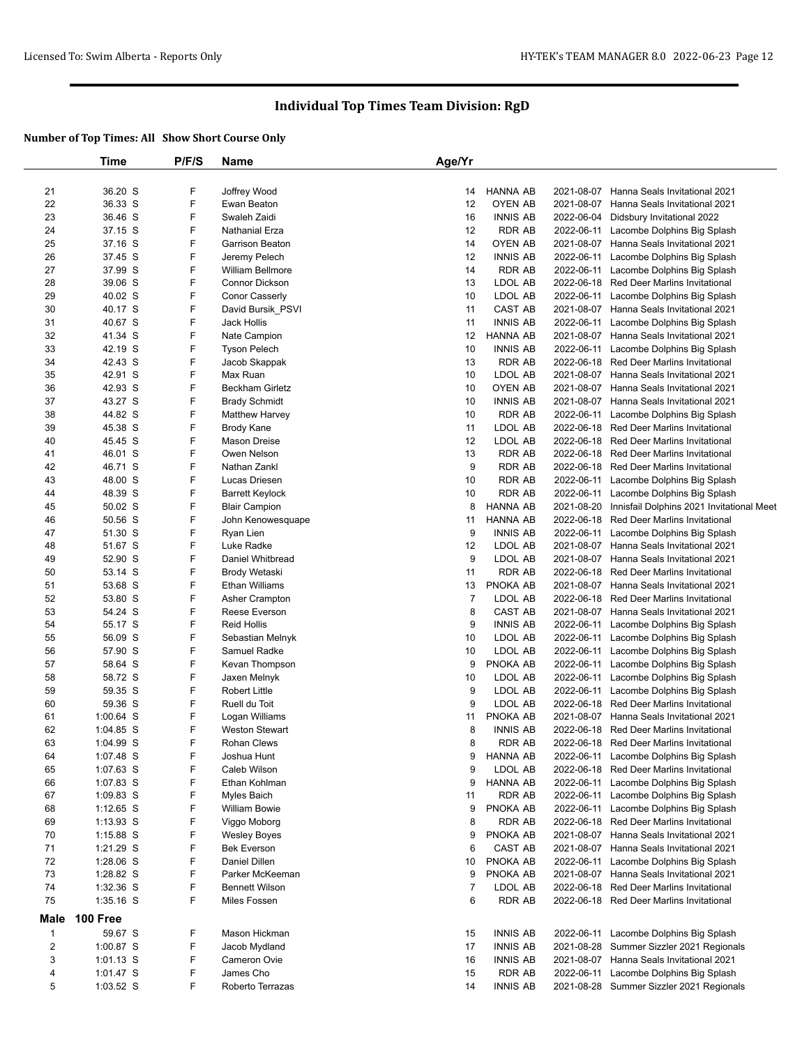|                | Time               | P/F/S  | <b>Name</b>                               | Age/Yr         |                                   |                          |                                                                                   |
|----------------|--------------------|--------|-------------------------------------------|----------------|-----------------------------------|--------------------------|-----------------------------------------------------------------------------------|
|                |                    |        |                                           |                |                                   |                          |                                                                                   |
| 21<br>22       | 36.20 S<br>36.33 S | F<br>F | Joffrey Wood<br>Ewan Beaton               | 14<br>12       | <b>HANNA AB</b><br><b>OYEN AB</b> | 2021-08-07<br>2021-08-07 | Hanna Seals Invitational 2021<br>Hanna Seals Invitational 2021                    |
| 23             | 36.46 S            | F      | Swaleh Zaidi                              | 16             | <b>INNIS AB</b>                   | 2022-06-04               | Didsbury Invitational 2022                                                        |
| 24             | 37.15 S            | F      | Nathanial Erza                            | 12             | <b>RDR AB</b>                     | 2022-06-11               | Lacombe Dolphins Big Splash                                                       |
| 25             | 37.16 S            | F      | Garrison Beaton                           | 14             | <b>OYEN AB</b>                    | 2021-08-07               | Hanna Seals Invitational 2021                                                     |
| 26             | 37.45 S            | F      | Jeremy Pelech                             | 12             | <b>INNIS AB</b>                   | 2022-06-11               | Lacombe Dolphins Big Splash                                                       |
| 27             | 37.99 S            | F      | <b>William Bellmore</b>                   | 14             | <b>RDR AB</b>                     | 2022-06-11               | Lacombe Dolphins Big Splash                                                       |
| 28             | 39.06 S            | F      | Connor Dickson                            | 13             | LDOL AB                           | 2022-06-18               | Red Deer Marlins Invitational                                                     |
| 29             | 40.02 S            | F      | Conor Casserly                            | 10             | LDOL AB                           | 2022-06-11               | Lacombe Dolphins Big Splash                                                       |
| 30             | 40.17 S            | F      | David Bursik_PSVI                         | 11             | CAST AB                           | 2021-08-07               | Hanna Seals Invitational 2021                                                     |
| 31             | 40.67 S            | F      | Jack Hollis                               | 11             | <b>INNIS AB</b>                   | 2022-06-11               | Lacombe Dolphins Big Splash                                                       |
| 32             | 41.34 S            | F      | Nate Campion                              | 12             | <b>HANNA AB</b>                   |                          | 2021-08-07 Hanna Seals Invitational 2021                                          |
| 33             | 42.19 S            | F      | <b>Tyson Pelech</b>                       | 10             | <b>INNIS AB</b>                   | 2022-06-11               | Lacombe Dolphins Big Splash                                                       |
| 34             | 42.43 S            | F      | Jacob Skappak                             | 13             | <b>RDR AB</b>                     | 2022-06-18               | <b>Red Deer Marlins Invitational</b>                                              |
| 35             | 42.91 S            | F      | Max Ruan                                  | 10             | LDOL AB                           |                          | 2021-08-07 Hanna Seals Invitational 2021                                          |
| 36             | 42.93 S            | F      | <b>Beckham Girletz</b>                    | 10             | OYEN AB                           | 2021-08-07               | Hanna Seals Invitational 2021                                                     |
| 37             | 43.27 S            | F      | <b>Brady Schmidt</b>                      | 10             | <b>INNIS AB</b>                   | 2021-08-07               | Hanna Seals Invitational 2021                                                     |
| 38             | 44.82 S            | F      |                                           | 10             | <b>RDR AB</b>                     |                          |                                                                                   |
|                |                    | F      | <b>Matthew Harvey</b>                     |                |                                   | 2022-06-11               | Lacombe Dolphins Big Splash<br><b>Red Deer Marlins Invitational</b>               |
| 39<br>40       | 45.38 S<br>45.45 S | F      | <b>Brody Kane</b><br>Mason Dreise         | 11<br>12       | LDOL AB<br>LDOL AB                | 2022-06-18               | <b>Red Deer Marlins Invitational</b>                                              |
|                |                    | F      | Owen Nelson                               |                | <b>RDR AB</b>                     | 2022-06-18               |                                                                                   |
| 41<br>42       | 46.01 S<br>46.71 S | F      | Nathan Zankl                              | 13<br>9        | <b>RDR AB</b>                     |                          | 2022-06-18 Red Deer Marlins Invitational<br><b>Red Deer Marlins Invitational</b>  |
|                | 48.00 S            | F      | Lucas Driesen                             | 10             | <b>RDR AB</b>                     | 2022-06-18               |                                                                                   |
| 43             | 48.39 S            | F      |                                           | 10             | <b>RDR AB</b>                     | 2022-06-11               | Lacombe Dolphins Big Splash<br>Lacombe Dolphins Big Splash                        |
| 44             |                    | F      | <b>Barrett Keylock</b>                    | 8              | <b>HANNA AB</b>                   | 2022-06-11               |                                                                                   |
| 45<br>46       | 50.02 S<br>50.56 S | F      | <b>Blair Campion</b><br>John Kenowesquape | 11             | <b>HANNA AB</b>                   | 2021-08-20               | Innisfail Dolphins 2021 Invitational Meet<br><b>Red Deer Marlins Invitational</b> |
| 47             | 51.30 S            | F      |                                           | 9              | <b>INNIS AB</b>                   | 2022-06-18               |                                                                                   |
|                | 51.67 S            | F      | Ryan Lien<br>Luke Radke                   |                | LDOL AB                           | 2022-06-11<br>2021-08-07 | Lacombe Dolphins Big Splash<br>Hanna Seals Invitational 2021                      |
| 48             | 52.90 S            | F      |                                           | 12<br>9        | LDOL AB                           | 2021-08-07               | Hanna Seals Invitational 2021                                                     |
| 49<br>50       | 53.14 S            | F      | Daniel Whitbread                          | 11             | <b>RDR AB</b>                     |                          | <b>Red Deer Marlins Invitational</b>                                              |
|                |                    | F      | Brody Wetaski<br><b>Ethan Williams</b>    | 13             | PNOKA AB                          | 2022-06-18               |                                                                                   |
| 51             | 53.68 S            | F      |                                           |                |                                   | 2021-08-07               | Hanna Seals Invitational 2021                                                     |
| 52             | 53.80 S            |        | Asher Crampton                            | $\overline{7}$ | LDOL AB                           | 2022-06-18               | <b>Red Deer Marlins Invitational</b>                                              |
| 53             | 54.24 S            | F<br>F | Reese Everson                             | 8              | <b>CAST AB</b>                    |                          | 2021-08-07 Hanna Seals Invitational 2021                                          |
| 54             | 55.17 S            |        | <b>Reid Hollis</b>                        | 9              | <b>INNIS AB</b>                   | 2022-06-11               | Lacombe Dolphins Big Splash                                                       |
| 55             | 56.09 S            | F      | Sebastian Melnyk                          | 10             | LDOL AB                           | 2022-06-11               | Lacombe Dolphins Big Splash                                                       |
| 56             | 57.90 S            | F<br>F | Samuel Radke                              | 10             | LDOL AB                           | 2022-06-11               | Lacombe Dolphins Big Splash                                                       |
| 57             | 58.64 S            |        | Kevan Thompson                            | 9              | PNOKA AB                          | 2022-06-11               | Lacombe Dolphins Big Splash                                                       |
| 58             | 58.72 S            | F<br>F | Jaxen Melnyk                              | 10             | LDOL AB                           | 2022-06-11               | Lacombe Dolphins Big Splash                                                       |
| 59             | 59.35 S            | F      | <b>Robert Little</b>                      | 9              | LDOL AB                           | 2022-06-11               | Lacombe Dolphins Big Splash                                                       |
| 60             | 59.36 S            | F      | Ruell du Toit                             | 9              | LDOL AB                           | 2022-06-18               | <b>Red Deer Marlins Invitational</b><br>Hanna Seals Invitational 2021             |
| 61             | 1:00.64 S          |        | Logan Williams                            | 11             | PNOKA AB                          | 2021-08-07               |                                                                                   |
| 62             | 1:04.85 S          | F<br>F | <b>Weston Stewart</b>                     | 8              | <b>INNIS AB</b>                   | 2022-06-18               | <b>Red Deer Marlins Invitational</b>                                              |
| 63             | 1:04.99 S          |        | <b>Rohan Clews</b>                        | 8              | <b>RDR AB</b>                     |                          | 2022-06-18 Red Deer Marlins Invitational                                          |
| 64             | 1:07.48 S          | F      | Joshua Hunt                               | 9              | <b>HANNA AB</b>                   |                          | 2022-06-11 Lacombe Dolphins Big Splash                                            |
| 65             | 1:07.63 S          | F      | Caleb Wilson                              | 9              | LDOL AB                           |                          | 2022-06-18 Red Deer Marlins Invitational                                          |
| 66             | 1:07.83 S          | F      | Ethan Kohlman                             | 9              | <b>HANNA AB</b>                   | 2022-06-11               | Lacombe Dolphins Big Splash                                                       |
| 67             | $1:09.83$ S        | F      | Myles Baich                               | 11             | <b>RDR AB</b>                     | 2022-06-11               | Lacombe Dolphins Big Splash                                                       |
| 68             | $1:12.65$ S        | F      | William Bowie                             | 9              | PNOKA AB                          |                          | 2022-06-11 Lacombe Dolphins Big Splash                                            |
| 69             | 1:13.93 S          | F      | Viggo Moborg                              | 8              | <b>RDR AB</b>                     | 2022-06-18               | Red Deer Marlins Invitational                                                     |
| 70             | 1:15.88 S          | F      | <b>Wesley Boyes</b>                       | 9              | PNOKA AB                          |                          | 2021-08-07 Hanna Seals Invitational 2021                                          |
| 71             | $1:21.29$ S        | F      | <b>Bek Everson</b>                        | 6              | CAST AB                           |                          | 2021-08-07 Hanna Seals Invitational 2021                                          |
| 72             | 1:28.06 S          | F      | Daniel Dillen                             | 10             | PNOKA AB                          | 2022-06-11               | Lacombe Dolphins Big Splash                                                       |
| 73             | 1:28.82 S          | F      | Parker McKeeman                           | 9              | PNOKA AB                          |                          | 2021-08-07 Hanna Seals Invitational 2021                                          |
| 74             | 1:32.36 S          | F      | <b>Bennett Wilson</b>                     | $\overline{7}$ | LDOL AB                           | 2022-06-18               | Red Deer Marlins Invitational                                                     |
| 75             | 1:35.16 S          | F      | <b>Miles Fossen</b>                       | 6              | <b>RDR AB</b>                     | 2022-06-18               | Red Deer Marlins Invitational                                                     |
| Male           | 100 Free           |        |                                           |                |                                   |                          |                                                                                   |
| $\mathbf{1}$   | 59.67 S            | F      | Mason Hickman                             | 15             | <b>INNIS AB</b>                   | 2022-06-11               | Lacombe Dolphins Big Splash                                                       |
| $\overline{2}$ | 1:00.87 S          | F      | Jacob Mydland                             | 17             | <b>INNIS AB</b>                   |                          | 2021-08-28 Summer Sizzler 2021 Regionals                                          |
| 3              | $1:01.13$ S        | F      | Cameron Ovie                              | 16             | <b>INNIS AB</b>                   |                          | 2021-08-07 Hanna Seals Invitational 2021                                          |
| 4              | $1:01.47$ S        | F      | James Cho                                 | 15             | <b>RDR AB</b>                     | 2022-06-11               | Lacombe Dolphins Big Splash                                                       |
| 5              | 1:03.52 S          | F      | Roberto Terrazas                          | 14             | <b>INNIS AB</b>                   |                          | 2021-08-28 Summer Sizzler 2021 Regionals                                          |
|                |                    |        |                                           |                |                                   |                          |                                                                                   |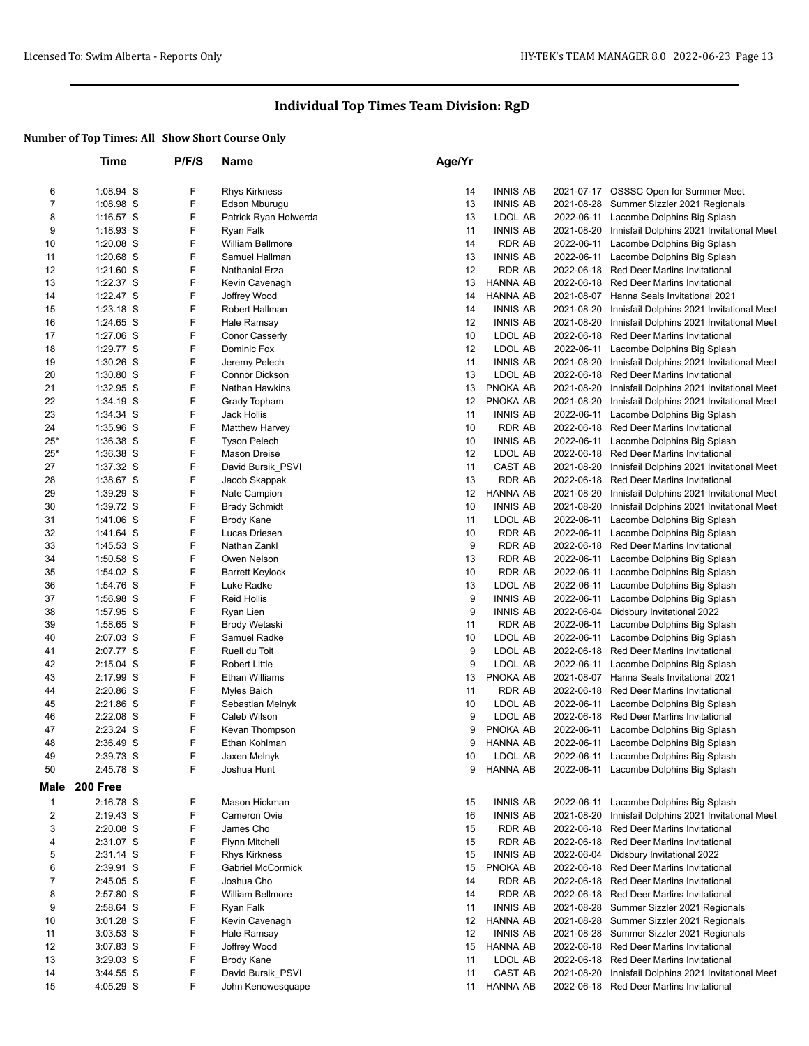|                | Time        | P/F/S | Name                   | Age/Yr |                 |            |                                                      |
|----------------|-------------|-------|------------------------|--------|-----------------|------------|------------------------------------------------------|
|                |             |       |                        |        |                 |            |                                                      |
| 6              | 1:08.94 S   | F     | <b>Rhys Kirkness</b>   | 14     | <b>INNIS AB</b> |            | 2021-07-17 OSSSC Open for Summer Meet                |
| $\overline{7}$ | 1:08.98 S   | F     | Edson Mburugu          | 13     | <b>INNIS AB</b> |            | 2021-08-28 Summer Sizzler 2021 Regionals             |
| 8              | $1:16.57$ S | F     | Patrick Ryan Holwerda  | 13     | LDOL AB         | 2022-06-11 | Lacombe Dolphins Big Splash                          |
| 9              | $1:18.93$ S | F     | Ryan Falk              | 11     | <b>INNIS AB</b> | 2021-08-20 | Innisfail Dolphins 2021 Invitational Meet            |
| 10             | $1:20.08$ S | F     | William Bellmore       | 14     | RDR AB          | 2022-06-11 | Lacombe Dolphins Big Splash                          |
| 11             | $1:20.68$ S | F     | Samuel Hallman         | 13     | <b>INNIS AB</b> | 2022-06-11 | Lacombe Dolphins Big Splash                          |
| 12             | $1:21.60$ S | F     | Nathanial Erza         | 12     | <b>RDR AB</b>   |            | 2022-06-18 Red Deer Marlins Invitational             |
| 13             | 1:22.37 S   | F     | Kevin Cavenagh         | 13     | <b>HANNA AB</b> |            | 2022-06-18 Red Deer Marlins Invitational             |
| 14             | 1:22.47 S   | F     | Joffrey Wood           | 14     | <b>HANNA AB</b> |            | 2021-08-07 Hanna Seals Invitational 2021             |
|                |             | F     |                        |        |                 |            |                                                      |
| 15             | $1:23.18$ S |       | Robert Hallman         | 14     | <b>INNIS AB</b> | 2021-08-20 | Innisfail Dolphins 2021 Invitational Meet            |
| 16             | 1:24.65 S   | F     | Hale Ramsay            | 12     | <b>INNIS AB</b> | 2021-08-20 | Innisfail Dolphins 2021 Invitational Meet            |
| 17             | 1:27.06 S   | F     | <b>Conor Casserly</b>  | 10     | LDOL AB         |            | 2022-06-18 Red Deer Marlins Invitational             |
| 18             | 1:29.77 S   | F     | Dominic Fox            | 12     | LDOL AB         | 2022-06-11 | Lacombe Dolphins Big Splash                          |
| 19             | 1:30.26 S   | F     | Jeremy Pelech          | 11     | <b>INNIS AB</b> | 2021-08-20 | Innisfail Dolphins 2021 Invitational Meet            |
| 20             | $1:30.80$ S | F     | <b>Connor Dickson</b>  | 13     | LDOL AB         |            | 2022-06-18 Red Deer Marlins Invitational             |
| 21             | $1:32.95$ S | F     | Nathan Hawkins         | 13     | PNOKA AB        | 2021-08-20 | Innisfail Dolphins 2021 Invitational Meet            |
| 22             | 1:34.19 S   | F     | Grady Topham           | 12     | PNOKA AB        | 2021-08-20 | Innisfail Dolphins 2021 Invitational Meet            |
| 23             | 1:34.34 S   | F     | Jack Hollis            | 11     | <b>INNIS AB</b> | 2022-06-11 | Lacombe Dolphins Big Splash                          |
| 24             | 1:35.96 S   | F     | <b>Matthew Harvey</b>  | 10     | RDR AB          |            | 2022-06-18 Red Deer Marlins Invitational             |
| $25*$          | 1:36.38 S   | F     | <b>Tyson Pelech</b>    | 10     | <b>INNIS AB</b> |            | 2022-06-11 Lacombe Dolphins Big Splash               |
| $25*$          | $1:36.38$ S | F     | <b>Mason Dreise</b>    | 12     | LDOL AB         |            | 2022-06-18 Red Deer Marlins Invitational             |
| 27             | 1:37.32 S   | F     | David Bursik_PSVI      | 11     | CAST AB         | 2021-08-20 | Innisfail Dolphins 2021 Invitational Meet            |
| 28             | 1:38.67 S   | F     | Jacob Skappak          | 13     | <b>RDR AB</b>   | 2022-06-18 | <b>Red Deer Marlins Invitational</b>                 |
| 29             | 1:39.29 S   | F     | Nate Campion           | 12     | HANNA AB        |            | 2021-08-20 Innisfail Dolphins 2021 Invitational Meet |
| 30             | 1:39.72 S   | F     | <b>Brady Schmidt</b>   | 10     | <b>INNIS AB</b> | 2021-08-20 | Innisfail Dolphins 2021 Invitational Meet            |
| 31             | 1:41.06 S   | F     | <b>Brody Kane</b>      | 11     | LDOL AB         | 2022-06-11 | Lacombe Dolphins Big Splash                          |
| 32             | 1:41.64 S   | F     | Lucas Driesen          | 10     | RDR AB          | 2022-06-11 | Lacombe Dolphins Big Splash                          |
| 33             | $1:45.53$ S | F     | Nathan Zankl           | 9      | <b>RDR AB</b>   |            | 2022-06-18 Red Deer Marlins Invitational             |
| 34             | $1:50.58$ S | F     | Owen Nelson            | 13     | <b>RDR AB</b>   | 2022-06-11 | Lacombe Dolphins Big Splash                          |
| 35             | 1:54.02 S   | F     | <b>Barrett Keylock</b> | 10     | <b>RDR AB</b>   |            | 2022-06-11 Lacombe Dolphins Big Splash               |
| 36             | 1:54.76 S   | F     | Luke Radke             | 13     | LDOL AB         | 2022-06-11 | Lacombe Dolphins Big Splash                          |
| 37             | 1:56.98 S   | F     | <b>Reid Hollis</b>     | 9      | <b>INNIS AB</b> | 2022-06-11 | Lacombe Dolphins Big Splash                          |
| 38             | 1:57.95 S   | F     | Ryan Lien              | 9      | <b>INNIS AB</b> | 2022-06-04 | Didsbury Invitational 2022                           |
| 39             | 1:58.65 S   | F     | Brody Wetaski          | 11     | <b>RDR AB</b>   | 2022-06-11 | Lacombe Dolphins Big Splash                          |
| 40             | 2:07.03 S   | F     | Samuel Radke           | 10     | LDOL AB         | 2022-06-11 | Lacombe Dolphins Big Splash                          |
|                |             | F     |                        |        |                 |            |                                                      |
| 41             | 2:07.77 S   | F     | Ruell du Toit          | 9      | LDOL AB         |            | 2022-06-18 Red Deer Marlins Invitational             |
| 42             | $2:15.04$ S |       | <b>Robert Little</b>   | 9      | LDOL AB         | 2022-06-11 | Lacombe Dolphins Big Splash                          |
| 43             | 2:17.99 S   | F     | Ethan Williams         | 13     | PNOKA AB        |            | 2021-08-07 Hanna Seals Invitational 2021             |
| 44             | 2:20.86 S   | F     | <b>Myles Baich</b>     | 11     | <b>RDR AB</b>   |            | 2022-06-18 Red Deer Marlins Invitational             |
| 45             | 2:21.86 S   | F     | Sebastian Melnyk       | 10     | LDOL AB         | 2022-06-11 | Lacombe Dolphins Big Splash                          |
| 46             | 2:22.08 S   | F     | Caleb Wilson           | 9      | LDOL AB         |            | 2022-06-18 Red Deer Marlins Invitational             |
| 47             | 2:23.24 S   | F     | Kevan Thompson         | 9      | PNOKA AB        | 2022-06-11 | Lacombe Dolphins Big Splash                          |
| 48             | 2:36.49 S   | F     | Ethan Kohlman          | 9      | HANNA AB        |            | 2022-06-11 Lacombe Dolphins Big Splash               |
| 49             | 2:39.73 S   | F     | Jaxen Melnyk           | 10     | LDOL AB         |            | 2022-06-11 Lacombe Dolphins Big Splash               |
| 50             | 2:45.78 S   | F     | Joshua Hunt            | 9      | <b>HANNA AB</b> |            | 2022-06-11 Lacombe Dolphins Big Splash               |
| Male           | 200 Free    |       |                        |        |                 |            |                                                      |
| $\mathbf{1}$   | 2:16.78 S   | F     | Mason Hickman          | 15     | <b>INNIS AB</b> |            | 2022-06-11 Lacombe Dolphins Big Splash               |
| $\overline{2}$ | 2:19.43 S   | F     | Cameron Ovie           | 16     | <b>INNIS AB</b> | 2021-08-20 | Innisfail Dolphins 2021 Invitational Meet            |
| 3              | 2:20.08 S   | F     | James Cho              | 15     | <b>RDR AB</b>   | 2022-06-18 | <b>Red Deer Marlins Invitational</b>                 |
| 4              | 2:31.07 S   | F     | Flynn Mitchell         | 15     | <b>RDR AB</b>   |            | 2022-06-18 Red Deer Marlins Invitational             |
| 5              | 2:31.14 S   | F     |                        | 15     | <b>INNIS AB</b> | 2022-06-04 | Didsbury Invitational 2022                           |
|                |             |       | <b>Rhys Kirkness</b>   |        |                 |            |                                                      |
| 6              | 2:39.91 S   | F     | Gabriel McCormick      | 15     | PNOKA AB        |            | 2022-06-18 Red Deer Marlins Invitational             |
| $\overline{7}$ | 2:45.05 S   | F     | Joshua Cho             | 14     | <b>RDR AB</b>   |            | 2022-06-18 Red Deer Marlins Invitational             |
| 8              | 2:57.80 S   | F     | William Bellmore       | 14     | <b>RDR AB</b>   |            | 2022-06-18 Red Deer Marlins Invitational             |
| 9              | 2:58.64 S   | F     | Ryan Falk              | 11     | <b>INNIS AB</b> |            | 2021-08-28 Summer Sizzler 2021 Regionals             |
| 10             | $3:01.28$ S | F     | Kevin Cavenagh         | 12     | HANNA AB        |            | 2021-08-28 Summer Sizzler 2021 Regionals             |
| 11             | $3:03.53$ S | F     | Hale Ramsay            | 12     | <b>INNIS AB</b> |            | 2021-08-28 Summer Sizzler 2021 Regionals             |
| 12             | $3:07.83$ S | F     | Joffrey Wood           | 15     | HANNA AB        |            | 2022-06-18 Red Deer Marlins Invitational             |
| 13             | 3:29.03 S   | F     | Brody Kane             | 11     | LDOL AB         |            | 2022-06-18 Red Deer Marlins Invitational             |
| 14             | $3:44.55$ S | F     | David Bursik_PSVI      | 11     | CAST AB         | 2021-08-20 | Innisfail Dolphins 2021 Invitational Meet            |
| 15             | 4:05.29 S   | F     | John Kenowesquape      | 11     | <b>HANNA AB</b> |            | 2022-06-18 Red Deer Marlins Invitational             |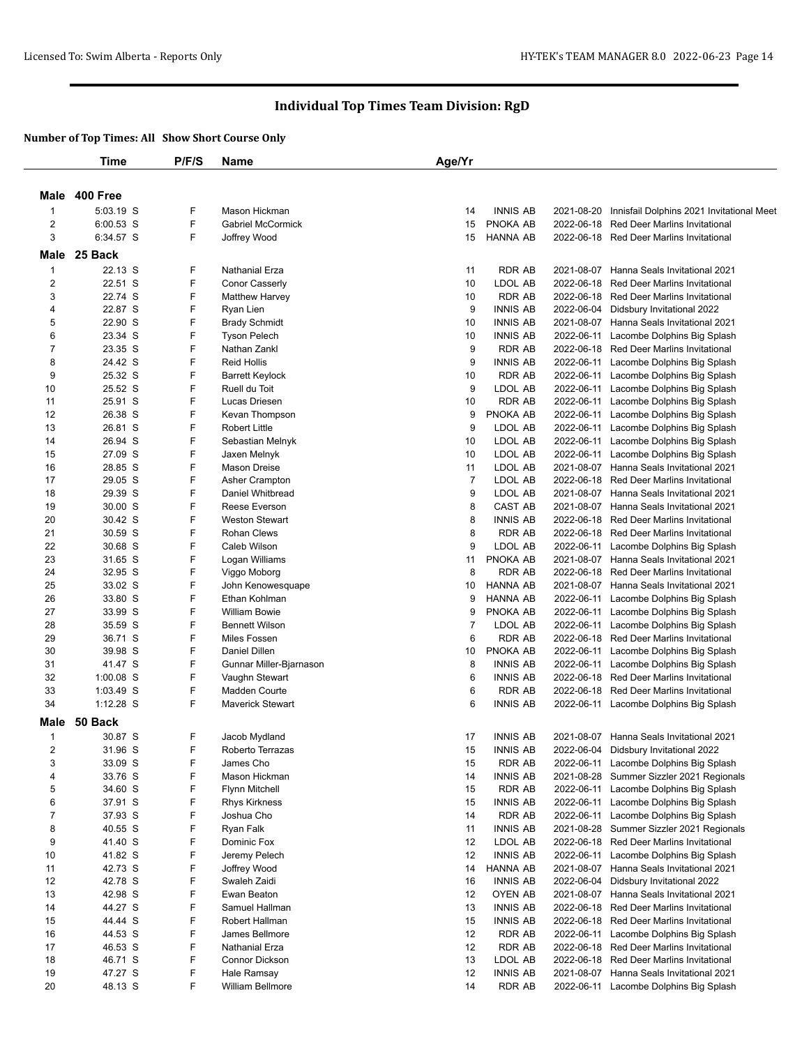|                | <b>Time</b>        | P/F/S  | <b>Name</b>                        | Age/Yr         |                                    |            |                                                                                    |
|----------------|--------------------|--------|------------------------------------|----------------|------------------------------------|------------|------------------------------------------------------------------------------------|
|                |                    |        |                                    |                |                                    |            |                                                                                    |
|                | Male 400 Free      |        |                                    |                |                                    |            |                                                                                    |
| $\mathbf{1}$   | 5:03.19 S          | F      | Mason Hickman                      | 14             | <b>INNIS AB</b>                    | 2021-08-20 | Innisfail Dolphins 2021 Invitational Meet                                          |
| 2              | $6:00.53$ S        | F      | <b>Gabriel McCormick</b>           | 15             | PNOKA AB                           | 2022-06-18 | Red Deer Marlins Invitational                                                      |
| 3              | 6:34.57 S          | F      | Joffrey Wood                       | 15             | <b>HANNA AB</b>                    |            | 2022-06-18 Red Deer Marlins Invitational                                           |
|                |                    |        |                                    |                |                                    |            |                                                                                    |
| Male           | 25 Back            |        |                                    |                |                                    |            |                                                                                    |
| $\mathbf{1}$   | 22.13 S            | F      | <b>Nathanial Erza</b>              | 11             | <b>RDR AB</b>                      | 2021-08-07 | Hanna Seals Invitational 2021                                                      |
| 2              | 22.51 S            | F      | Conor Casserly                     | 10             | LDOL AB                            |            | 2022-06-18 Red Deer Marlins Invitational                                           |
| 3              | 22.74 S<br>22.87 S | F<br>F | <b>Matthew Harvey</b>              | 10             | <b>RDR AB</b><br><b>INNIS AB</b>   |            | 2022-06-18 Red Deer Marlins Invitational                                           |
| 4<br>5         | 22.90 S            | F      | Ryan Lien<br><b>Brady Schmidt</b>  | 9<br>10        | <b>INNIS AB</b>                    |            | 2022-06-04 Didsbury Invitational 2022<br>2021-08-07 Hanna Seals Invitational 2021  |
| 6              | 23.34 S            | F      | <b>Tyson Pelech</b>                | 10             | <b>INNIS AB</b>                    | 2022-06-11 | Lacombe Dolphins Big Splash                                                        |
| $\overline{7}$ | 23.35 S            | F      | Nathan Zankl                       | 9              | <b>RDR AB</b>                      |            | 2022-06-18 Red Deer Marlins Invitational                                           |
| 8              | 24.42 S            | F      | <b>Reid Hollis</b>                 | 9              | <b>INNIS AB</b>                    |            | 2022-06-11 Lacombe Dolphins Big Splash                                             |
| 9              | 25.32 S            | F      | <b>Barrett Keylock</b>             | 10             | <b>RDR AB</b>                      |            | 2022-06-11 Lacombe Dolphins Big Splash                                             |
| 10             | 25.52 S            | F      | Ruell du Toit                      | 9              | LDOL AB                            |            | 2022-06-11 Lacombe Dolphins Big Splash                                             |
| 11             | 25.91 S            | F      | Lucas Driesen                      | 10             | <b>RDR AB</b>                      |            | 2022-06-11 Lacombe Dolphins Big Splash                                             |
| 12             | 26.38 S            | F      | Kevan Thompson                     | 9              | PNOKA AB                           |            | 2022-06-11 Lacombe Dolphins Big Splash                                             |
| 13             | 26.81 S            | F      | <b>Robert Little</b>               | 9              | LDOL AB                            |            | 2022-06-11 Lacombe Dolphins Big Splash                                             |
| 14             | 26.94 S            | F      | Sebastian Melnyk                   | 10             | LDOL AB                            |            | 2022-06-11 Lacombe Dolphins Big Splash                                             |
| 15             | 27.09 S            | F      | Jaxen Melnyk                       | 10             | LDOL AB                            |            | 2022-06-11 Lacombe Dolphins Big Splash                                             |
| 16             | 28.85 S            | F      | <b>Mason Dreise</b>                | 11             | <b>LDOL AB</b>                     |            | 2021-08-07 Hanna Seals Invitational 2021                                           |
| 17             | 29.05 S            | F      | Asher Crampton                     | $\overline{7}$ | LDOL AB                            |            | 2022-06-18 Red Deer Marlins Invitational                                           |
| 18             | 29.39 S            | F      | Daniel Whitbread                   | 9              | LDOL AB                            |            | 2021-08-07 Hanna Seals Invitational 2021                                           |
| 19             | 30.00 S            | F      | Reese Everson                      | 8              | <b>CAST AB</b>                     |            | 2021-08-07 Hanna Seals Invitational 2021                                           |
| 20             | 30.42 S            | F      | <b>Weston Stewart</b>              | 8              | <b>INNIS AB</b>                    |            | 2022-06-18 Red Deer Marlins Invitational                                           |
| 21             | 30.59 S            | F      | <b>Rohan Clews</b>                 | 8              | <b>RDR AB</b>                      |            | 2022-06-18 Red Deer Marlins Invitational                                           |
| 22             | 30.68 S            | F      | Caleb Wilson                       | 9              | LDOL AB                            |            | 2022-06-11 Lacombe Dolphins Big Splash                                             |
| 23             | 31.65 S            | F      | Logan Williams                     | 11             | PNOKA AB                           |            | 2021-08-07 Hanna Seals Invitational 2021                                           |
| 24             | 32.95 S            | F<br>F | Viggo Moborg                       | 8              | <b>RDR AB</b>                      |            | 2022-06-18 Red Deer Marlins Invitational                                           |
| 25<br>26       | 33.02 S<br>33.80 S | F      | John Kenowesquape<br>Ethan Kohlman | 10<br>9        | <b>HANNA AB</b><br><b>HANNA AB</b> |            | 2021-08-07 Hanna Seals Invitational 2021<br>2022-06-11 Lacombe Dolphins Big Splash |
| 27             | 33.99 S            | F      | <b>William Bowie</b>               | 9              | PNOKA AB                           |            | 2022-06-11 Lacombe Dolphins Big Splash                                             |
| 28             | 35.59 S            | F      | <b>Bennett Wilson</b>              | $\overline{7}$ | LDOL AB                            |            | 2022-06-11 Lacombe Dolphins Big Splash                                             |
| 29             | 36.71 S            | F      | Miles Fossen                       | 6              | <b>RDR AB</b>                      |            | 2022-06-18 Red Deer Marlins Invitational                                           |
| 30             | 39.98 S            | F      | Daniel Dillen                      | 10             | PNOKA AB                           |            | 2022-06-11 Lacombe Dolphins Big Splash                                             |
| 31             | 41.47 S            | F      | Gunnar Miller-Bjarnason            | 8              | <b>INNIS AB</b>                    |            | 2022-06-11 Lacombe Dolphins Big Splash                                             |
| 32             | $1:00.08$ S        | F      | Vaughn Stewart                     | 6              | <b>INNIS AB</b>                    |            | 2022-06-18 Red Deer Marlins Invitational                                           |
| 33             | 1:03.49 S          | F      | Madden Courte                      | 6              | <b>RDR AB</b>                      |            | 2022-06-18 Red Deer Marlins Invitational                                           |
| 34             | $1:12.28$ S        | F      | <b>Maverick Stewart</b>            | 6              | <b>INNIS AB</b>                    |            | 2022-06-11 Lacombe Dolphins Big Splash                                             |
| Male           | 50 Back            |        |                                    |                |                                    |            |                                                                                    |
| $\mathbf{1}$   | 30.87 S            | F      | Jacob Mydland                      | 17             | <b>INNIS AB</b>                    |            | 2021-08-07 Hanna Seals Invitational 2021                                           |
| $\overline{c}$ | 31.96 S            | F      | Roberto Terrazas                   | 15             | INNIS AB                           | 2022-06-04 | Didsbury Invitational 2022                                                         |
| 3              | 33.09 S            | F      | James Cho                          | 15             | <b>RDR AB</b>                      |            | 2022-06-11 Lacombe Dolphins Big Splash                                             |
| 4              | 33.76 S            | F      | Mason Hickman                      | 14             | <b>INNIS AB</b>                    |            | 2021-08-28 Summer Sizzler 2021 Regionals                                           |
| 5              | 34.60 S            | F      | <b>Flynn Mitchell</b>              | 15             | <b>RDR AB</b>                      | 2022-06-11 | Lacombe Dolphins Big Splash                                                        |
| 6              | 37.91 S            | F      | <b>Rhys Kirkness</b>               | 15             | <b>INNIS AB</b>                    |            | 2022-06-11 Lacombe Dolphins Big Splash                                             |
| 7              | 37.93 S            | F      | Joshua Cho                         | 14             | <b>RDR AB</b>                      |            | 2022-06-11 Lacombe Dolphins Big Splash                                             |
| 8              | 40.55 S            | F      | Ryan Falk                          | 11             | <b>INNIS AB</b>                    |            | 2021-08-28 Summer Sizzler 2021 Regionals                                           |
| 9              | 41.40 S            | F      | Dominic Fox                        | 12             | LDOL AB                            |            | 2022-06-18 Red Deer Marlins Invitational                                           |
| 10             | 41.82 S            | F      | Jeremy Pelech                      | 12             | <b>INNIS AB</b>                    |            | 2022-06-11 Lacombe Dolphins Big Splash                                             |
| 11             | 42.73 S            | F      | Joffrey Wood                       | 14             | <b>HANNA AB</b>                    |            | 2021-08-07 Hanna Seals Invitational 2021                                           |
| 12             | 42.78 S            | F      | Swaleh Zaidi                       | 16             | <b>INNIS AB</b>                    |            | 2022-06-04 Didsbury Invitational 2022                                              |
| 13             | 42.98 S            | F      | Ewan Beaton                        | 12             | OYEN AB                            |            | 2021-08-07 Hanna Seals Invitational 2021                                           |
| 14             | 44.27 S            | F      | Samuel Hallman                     | 13             | <b>INNIS AB</b>                    |            | 2022-06-18 Red Deer Marlins Invitational                                           |
| 15             | 44.44 S            | F<br>F | Robert Hallman                     | 15             | <b>INNIS AB</b>                    |            | 2022-06-18 Red Deer Marlins Invitational                                           |
| 16<br>17       | 44.53 S<br>46.53 S | F      | James Bellmore<br>Nathanial Erza   | 12<br>12       | <b>RDR AB</b><br><b>RDR AB</b>     |            | 2022-06-11 Lacombe Dolphins Big Splash<br>2022-06-18 Red Deer Marlins Invitational |
| 18             | 46.71 S            | F      | Connor Dickson                     | 13             | LDOL AB                            |            | 2022-06-18 Red Deer Marlins Invitational                                           |
| 19             | 47.27 S            | F      | Hale Ramsay                        | 12             | <b>INNIS AB</b>                    |            | 2021-08-07 Hanna Seals Invitational 2021                                           |
| 20             | 48.13 S            | F      | William Bellmore                   | 14             | <b>RDR AB</b>                      |            | 2022-06-11 Lacombe Dolphins Big Splash                                             |
|                |                    |        |                                    |                |                                    |            |                                                                                    |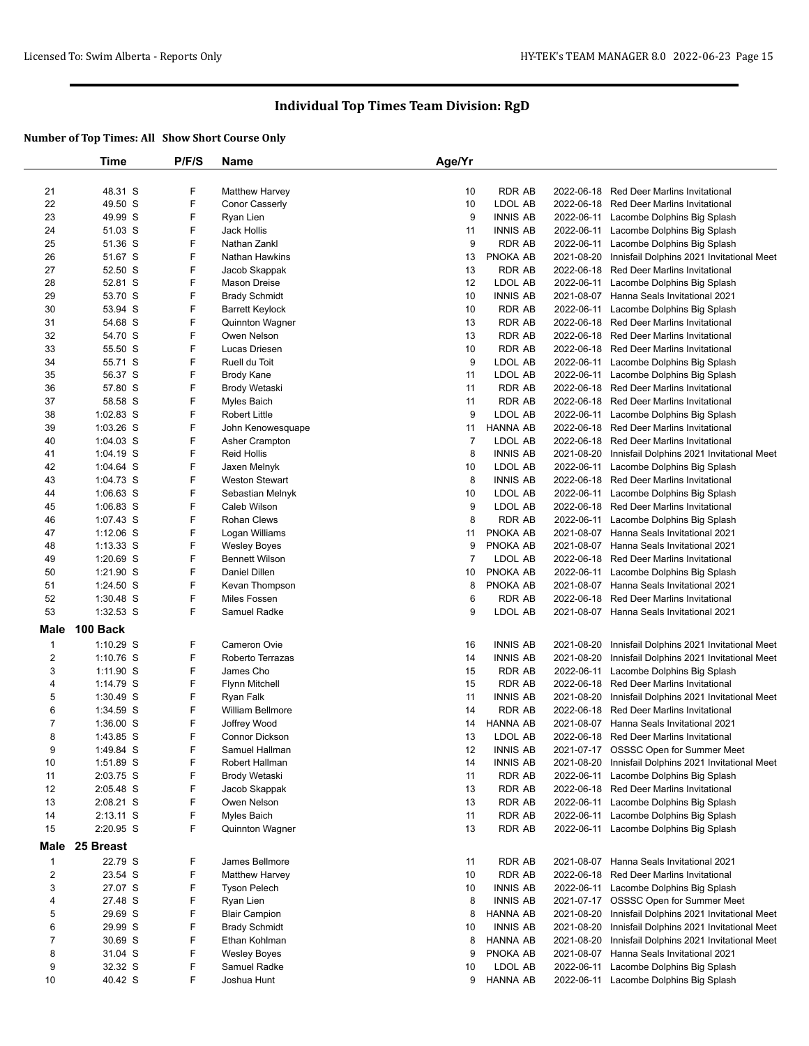|                         | Time        | P/F/S | Name                    | Age/Yr         |                 |            |                                                      |
|-------------------------|-------------|-------|-------------------------|----------------|-----------------|------------|------------------------------------------------------|
|                         |             |       |                         |                |                 |            |                                                      |
| 21                      | 48.31 S     | F     | <b>Matthew Harvey</b>   | 10             | <b>RDR AB</b>   |            | 2022-06-18 Red Deer Marlins Invitational             |
| 22                      | 49.50 S     | F     | Conor Casserly          | 10             | LDOL AB         |            | 2022-06-18 Red Deer Marlins Invitational             |
| 23                      | 49.99 S     | F     | Ryan Lien               | 9              | <b>INNIS AB</b> |            | 2022-06-11 Lacombe Dolphins Big Splash               |
| 24                      | 51.03 S     | F     | Jack Hollis             | 11             | <b>INNIS AB</b> |            | 2022-06-11 Lacombe Dolphins Big Splash               |
| 25                      | 51.36 S     | F     | Nathan Zankl            | 9              | <b>RDR AB</b>   |            | 2022-06-11 Lacombe Dolphins Big Splash               |
| 26                      | 51.67 S     | F     | Nathan Hawkins          | 13             | PNOKA AB        |            | 2021-08-20 Innisfail Dolphins 2021 Invitational Meet |
| 27                      | 52.50 S     | F     | Jacob Skappak           | 13             | RDR AB          |            | 2022-06-18 Red Deer Marlins Invitational             |
| 28                      | 52.81 S     | F     | <b>Mason Dreise</b>     | 12             | LDOL AB         |            | 2022-06-11 Lacombe Dolphins Big Splash               |
| 29                      | 53.70 S     | F     | <b>Brady Schmidt</b>    | 10             | <b>INNIS AB</b> |            | 2021-08-07 Hanna Seals Invitational 2021             |
| 30                      | 53.94 S     | F     | <b>Barrett Keylock</b>  | 10             | <b>RDR AB</b>   | 2022-06-11 | Lacombe Dolphins Big Splash                          |
| 31                      | 54.68 S     | F     | Quinnton Wagner         | 13             | <b>RDR AB</b>   | 2022-06-18 | Red Deer Marlins Invitational                        |
| 32                      | 54.70 S     | F     | Owen Nelson             | 13             | <b>RDR AB</b>   |            | 2022-06-18 Red Deer Marlins Invitational             |
| 33                      | 55.50 S     | F     | Lucas Driesen           | 10             | <b>RDR AB</b>   |            | 2022-06-18 Red Deer Marlins Invitational             |
| 34                      | 55.71 S     | F     | Ruell du Toit           | 9              | LDOL AB         |            | 2022-06-11 Lacombe Dolphins Big Splash               |
| 35                      | 56.37 S     | F     | <b>Brody Kane</b>       | 11             | LDOL AB         |            | 2022-06-11 Lacombe Dolphins Big Splash               |
| 36                      | 57.80 S     | F     | Brody Wetaski           | 11             | RDR AB          |            | 2022-06-18 Red Deer Marlins Invitational             |
| 37                      | 58.58 S     | F     | Myles Baich             | 11             | <b>RDR AB</b>   |            | 2022-06-18 Red Deer Marlins Invitational             |
| 38                      | 1:02.83 S   | F     | <b>Robert Little</b>    | 9              | LDOL AB         |            | 2022-06-11 Lacombe Dolphins Big Splash               |
| 39                      | $1:03.26$ S | F     | John Kenowesquape       | 11             | <b>HANNA AB</b> |            | 2022-06-18 Red Deer Marlins Invitational             |
| 40                      | 1:04.03 S   | F     | Asher Crampton          | $\overline{7}$ | LDOL AB         |            | 2022-06-18 Red Deer Marlins Invitational             |
| 41                      | $1:04.19$ S | F     | <b>Reid Hollis</b>      | 8              | <b>INNIS AB</b> | 2021-08-20 | Innisfail Dolphins 2021 Invitational Meet            |
| 42                      | 1:04.64 S   | F     | Jaxen Melnyk            | 10             | LDOL AB         |            | 2022-06-11 Lacombe Dolphins Big Splash               |
| 43                      | 1:04.73 S   | F     | <b>Weston Stewart</b>   | 8              | <b>INNIS AB</b> |            | 2022-06-18 Red Deer Marlins Invitational             |
| 44                      | $1:06.63$ S | F     | Sebastian Melnyk        | 10             | LDOL AB         |            | 2022-06-11 Lacombe Dolphins Big Splash               |
| 45                      | 1:06.83 S   | F     | Caleb Wilson            | 9              | LDOL AB         |            | 2022-06-18 Red Deer Marlins Invitational             |
| 46                      | 1:07.43 S   | F     | <b>Rohan Clews</b>      | 8              | <b>RDR AB</b>   |            | 2022-06-11 Lacombe Dolphins Big Splash               |
| 47                      | $1:12.06$ S | F     | Logan Williams          | 11             | PNOKA AB        |            | 2021-08-07 Hanna Seals Invitational 2021             |
| 48                      | $1:13.33$ S | F     | <b>Wesley Boyes</b>     | 9              | PNOKA AB        |            | 2021-08-07 Hanna Seals Invitational 2021             |
| 49                      | $1:20.69$ S | F     | <b>Bennett Wilson</b>   | $\overline{7}$ | LDOL AB         |            | 2022-06-18 Red Deer Marlins Invitational             |
| 50                      | 1:21.90 S   | F     | Daniel Dillen           | 10             | PNOKA AB        |            | 2022-06-11 Lacombe Dolphins Big Splash               |
| 51                      | 1:24.50 S   | F     | Kevan Thompson          | 8              | PNOKA AB        |            | 2021-08-07 Hanna Seals Invitational 2021             |
| 52                      | $1:30.48$ S | F     | Miles Fossen            | 6              | <b>RDR AB</b>   |            | 2022-06-18 Red Deer Marlins Invitational             |
| 53                      | 1:32.53 S   | F     | Samuel Radke            | 9              | LDOL AB         |            | 2021-08-07 Hanna Seals Invitational 2021             |
|                         |             |       |                         |                |                 |            |                                                      |
| Male                    | 100 Back    |       |                         |                |                 |            |                                                      |
| 1                       | 1:10.29 S   | F     | <b>Cameron Ovie</b>     | 16             | <b>INNIS AB</b> |            | 2021-08-20 Innisfail Dolphins 2021 Invitational Meet |
| $\overline{c}$          | $1:10.76$ S | F     | Roberto Terrazas        | 14             | <b>INNIS AB</b> | 2021-08-20 | Innisfail Dolphins 2021 Invitational Meet            |
| 3                       | 1:11.90 S   | F     | James Cho               | 15             | <b>RDR AB</b>   |            | 2022-06-11 Lacombe Dolphins Big Splash               |
| 4                       | 1:14.79 S   | F     | Flynn Mitchell          | 15             | RDR AB          |            | 2022-06-18 Red Deer Marlins Invitational             |
| 5                       | $1:30.49$ S | F     | Ryan Falk               | 11             | <b>INNIS AB</b> | 2021-08-20 | Innisfail Dolphins 2021 Invitational Meet            |
| 6                       | 1:34.59 S   | F     | <b>William Bellmore</b> | 14             | <b>RDR AB</b>   |            | 2022-06-18 Red Deer Marlins Invitational             |
| $\overline{7}$          | $1:36.00$ S | F     | Joffrey Wood            | 14             | HANNA AB        |            | 2021-08-07 Hanna Seals Invitational 2021             |
| 8                       | 1:43.85 S   | F     | <b>Connor Dickson</b>   | 13             | LDOL AB         |            | 2022-06-18 Red Deer Marlins Invitational             |
| 9                       | 1:49.84 S   | F     | Samuel Hallman          | 12             | <b>INNIS AB</b> |            | 2021-07-17 OSSSC Open for Summer Meet                |
| 10                      | 1:51.89 S   | F     | Robert Hallman          | 14             | <b>INNIS AB</b> |            | 2021-08-20 Innisfail Dolphins 2021 Invitational Meet |
| 11                      | 2:03.75 S   | F     | Brody Wetaski           | 11             | <b>RDR AB</b>   |            | 2022-06-11 Lacombe Dolphins Big Splash               |
| 12                      | 2:05.48 S   | F     | Jacob Skappak           | 13             | RDR AB          |            | 2022-06-18 Red Deer Marlins Invitational             |
| 13                      | 2:08.21 S   | F     | Owen Nelson             | 13             | <b>RDR AB</b>   |            | 2022-06-11 Lacombe Dolphins Big Splash               |
| 14                      | 2:13.11 S   | F     | Myles Baich             | 11             | <b>RDR AB</b>   |            | 2022-06-11 Lacombe Dolphins Big Splash               |
| 15                      | 2:20.95 S   | F     | <b>Quinnton Wagner</b>  | 13             | <b>RDR AB</b>   |            | 2022-06-11 Lacombe Dolphins Big Splash               |
| Male                    | 25 Breast   |       |                         |                |                 |            |                                                      |
| $\mathbf{1}$            | 22.79 S     | F     | James Bellmore          | 11             | RDR AB          |            | 2021-08-07 Hanna Seals Invitational 2021             |
| $\overline{\mathbf{c}}$ | 23.54 S     | F     | <b>Matthew Harvey</b>   | 10             | <b>RDR AB</b>   | 2022-06-18 | Red Deer Marlins Invitational                        |
| 3                       | 27.07 S     | F     | <b>Tyson Pelech</b>     | 10             | <b>INNIS AB</b> |            | 2022-06-11 Lacombe Dolphins Big Splash               |
| 4                       | 27.48 S     | F     | Ryan Lien               | 8              | <b>INNIS AB</b> |            | 2021-07-17 OSSSC Open for Summer Meet                |
| 5                       | 29.69 S     | F     | <b>Blair Campion</b>    | 8              | HANNA AB        |            | 2021-08-20 Innisfail Dolphins 2021 Invitational Meet |
| 6                       | 29.99 S     | F     | <b>Brady Schmidt</b>    | 10             | <b>INNIS AB</b> | 2021-08-20 | Innisfail Dolphins 2021 Invitational Meet            |
| $\overline{7}$          | 30.69 S     | F     | Ethan Kohlman           | 8              | <b>HANNA AB</b> | 2021-08-20 | Innisfail Dolphins 2021 Invitational Meet            |
| 8                       | 31.04 S     | F     | <b>Wesley Boyes</b>     | 9              | PNOKA AB        |            | 2021-08-07 Hanna Seals Invitational 2021             |
| 9                       | 32.32 S     | F     | Samuel Radke            | 10             | LDOL AB         |            | 2022-06-11 Lacombe Dolphins Big Splash               |
| 10                      | 40.42 S     | F     | Joshua Hunt             | 9              | <b>HANNA AB</b> |            | 2022-06-11 Lacombe Dolphins Big Splash               |
|                         |             |       |                         |                |                 |            |                                                      |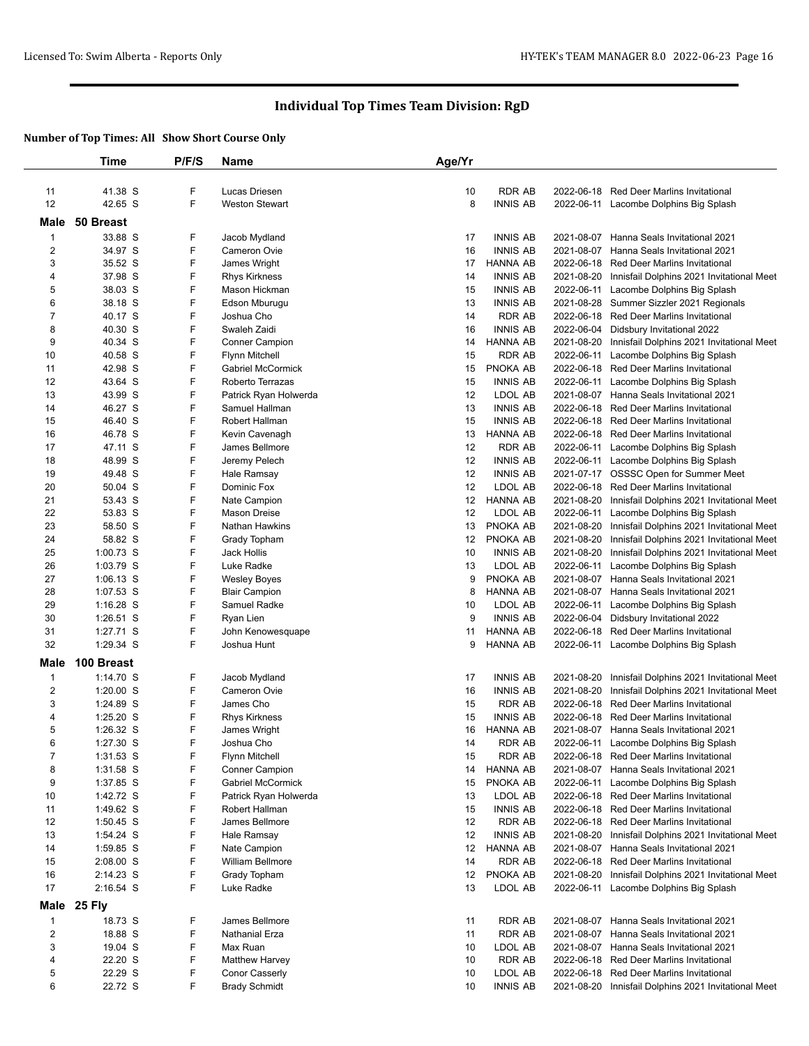|                | Time        | P/F/S | <b>Name</b>           | Age/Yr |                 |            |                                           |
|----------------|-------------|-------|-----------------------|--------|-----------------|------------|-------------------------------------------|
|                |             |       |                       |        |                 |            |                                           |
| 11             | 41.38 S     | F     | Lucas Driesen         | 10     | <b>RDR AB</b>   | 2022-06-18 | <b>Red Deer Marlins Invitational</b>      |
| 12             | 42.65 S     | F     | <b>Weston Stewart</b> | 8      | <b>INNIS AB</b> |            | 2022-06-11 Lacombe Dolphins Big Splash    |
|                |             |       |                       |        |                 |            |                                           |
| Male           | 50 Breast   |       |                       |        |                 |            |                                           |
| 1              | 33.88 S     | F     | Jacob Mydland         | 17     | <b>INNIS AB</b> |            | 2021-08-07 Hanna Seals Invitational 2021  |
| $\overline{c}$ | 34.97 S     | F     | Cameron Ovie          | 16     | <b>INNIS AB</b> | 2021-08-07 | Hanna Seals Invitational 2021             |
| 3              | 35.52 S     | F     | James Wright          | 17     | HANNA AB        | 2022-06-18 | Red Deer Marlins Invitational             |
| 4              | 37.98 S     | F     | <b>Rhys Kirkness</b>  | 14     | <b>INNIS AB</b> | 2021-08-20 | Innisfail Dolphins 2021 Invitational Meet |
| 5              | 38.03 S     | F     | Mason Hickman         | 15     | <b>INNIS AB</b> | 2022-06-11 | Lacombe Dolphins Big Splash               |
| 6              | 38.18 S     | F     | Edson Mburugu         | 13     | <b>INNIS AB</b> | 2021-08-28 | Summer Sizzler 2021 Regionals             |
| $\overline{7}$ | 40.17 S     | F     | Joshua Cho            | 14     | <b>RDR AB</b>   | 2022-06-18 | <b>Red Deer Marlins Invitational</b>      |
| 8              | 40.30 S     | F     | Swaleh Zaidi          | 16     | <b>INNIS AB</b> | 2022-06-04 | Didsbury Invitational 2022                |
| 9              | 40.34 S     | F     | <b>Conner Campion</b> | 14     | HANNA AB        | 2021-08-20 | Innisfail Dolphins 2021 Invitational Meet |
| 10             | 40.58 S     | F     | <b>Flynn Mitchell</b> | 15     | <b>RDR AB</b>   | 2022-06-11 | Lacombe Dolphins Big Splash               |
| 11             | 42.98 S     | F     | Gabriel McCormick     | 15     | PNOKA AB        | 2022-06-18 | Red Deer Marlins Invitational             |
| 12             | 43.64 S     | F     | Roberto Terrazas      | 15     | <b>INNIS AB</b> | 2022-06-11 | Lacombe Dolphins Big Splash               |
| 13             | 43.99 S     | F     | Patrick Ryan Holwerda | 12     | LDOL AB         | 2021-08-07 | Hanna Seals Invitational 2021             |
| 14             | 46.27 S     | F     | Samuel Hallman        | 13     | <b>INNIS AB</b> | 2022-06-18 | <b>Red Deer Marlins Invitational</b>      |
| 15             | 46.40 S     | F     | Robert Hallman        | 15     | <b>INNIS AB</b> | 2022-06-18 | <b>Red Deer Marlins Invitational</b>      |
| 16             | 46.78 S     | F     | Kevin Cavenagh        | 13     | HANNA AB        | 2022-06-18 | Red Deer Marlins Invitational             |
|                |             |       |                       |        |                 |            |                                           |
| 17             | 47.11 S     | F     | James Bellmore        | 12     | <b>RDR AB</b>   | 2022-06-11 | Lacombe Dolphins Big Splash               |
| 18             | 48.99 S     | F     | Jeremy Pelech         | 12     | <b>INNIS AB</b> |            | 2022-06-11 Lacombe Dolphins Big Splash    |
| 19             | 49.48 S     | F     | Hale Ramsay           | 12     | <b>INNIS AB</b> |            | 2021-07-17 OSSSC Open for Summer Meet     |
| 20             | 50.04 S     | F     | Dominic Fox           | 12     | LDOL AB         | 2022-06-18 | Red Deer Marlins Invitational             |
| 21             | 53.43 S     | F     | Nate Campion          | 12     | HANNA AB        | 2021-08-20 | Innisfail Dolphins 2021 Invitational Meet |
| 22             | 53.83 S     | F     | <b>Mason Dreise</b>   | 12     | LDOL AB         | 2022-06-11 | Lacombe Dolphins Big Splash               |
| 23             | 58.50 S     | F     | Nathan Hawkins        | 13     | PNOKA AB        | 2021-08-20 | Innisfail Dolphins 2021 Invitational Meet |
| 24             | 58.82 S     | F     | Grady Topham          | 12     | PNOKA AB        | 2021-08-20 | Innisfail Dolphins 2021 Invitational Meet |
| 25             | 1:00.73 S   | F     | Jack Hollis           | 10     | <b>INNIS AB</b> | 2021-08-20 | Innisfail Dolphins 2021 Invitational Meet |
| 26             | 1:03.79 S   | F     | Luke Radke            | 13     | LDOL AB         | 2022-06-11 | Lacombe Dolphins Big Splash               |
| 27             | $1:06.13$ S | F     | <b>Wesley Boyes</b>   | 9      | PNOKA AB        | 2021-08-07 | Hanna Seals Invitational 2021             |
| 28             | $1:07.53$ S | F     | <b>Blair Campion</b>  | 8      | HANNA AB        | 2021-08-07 | Hanna Seals Invitational 2021             |
| 29             | $1:16.28$ S | F     | Samuel Radke          | 10     | LDOL AB         | 2022-06-11 | Lacombe Dolphins Big Splash               |
| 30             | $1:26.51$ S | F     | Ryan Lien             | 9      | <b>INNIS AB</b> | 2022-06-04 | Didsbury Invitational 2022                |
| 31             | 1:27.71 S   | F     | John Kenowesquape     | 11     | <b>HANNA AB</b> | 2022-06-18 | <b>Red Deer Marlins Invitational</b>      |
| 32             | 1:29.34 S   | F     | Joshua Hunt           | 9      | <b>HANNA AB</b> | 2022-06-11 | Lacombe Dolphins Big Splash               |
| Male           | 100 Breast  |       |                       |        |                 |            |                                           |
|                |             |       |                       |        |                 |            |                                           |
| 1              | 1:14.70 S   | F     | Jacob Mydland         | 17     | <b>INNIS AB</b> | 2021-08-20 | Innisfail Dolphins 2021 Invitational Meet |
| $\overline{c}$ | $1:20.00$ S | F     | Cameron Ovie          | 16     | <b>INNIS AB</b> | 2021-08-20 | Innisfail Dolphins 2021 Invitational Meet |
| 3              | 1:24.89 S   | F     | James Cho             | 15     | <b>RDR AB</b>   | 2022-06-18 | <b>Red Deer Marlins Invitational</b>      |
| 4              | $1:25.20$ S | F     | <b>Rhys Kirkness</b>  | 15     | <b>INNIS AB</b> | 2022-06-18 | <b>Red Deer Marlins Invitational</b>      |
| 5              | 1:26.32 S   | F     | James Wright          | 16     | <b>HANNA AB</b> | 2021-08-07 | <b>Hanna Seals Invitational 2021</b>      |
| 6              | 1:27.30 S   | F     | Joshua Cho            | 14     | <b>RDR AB</b>   | 2022-06-11 | Lacombe Dolphins Big Splash               |
| $\overline{7}$ | $1:31.53$ S | F     | Flynn Mitchell        | 15     | RDR AB          |            | 2022-06-18 Red Deer Marlins Invitational  |
| 8              | 1:31.58 S   | F     | <b>Conner Campion</b> | 14     | HANNA AB        | 2021-08-07 | Hanna Seals Invitational 2021             |
| 9              | 1:37.85 S   | F     | Gabriel McCormick     | 15     | PNOKA AB        | 2022-06-11 | Lacombe Dolphins Big Splash               |
| 10             | 1:42.72 S   | F     | Patrick Ryan Holwerda | 13     | LDOL AB         | 2022-06-18 | Red Deer Marlins Invitational             |
| 11             | 1:49.62 S   | F     | Robert Hallman        | 15     | <b>INNIS AB</b> | 2022-06-18 | <b>Red Deer Marlins Invitational</b>      |
| 12             | $1:50.45$ S | F     | James Bellmore        | 12     | RDR AB          | 2022-06-18 | Red Deer Marlins Invitational             |
| 13             | 1:54.24 S   | F     | Hale Ramsay           | 12     | <b>INNIS AB</b> | 2021-08-20 | Innisfail Dolphins 2021 Invitational Meet |
| 14             | 1:59.85 S   | F     | Nate Campion          | 12     | HANNA AB        | 2021-08-07 | Hanna Seals Invitational 2021             |
| 15             | $2:08.00$ S | F     | William Bellmore      | 14     | <b>RDR AB</b>   | 2022-06-18 | <b>Red Deer Marlins Invitational</b>      |
| 16             | 2:14.23 S   | F     | Grady Topham          | 12     | PNOKA AB        | 2021-08-20 | Innisfail Dolphins 2021 Invitational Meet |
| 17             | $2:16.54$ S | F     | Luke Radke            | 13     | LDOL AB         |            | 2022-06-11 Lacombe Dolphins Big Splash    |
|                |             |       |                       |        |                 |            |                                           |
| Male           | 25 Fly      |       |                       |        |                 |            |                                           |
| 1              | 18.73 S     | F     | James Bellmore        | 11     | RDR AB          |            | 2021-08-07 Hanna Seals Invitational 2021  |
| $\overline{2}$ | 18.88 S     | F     | <b>Nathanial Erza</b> | 11     | <b>RDR AB</b>   | 2021-08-07 | Hanna Seals Invitational 2021             |
| 3              | 19.04 S     | F     | Max Ruan              | 10     | LDOL AB         | 2021-08-07 | Hanna Seals Invitational 2021             |
| 4              | 22.20 S     | F     | <b>Matthew Harvey</b> | 10     | <b>RDR AB</b>   | 2022-06-18 | Red Deer Marlins Invitational             |
| 5              | 22.29 S     | F     | <b>Conor Casserly</b> | 10     | LDOL AB         | 2022-06-18 | <b>Red Deer Marlins Invitational</b>      |
| 6              | 22.72 S     | F     | <b>Brady Schmidt</b>  | 10     | <b>INNIS AB</b> | 2021-08-20 | Innisfail Dolphins 2021 Invitational Meet |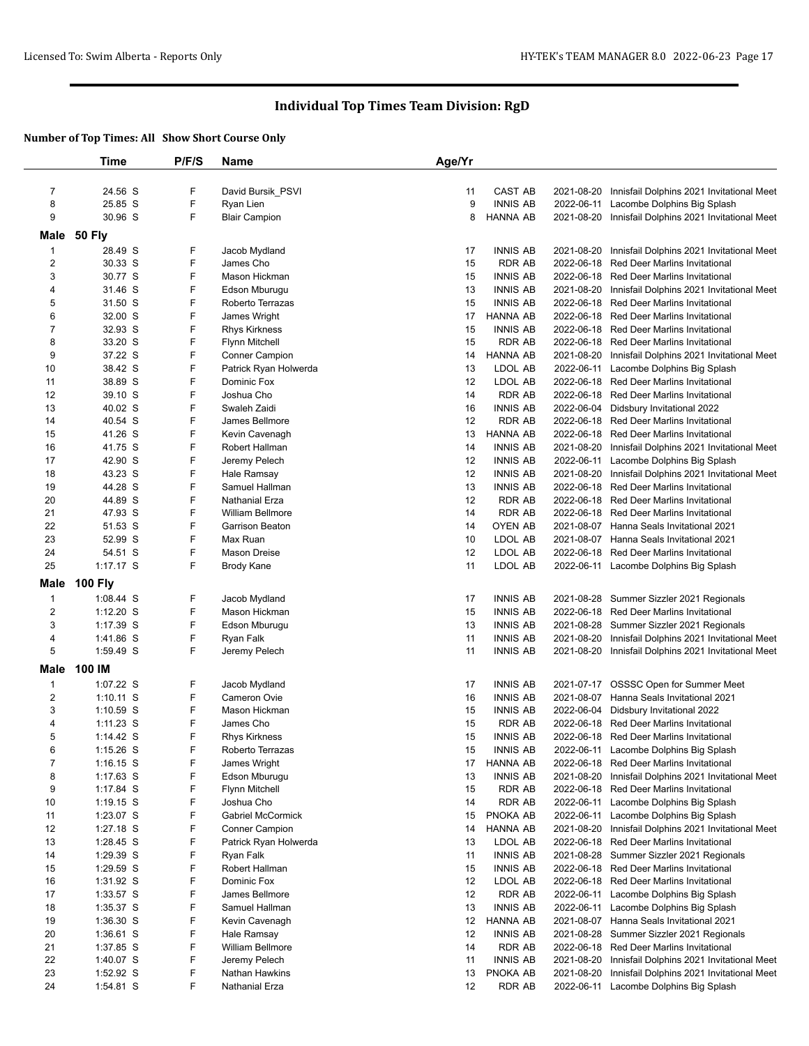|                | <b>Time</b>    | P/F/S | Name                     | Age/Yr |                 |            |                                                      |
|----------------|----------------|-------|--------------------------|--------|-----------------|------------|------------------------------------------------------|
|                |                |       |                          |        |                 |            |                                                      |
| $\overline{7}$ | 24.56 S        | F     | David Bursik_PSVI        | 11     | CAST AB         |            | 2021-08-20 Innisfail Dolphins 2021 Invitational Meet |
| 8              | 25.85 S        | F     | Ryan Lien                | 9      | <b>INNIS AB</b> | 2022-06-11 | Lacombe Dolphins Big Splash                          |
| 9              | 30.96 S        | F     | <b>Blair Campion</b>     | 8      | <b>HANNA AB</b> |            | 2021-08-20 Innisfail Dolphins 2021 Invitational Meet |
| Male           | <b>50 Fly</b>  |       |                          |        |                 |            |                                                      |
| $\mathbf{1}$   | 28.49 S        | F     | Jacob Mydland            | 17     | <b>INNIS AB</b> | 2021-08-20 | Innisfail Dolphins 2021 Invitational Meet            |
| $\overline{c}$ | 30.33 S        | F     | James Cho                | 15     | <b>RDR AB</b>   | 2022-06-18 | <b>Red Deer Marlins Invitational</b>                 |
| 3              | 30.77 S        | F     | Mason Hickman            | 15     | <b>INNIS AB</b> |            | 2022-06-18 Red Deer Marlins Invitational             |
| 4              | 31.46 S        | F     | Edson Mburugu            | 13     | <b>INNIS AB</b> | 2021-08-20 | Innisfail Dolphins 2021 Invitational Meet            |
| 5              | 31.50 S        | F     | Roberto Terrazas         | 15     | <b>INNIS AB</b> | 2022-06-18 | <b>Red Deer Marlins Invitational</b>                 |
| 6              | 32.00 S        | F     | James Wright             | 17     | HANNA AB        |            | 2022-06-18 Red Deer Marlins Invitational             |
| $\overline{7}$ | 32.93 S        | F     | <b>Rhys Kirkness</b>     | 15     | <b>INNIS AB</b> |            | 2022-06-18 Red Deer Marlins Invitational             |
| 8              | 33.20 S        | F     | <b>Flynn Mitchell</b>    | 15     | <b>RDR AB</b>   |            | 2022-06-18 Red Deer Marlins Invitational             |
| 9              | 37.22 S        | F     | <b>Conner Campion</b>    | 14     | <b>HANNA AB</b> | 2021-08-20 | Innisfail Dolphins 2021 Invitational Meet            |
| 10             | 38.42 S        | F     | Patrick Ryan Holwerda    | 13     | LDOL AB         | 2022-06-11 | Lacombe Dolphins Big Splash                          |
| 11             | 38.89 S        | F     | Dominic Fox              | 12     | LDOL AB         |            | 2022-06-18 Red Deer Marlins Invitational             |
| 12             | 39.10 S        | F     | Joshua Cho               | 14     | <b>RDR AB</b>   |            | 2022-06-18 Red Deer Marlins Invitational             |
| 13             | 40.02 S        | F     | Swaleh Zaidi             | 16     | <b>INNIS AB</b> | 2022-06-04 | Didsbury Invitational 2022                           |
| 14             | 40.54 S        | F     | James Bellmore           | 12     | <b>RDR AB</b>   |            | 2022-06-18 Red Deer Marlins Invitational             |
| 15             | 41.26 S        | F     | Kevin Cavenagh           | 13     | HANNA AB        |            | 2022-06-18 Red Deer Marlins Invitational             |
| 16             | 41.75 S        | F     | Robert Hallman           | 14     | <b>INNIS AB</b> | 2021-08-20 | Innisfail Dolphins 2021 Invitational Meet            |
| 17             | 42.90 S        | F     | Jeremy Pelech            | 12     | <b>INNIS AB</b> | 2022-06-11 | Lacombe Dolphins Big Splash                          |
| 18             | 43.23 S        | F     | Hale Ramsay              | 12     | <b>INNIS AB</b> | 2021-08-20 | Innisfail Dolphins 2021 Invitational Meet            |
| 19             | 44.28 S        | F     | Samuel Hallman           | 13     | <b>INNIS AB</b> |            | 2022-06-18 Red Deer Marlins Invitational             |
| 20             | 44.89 S        | F     | Nathanial Erza           | 12     | <b>RDR AB</b>   |            | 2022-06-18 Red Deer Marlins Invitational             |
| 21             | 47.93 S        | F     | William Bellmore         | 14     | RDR AB          |            | 2022-06-18 Red Deer Marlins Invitational             |
| 22             | 51.53 S        | F     | <b>Garrison Beaton</b>   | 14     | OYEN AB         | 2021-08-07 | Hanna Seals Invitational 2021                        |
| 23             | 52.99 S        | F     | Max Ruan                 | 10     | LDOL AB         |            | 2021-08-07 Hanna Seals Invitational 2021             |
| 24             | 54.51 S        | F     | Mason Dreise             | 12     | LDOL AB         |            | 2022-06-18 Red Deer Marlins Invitational             |
| 25             | 1:17.17 S      | F     | <b>Brody Kane</b>        | 11     | LDOL AB         |            | 2022-06-11 Lacombe Dolphins Big Splash               |
| Male           | <b>100 Fly</b> |       |                          |        |                 |            |                                                      |
| 1              | $1:08.44$ S    | F     | Jacob Mydland            | 17     | <b>INNIS AB</b> | 2021-08-28 | Summer Sizzler 2021 Regionals                        |
| $\overline{c}$ | $1:12.20$ S    | F     | Mason Hickman            | 15     | <b>INNIS AB</b> |            | 2022-06-18 Red Deer Marlins Invitational             |
| 3              | 1:17.39 S      | F     | Edson Mburugu            | 13     | <b>INNIS AB</b> |            | 2021-08-28 Summer Sizzler 2021 Regionals             |
| 4              | 1:41.86 S      | F     | Ryan Falk                | 11     | <b>INNIS AB</b> | 2021-08-20 | Innisfail Dolphins 2021 Invitational Meet            |
| 5              | 1:59.49 S      | F     | Jeremy Pelech            | 11     | <b>INNIS AB</b> |            | 2021-08-20 Innisfail Dolphins 2021 Invitational Meet |
| Male           | 100 IM         |       |                          |        |                 |            |                                                      |
| 1              | 1:07.22 S      | F     | Jacob Mydland            | 17     | <b>INNIS AB</b> |            | 2021-07-17 OSSSC Open for Summer Meet                |
| $\overline{2}$ | $1:10.11$ S    | F     | Cameron Ovie             | 16     | <b>INNIS AB</b> |            | 2021-08-07 Hanna Seals Invitational 2021             |
| 3              | $1:10.59$ S    | F     | Mason Hickman            | 15     | <b>INNIS AB</b> | 2022-06-04 | Didsbury Invitational 2022                           |
| 4              | $1:11.23$ S    | F     | James Cho                | 15     | <b>RDR AB</b>   | 2022-06-18 | <b>Red Deer Marlins Invitational</b>                 |
| 5              | $1:14.42$ S    | F     | <b>Rhys Kirkness</b>     | 15     | <b>INNIS AB</b> |            | 2022-06-18 Red Deer Marlins Invitational             |
| 6              | 1:15.26 S      | ۲     | Roberto Ierrazas         | 15     | INNIS AB        | 2022-06-11 | Lacombe Dolphins Big Splash                          |
| $\overline{7}$ | $1:16.15$ S    | F     | James Wright             | 17     | <b>HANNA AB</b> |            | 2022-06-18 Red Deer Marlins Invitational             |
| 8              | $1:17.63$ S    | F     | Edson Mburugu            | 13     | <b>INNIS AB</b> | 2021-08-20 | Innisfail Dolphins 2021 Invitational Meet            |
| 9              | 1:17.84 S      | F     | Flynn Mitchell           | 15     | <b>RDR AB</b>   | 2022-06-18 | Red Deer Marlins Invitational                        |
| 10             | $1:19.15$ S    | F     | Joshua Cho               | 14     | <b>RDR AB</b>   | 2022-06-11 | Lacombe Dolphins Big Splash                          |
| 11             | $1:23.07$ S    | F     | <b>Gabriel McCormick</b> | 15     | PNOKA AB        | 2022-06-11 | Lacombe Dolphins Big Splash                          |
| 12             | 1:27.18 S      | F     | <b>Conner Campion</b>    | 14     | <b>HANNA AB</b> | 2021-08-20 | Innisfail Dolphins 2021 Invitational Meet            |
| 13             | 1:28.45 S      | F     | Patrick Ryan Holwerda    | 13     | LDOL AB         | 2022-06-18 | Red Deer Marlins Invitational                        |
| 14             | 1:29.39 S      | F     | Ryan Falk                | 11     | <b>INNIS AB</b> |            | 2021-08-28 Summer Sizzler 2021 Regionals             |
| 15             | $1:29.59$ S    | F     | Robert Hallman           | 15     | <b>INNIS AB</b> |            | 2022-06-18 Red Deer Marlins Invitational             |
| 16             | 1:31.92 S      | F     | Dominic Fox              | 12     | LDOL AB         | 2022-06-18 | <b>Red Deer Marlins Invitational</b>                 |
| 17             | 1:33.57 S      | F     | James Bellmore           | 12     | <b>RDR AB</b>   | 2022-06-11 | Lacombe Dolphins Big Splash                          |
| 18             | 1:35.37 S      | F     | Samuel Hallman           | 13     | <b>INNIS AB</b> | 2022-06-11 | Lacombe Dolphins Big Splash                          |
| 19             | $1:36.30$ S    | F     | Kevin Cavenagh           | 12     | <b>HANNA AB</b> | 2021-08-07 | Hanna Seals Invitational 2021                        |
| 20             | $1:36.61$ S    | F     | Hale Ramsay              | 12     | <b>INNIS AB</b> | 2021-08-28 | Summer Sizzler 2021 Regionals                        |
| 21             | $1:37.85$ S    | F     | William Bellmore         | 14     | RDR AB          | 2022-06-18 | Red Deer Marlins Invitational                        |
| 22             | 1:40.07 S      | F     | Jeremy Pelech            | 11     | <b>INNIS AB</b> | 2021-08-20 | Innisfail Dolphins 2021 Invitational Meet            |
| 23             | 1:52.92 S      | F     | Nathan Hawkins           | 13     | PNOKA AB        | 2021-08-20 | Innisfail Dolphins 2021 Invitational Meet            |
| 24             | $1:54.81$ S    | F     | Nathanial Erza           | 12     | RDR AB          |            | 2022-06-11 Lacombe Dolphins Big Splash               |